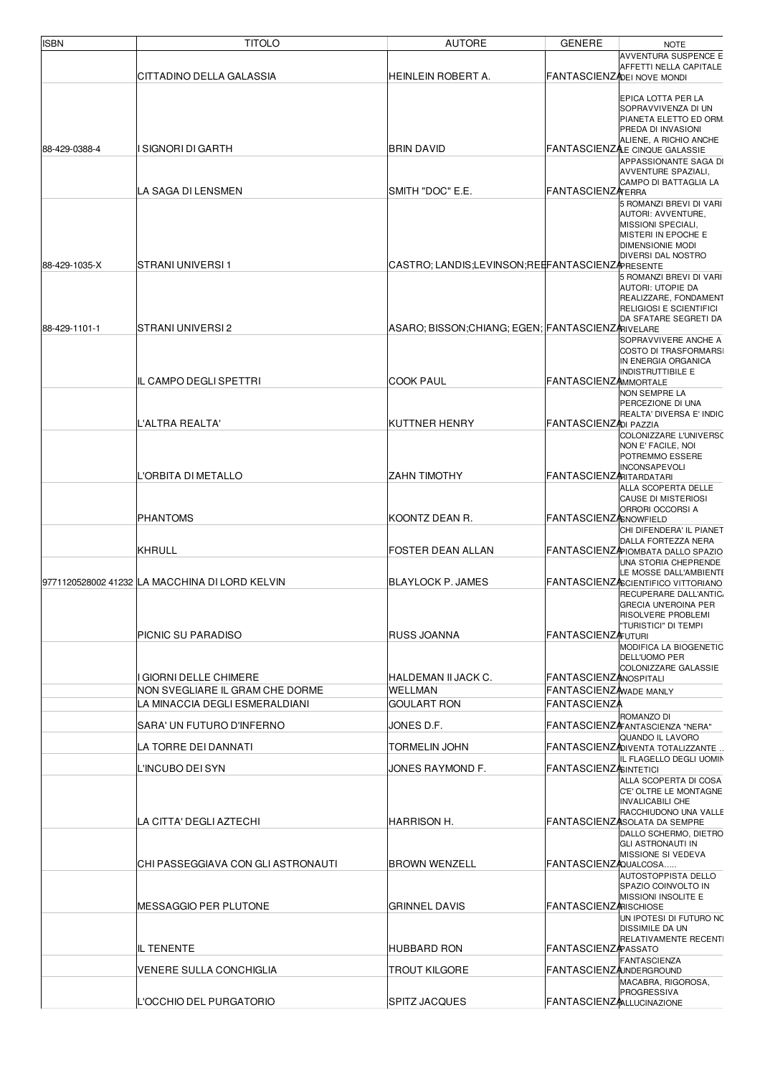| <b>ISBN</b>   | <b>TITOLO</b>                                                      | <b>AUTORE</b>                                    | <b>GENERE</b>                                        | <b>NOTE</b>                                                                                                                                                                                                          |
|---------------|--------------------------------------------------------------------|--------------------------------------------------|------------------------------------------------------|----------------------------------------------------------------------------------------------------------------------------------------------------------------------------------------------------------------------|
|               | CITTADINO DELLA GALASSIA                                           | <b>HEINLEIN ROBERT A.</b>                        | FANTASCIENZADEI NOVE MONDI                           | <b>AVVENTURA SUSPENCE E</b><br>AFFETTI NELLA CAPITALE                                                                                                                                                                |
|               |                                                                    |                                                  |                                                      | EPICA LOTTA PER LA<br>SOPRAVVIVENZA DI UN<br>PIANETA ELETTO ED ORM.<br>PREDA DI INVASIONI<br>ALIENE, A RICHIO ANCHE                                                                                                  |
| 88-429-0388-4 | SIGNORI DI GARTH                                                   | <b>BRIN DAVID</b>                                |                                                      | FANTASCIENZAE CINQUE GALASSIE                                                                                                                                                                                        |
|               | LA SAGA DI LENSMEN                                                 | SMITH "DOC" E.E.                                 | FANTASCIENZATERRA                                    | APPASSIONANTE SAGA DI<br>AVVENTURE SPAZIALI,<br>CAMPO DI BATTAGLIA LA<br>5 ROMANZI BREVI DI VARI<br>AUTORI: AVVENTURE,<br>MISSIONI SPECIALI,<br>MISTERI IN EPOCHE E<br><b>DIMENSIONIE MODI</b><br>DIVERSI DAL NOSTRO |
| 88-429-1035-X | STRANI UNIVERSI 1                                                  | CASTRO; LANDIS;LEVINSON;REEFANTASCIENZARESENTE   |                                                      | 5 ROMANZI BREVI DI VARI                                                                                                                                                                                              |
| 88-429-1101-1 | STRANI UNIVERSI 2                                                  | ASARO; BISSON;CHIANG; EGEN; FANTASCIENZARIVELARE |                                                      | AUTORI: UTOPIE DA<br>REALIZZARE, FONDAMENT<br>RELIGIOSI E SCIENTIFICI<br>DA SFATARE SEGRETI DA<br>SOPRAVVIVERE ANCHE A                                                                                               |
|               | <b>IL CAMPO DEGLI SPETTRI</b>                                      | <b>COOK PAUL</b>                                 | <b>FANTASCIENZAMMORTALE</b>                          | COSTO DI TRASFORMARS<br>IN ENERGIA ORGANICA<br><b>INDISTRUTTIBILE E</b>                                                                                                                                              |
|               |                                                                    |                                                  |                                                      | NON SEMPRE LA<br>PERCEZIONE DI UNA                                                                                                                                                                                   |
|               |                                                                    |                                                  |                                                      | REALTA' DIVERSA E' INDIC                                                                                                                                                                                             |
|               | L'ALTRA REALTA'                                                    | KUTTNER HENRY                                    | FANTASCIENZADI PAZZIA                                | COLONIZZARE L'UNIVERSO                                                                                                                                                                                               |
|               | L'ORBITA DI METALLO                                                | ZAHN TIMOTHY                                     | <b>FANTASCIENZARITARDATARI</b>                       | NON E' FACILE, NOI<br>POTREMMO ESSERE<br><b>INCONSAPEVOLI</b><br>ALLA SCOPERTA DELLE<br><b>CAUSE DI MISTERIOSI</b><br>ORRORI OCCORSI A                                                                               |
|               | <b>PHANTOMS</b>                                                    | KOONTZ DEAN R.                                   | <b>FANTASCIENZASNOWFIELD</b>                         |                                                                                                                                                                                                                      |
|               | KHRULL                                                             | FOSTER DEAN ALLAN                                |                                                      | CHI DIFENDERA' IL PIANET<br>DALLA FORTEZZA NERA<br>FANTASCIENZAPIOMBATA DALLO SPAZIO<br>UNA STORIA CHEPRENDE<br>LE MOSSE DALL'AMBIENTE                                                                               |
|               | 9771120528002 41232 LA MACCHINA DI LORD KELVIN                     | <b>BLAYLOCK P. JAMES</b>                         |                                                      | FANTASCIENZASCIENTIFICO VITTORIANO                                                                                                                                                                                   |
|               |                                                                    |                                                  |                                                      | RECUPERARE DALL'ANTIC.<br><b>GRECIA UN'EROINA PER</b><br>RISOLVERE PROBLEMI<br>"TURISTICI" DI TEMPI                                                                                                                  |
|               | PICNIC SU PARADISO                                                 | <b>RUSS JOANNA</b>                               | <b>FANTASCIENZAFUTURI</b>                            | MODIFICA LA BIOGENETIC                                                                                                                                                                                               |
|               |                                                                    |                                                  |                                                      | DELL'UOMO PER<br>COLONIZZARE GALASSIE                                                                                                                                                                                |
|               | <b>GIORNI DELLE CHIMERE</b>                                        | HALDEMAN II JACK C.                              | <b>FANTASCIENZANOSPITALI</b>                         |                                                                                                                                                                                                                      |
|               | NON SVEGLIARE IL GRAM CHE DORME                                    | <b>WELLMAN</b>                                   | FANTASCIENZAWADE MANLY                               |                                                                                                                                                                                                                      |
|               | LA MINACCIA DEGLI ESMERALDIANI                                     | GOULART RON                                      | <b>FANTASCIENZA</b>                                  | ROMANZO DI                                                                                                                                                                                                           |
|               | SARA' UN FUTURO D'INFERNO                                          | JONES D.F.                                       |                                                      | FANTASCIENZAFANTASCIENZA "NERA"                                                                                                                                                                                      |
|               | LA TORRE DEI DANNATI                                               | TORMELIN JOHN                                    |                                                      | QUANDO IL LAVORO<br>FANTASCIENZADIVENTA TOTALIZZANTE                                                                                                                                                                 |
|               | L'INCUBO DEI SYN                                                   | JONES RAYMOND F.                                 | <b>FANTASCIENZASINTETICI</b>                         | IL FLAGELLO DEGLI UOMIN<br>ALLA SCOPERTA DI COSA<br>C'E' OLTRE LE MONTAGNE<br><b>INVALICABILI CHE</b>                                                                                                                |
|               | LA CITTA' DEGLI AZTECHI                                            | HARRISON H.                                      |                                                      | RACCHIUDONO UNA VALLE<br>FANTASCIENZASOLATA DA SEMPRE                                                                                                                                                                |
|               | CHI PASSEGGIAVA CON GLI ASTRONAUTI<br><b>MESSAGGIO PER PLUTONE</b> | <b>BROWN WENZELL</b><br><b>GRINNEL DAVIS</b>     | FANTASCIENZAQUALCOSA<br><b>FANTASCIENZARISCHIOSE</b> | DALLO SCHERMO, DIETRO<br><b>GLI ASTRONAUTI IN</b><br>MISSIONE SI VEDEVA<br>AUTOSTOPPISTA DELLO<br>SPAZIO COINVOLTO IN<br>MISSIONI INSOLITE E                                                                         |
|               |                                                                    |                                                  |                                                      | UN IPOTESI DI FUTURO NC<br>DISSIMILE DA UN                                                                                                                                                                           |
|               | <b>IL TENENTE</b>                                                  | HUBBARD RON                                      | <b>FANTASCIENZAPASSATO</b>                           | RELATIVAMENTE RECENTI                                                                                                                                                                                                |
|               | <b>VENERE SULLA CONCHIGLIA</b>                                     | TROUT KILGORE                                    | <b>FANTASCIENZA INDERGROUND</b>                      | <b>FANTASCIENZA</b>                                                                                                                                                                                                  |
|               | VOCCHIO DEL PURGATORIO                                             | <b>SPITZ JACQUES</b>                             | <b>FANTASCIENZALLUCINAZIONE</b>                      | MACABRA, RIGOROSA,<br>PROGRESSIVA                                                                                                                                                                                    |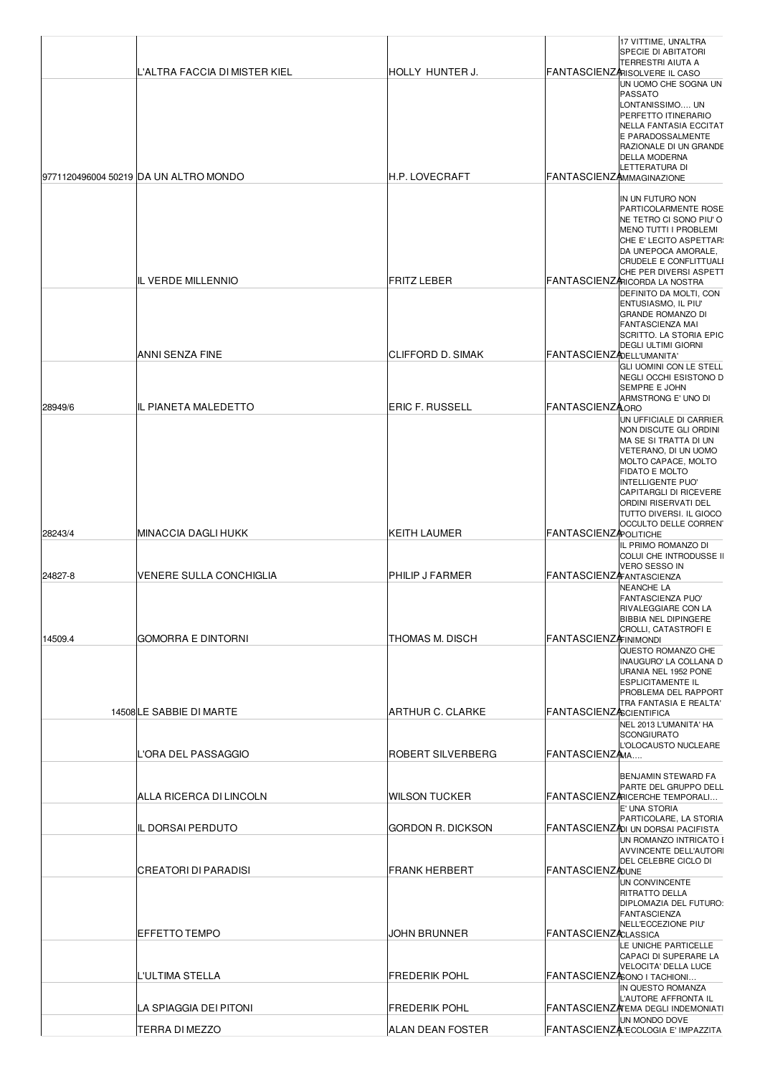|         | L'ALTRA FACCIA DI MISTER KIEL<br>9771120496004 50219 DA UN ALTRO MONDO | <b>HOLLY HUNTER J.</b><br><b>H.P. LOVECRAFT</b> | <b>FANTASCIENZAMMAGINAZIONE</b> | 17 VITTIME, UN'ALTRA<br>SPECIE DI ABITATORI<br>TERRESTRI AIUTA A<br>FANTASCIENZARISOLVERE IL CASO<br>UN UOMO CHE SOGNA UN<br><b>PASSATO</b><br>LONTANISSIMO UN<br>PERFETTO ITINERARIO<br><b>NELLA FANTASIA ECCITAT</b><br>E PARADOSSALMENTE<br><b>RAZIONALE DI UN GRANDE</b><br>DELLA MODERNA<br>LETTERATURA DI |
|---------|------------------------------------------------------------------------|-------------------------------------------------|---------------------------------|-----------------------------------------------------------------------------------------------------------------------------------------------------------------------------------------------------------------------------------------------------------------------------------------------------------------|
|         |                                                                        |                                                 |                                 | IN UN FUTURO NON                                                                                                                                                                                                                                                                                                |
|         | <b>IL VERDE MILLENNIO</b>                                              | <b>FRITZ LEBER</b>                              |                                 | PARTICOLARMENTE ROSE<br>NE TETRO CI SONO PIU'O<br>MENO TUTTI I PROBLEMI<br>CHE E' LECITO ASPETTAR<br>DA UN'EPOCA AMORALE,<br><b>CRUDELE E CONFLITTUALI</b><br>CHE PER DIVERSI ASPETT<br>FANTASCIENZARICORDA LA NOSTRA                                                                                           |
|         |                                                                        |                                                 |                                 | DEFINITO DA MOLTI, CON<br>ENTUSIASMO, IL PIU'<br><b>GRANDE ROMANZO DI</b><br><b>FANTASCIENZA MAI</b><br>SCRITTO. LA STORIA EPIC                                                                                                                                                                                 |
|         | ANNI SENZA FINE                                                        | CLIFFORD D. SIMAK                               | FANTASCIENZADELL'UMANITA'       | <b>DEGLI ULTIMI GIORNI</b>                                                                                                                                                                                                                                                                                      |
| 28949/6 | <b>IL PIANETA MALEDETTO</b>                                            | <b>ERIC F. RUSSELL</b>                          | <b>FANTASCIENZAORO</b>          | GLI UOMINI CON LE STELL<br><b>NEGLI OCCHI ESISTONO D</b><br><b>SEMPRE E JOHN</b><br>ARMSTRONG E' UNO DI                                                                                                                                                                                                         |
|         |                                                                        |                                                 |                                 | UN UFFICIALE DI CARRIER<br>NON DISCUTE GLI ORDINI                                                                                                                                                                                                                                                               |
|         |                                                                        |                                                 |                                 | MA SE SI TRATTA DI UN<br>VETERANO, DI UN UOMO<br><b>MOLTO CAPACE, MOLTO</b><br><b>FIDATO E MOLTO</b><br>INTELLIGENTE PUO'<br><b>CAPITARGLI DI RICEVERE</b><br>ORDINI RISERVATI DEL<br>TUTTO DIVERSI. IL GIOCO<br>OCCULTO DELLE CORREN                                                                           |
| 28243/4 | MINACCIA DAGLI HUKK                                                    | KEITH LAUMER                                    | <b>FANTASCIENZAPOLITICHE</b>    | IL PRIMO ROMANZO DI                                                                                                                                                                                                                                                                                             |
| 24827-8 | VENERE SULLA CONCHIGLIA                                                | PHILIP J FARMER                                 | <b>FANTASCIENZAFANTASCIENZA</b> | COLUI CHE INTRODUSSE II<br>VERO SESSO IN<br>NEANCHE LA                                                                                                                                                                                                                                                          |
| 14509.4 | <b>GOMORRA E DINTORNI</b>                                              | THOMAS M. DISCH                                 | <b>FANTASCIENZAFINIMONDI</b>    | <b>FANTASCIENZA PUO'</b><br>RIVALEGGIARE CON LA<br><b>BIBBIA NEL DIPINGERE</b><br>CROLLI, CATASTROFI E                                                                                                                                                                                                          |
|         |                                                                        |                                                 |                                 | QUESTO ROMANZO CHE<br>INAUGURO' LA COLLANA D<br>URANIA NEL 1952 PONE<br><b>ESPLICITAMENTE IL</b><br><b>PROBLEMA DEL RAPPORT</b><br>TRA FANTASIA E REALTA'                                                                                                                                                       |
|         | 14508 LE SABBIE DI MARTE                                               | <b>ARTHUR C. CLARKE</b>                         | <b>FANTASCIENZASCIENTIFICA</b>  | NEL 2013 L'UMANITA' HA                                                                                                                                                                                                                                                                                          |
|         |                                                                        |                                                 |                                 | <b>SCONGIURATO</b><br>L'OLOCAUSTO NUCLEARE                                                                                                                                                                                                                                                                      |
|         | L'ORA DEL PASSAGGIO                                                    | ROBERT SILVERBERG                               | FANTASCIENZAMA                  |                                                                                                                                                                                                                                                                                                                 |
|         | ALLA RICERCA DI LINCOLN                                                | <b>WILSON TUCKER</b>                            |                                 | BENJAMIN STEWARD FA<br>PARTE DEL GRUPPO DELL<br>FANTASCIENZARICERCHE TEMPORALI<br>E' UNA STORIA                                                                                                                                                                                                                 |
|         | IL DORSAI PERDUTO                                                      | GORDON R. DICKSON                               |                                 | PARTICOLARE, LA STORIA<br>FANTASCIENZADI UN DORSAI PACIFISTA                                                                                                                                                                                                                                                    |
|         | CREATORI DI PARADISI                                                   | <b>FRANK HERBERT</b>                            | <b>FANTASCIENZADUNE</b>         | UN ROMANZO INTRICATO I<br><b>AVVINCENTE DELL'AUTORI</b><br>DEL CELEBRE CICLO DI                                                                                                                                                                                                                                 |
|         | EFFETTO TEMPO<br>L'ULTIMA STELLA                                       | JOHN BRUNNER<br><b>FREDERIK POHL</b>            | <b>FANTASCIENZACLASSICA</b>     | UN CONVINCENTE<br>RITRATTO DELLA<br>DIPLOMAZIA DEL FUTURO:<br><b>FANTASCIENZA</b><br>NELL'ECCEZIONE PIU'<br>LE UNICHE PARTICELLE<br>CAPACI DI SUPERARE LA<br>VELOCITA' DELLA LUCE<br>FANTASCIENZASONO I TACHIONI                                                                                                |
|         |                                                                        |                                                 |                                 | IN QUESTO ROMANZA<br>L'AUTORE AFFRONTA IL                                                                                                                                                                                                                                                                       |
|         | LA SPIAGGIA DEI PITONI<br>TERRA DI MEZZO                               | <b>FREDERIK POHL</b><br>ALAN DEAN FOSTER        |                                 | FANTASCIENZA EMA DEGLI INDEMONIATI<br>UN MONDO DOVE<br>FANTASCIENZA ECOLOGIA E' IMPAZZITA                                                                                                                                                                                                                       |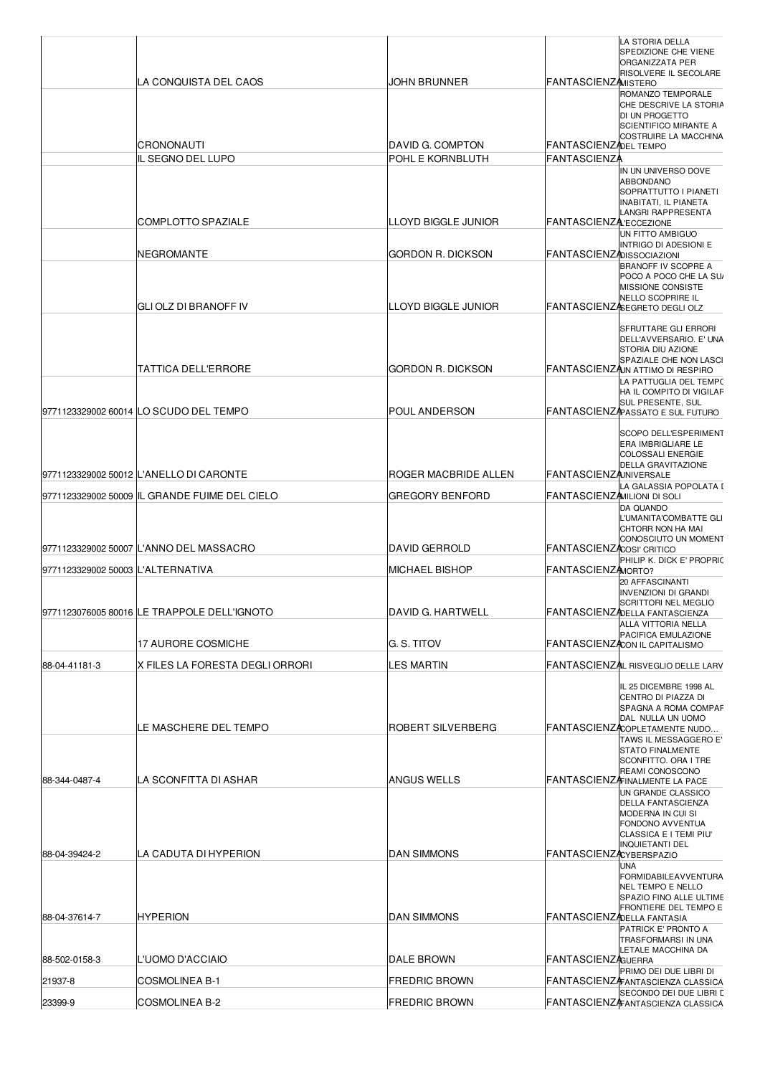|                                   | LA CONQUISTA DEL CAOS                         | JOHN BRUNNER                         | <b>FANTASCIENZAMISTERO</b>                   | LA STORIA DELLA<br>SPEDIZIONE CHE VIENE<br><b>ORGANIZZATA PER</b><br>RISOLVERE IL SECOLARE                                                                                                                   |
|-----------------------------------|-----------------------------------------------|--------------------------------------|----------------------------------------------|--------------------------------------------------------------------------------------------------------------------------------------------------------------------------------------------------------------|
|                                   |                                               |                                      |                                              | ROMANZO TEMPORALE<br>CHE DESCRIVE LA STORIA<br>DI UN PROGETTO<br><b>SCIENTIFICO MIRANTE A</b><br><b>COSTRUIRE LA MACCHINA</b>                                                                                |
|                                   | CRONONAUTI<br>IL SEGNO DEL LUPO               | DAVID G. COMPTON<br>POHL E KORNBLUTH | FANTASCIENZADEL TEMPO<br><b>FANTASCIENZA</b> |                                                                                                                                                                                                              |
|                                   | COMPLOTTO SPAZIALE                            | <b>LLOYD BIGGLE JUNIOR</b>           | <b>FANTASCIENZA:ECCEZIONE</b>                | IN UN UNIVERSO DOVE<br><b>ABBONDANO</b><br>SOPRATTUTTO I PIANETI<br>INABITATI, IL PIANETA<br>LANGRI RAPPRESENTA                                                                                              |
|                                   | NEGROMANTE                                    | GORDON R. DICKSON                    | <b>FANTASCIENZADISSOCIAZIONI</b>             | UN FITTO AMBIGUO<br>INTRIGO DI ADESIONI E<br>BRANOFF IV SCOPRE A<br>POCO A POCO CHE LA SU<br>MISSIONE CONSISTE<br>NELLO SCOPRIRE IL                                                                          |
|                                   | IGLI OLZ DI BRANOFF IV                        | LLOYD BIGGLE JUNIOR                  |                                              | FANTASCIENZASEGRETO DEGLI OLZ                                                                                                                                                                                |
|                                   | TATTICA DELL'ERRORE                           | <b>GORDON R. DICKSON</b>             |                                              | <b>SFRUTTARE GLI ERRORI</b><br>DELL'AVVERSARIO. E' UNA<br>STORIA DIU AZIONE<br>SPAZIALE CHE NON LASCI<br>FANTASCIENZAJN ATTIMO DI RESPIRO<br>LA PATTUGLIA DEL TEMPO<br>HA IL COMPITO DI VIGILAF              |
|                                   | 9771123329002 60014 LO SCUDO DEL TEMPO        | POUL ANDERSON                        |                                              | SUL PRESENTE, SUL<br>FANTASCIENZA ASSATO E SUL FUTURO                                                                                                                                                        |
|                                   |                                               |                                      |                                              | SCOPO DELL'ESPERIMENT<br><b>ERA IMBRIGLIARE LE</b><br><b>COLOSSALI ENERGIE</b><br><b>DELLA GRAVITAZIONE</b>                                                                                                  |
|                                   | 9771123329002 50012 L'ANELLO DI CARONTE       | ROGER MACBRIDE ALLEN                 | <b>FANTASCIENZAUNIVERSALE</b>                | LA GALASSIA POPOLATA I                                                                                                                                                                                       |
|                                   | 9771123329002 50009 IL GRANDE FUIME DEL CIELO | GREGORY BENFORD                      | FANTASCIENZAMILIONI DI SOLI                  | <b>DA QUANDO</b><br>L'UMANITA'COMBATTE GLI<br>CHTORR NON HA MAI                                                                                                                                              |
|                                   | 9771123329002 50007 L'ANNO DEL MASSACRO       | <b>DAVID GERROLD</b>                 | FANTASCIENZACOSI' CRITICO                    | CONOSCIUTO UN MOMENT                                                                                                                                                                                         |
| 9771123329002 50003 L'ALTERNATIVA |                                               | <b>MICHAEL BISHOP</b>                | FANTASCIENZAMORTO?                           | PHILIP K. DICK E' PROPRIC<br>20 AFFASCINANTI<br><b>INVENZIONI DI GRANDI</b>                                                                                                                                  |
|                                   | 9771123076005 80016 LE TRAPPOLE DELL'IGNOTO   | DAVID G. HARTWELL                    |                                              | <b>SCRITTORI NEL MEGLIO</b><br>FANTASCIENZADELLA FANTASCIENZA                                                                                                                                                |
|                                   | <b>17 AURORE COSMICHE</b>                     | G. S. TITOV                          |                                              | ALLA VITTORIA NELLA<br>PACIFICA EMULAZIONE<br>FANTASCIENZACON IL CAPITALISMO                                                                                                                                 |
| 88-04-41181-3                     | IX FILES LA FORESTA DEGLI ORRORI              | LES MARTIN                           |                                              | FANTASCIENZAL RISVEGLIO DELLE LARV                                                                                                                                                                           |
|                                   | LE MASCHERE DEL TEMPO                         | ROBERT SILVERBERG                    |                                              | IL 25 DICEMBRE 1998 AL<br>CENTRO DI PIAZZA DI<br>SPAGNA A ROMA COMPAF<br>DAL NULLA UN UOMO<br>FANTASCIENZACOPLETAMENTE NUDO                                                                                  |
| 88-344-0487-4                     | LA SCONFITTA DI ASHAR                         | ANGUS WELLS                          |                                              | TAWS IL MESSAGGERO E'<br><b>STATO FINALMENTE</b><br>SCONFITTO. ORA I TRE<br>REAMI CONOSCONO<br><b>FANTASCIENZAFINALMENTE LA PACE</b><br>UN GRANDE CLASSICO<br><b>DELLA FANTASCIENZA</b><br>MODERNA IN CUI SI |
| 88-04-39424-2                     | LA CADUTA DI HYPERION                         | <b>DAN SIMMONS</b>                   | <b>FANTASCIENZACYBERSPAZIO</b>               | <b>FONDONO AVVENTUA</b><br>CLASSICA E I TEMI PIU'<br><b>INQUIETANTI DEL</b><br><b>UNA</b><br><b>FORMIDABILEAVVENTURA</b>                                                                                     |
| 88-04-37614-7                     | HYPERION                                      | <b>DAN SIMMONS</b>                   | <b>FANTASCIENZADELLA FANTASIA</b>            | <b>NEL TEMPO E NELLO</b><br>SPAZIO FINO ALLE ULTIME<br><b>FRONTIERE DEL TEMPO E</b><br>PATRICK E' PRONTO A<br>TRASFORMARSI IN UNA                                                                            |
| 88-502-0158-3                     | L'UOMO D'ACCIAIO                              | DALE BROWN                           | <b>FANTASCIENZAGUERRA</b>                    | LETALE MACCHINA DA                                                                                                                                                                                           |
| 21937-8                           | <b>COSMOLINEA B-1</b>                         | <b>FREDRIC BROWN</b>                 |                                              | PRIMO DEI DUE LIBRI DI<br>FANTASCIENZAFANTASCIENZA CLASSICA                                                                                                                                                  |
| 23399-9                           | <b>COSMOLINEA B-2</b>                         | <b>FREDRIC BROWN</b>                 |                                              | SECONDO DEI DUE LIBRI I<br><b>FANTASCIENZAFANTASCIENZA CLASSICA</b>                                                                                                                                          |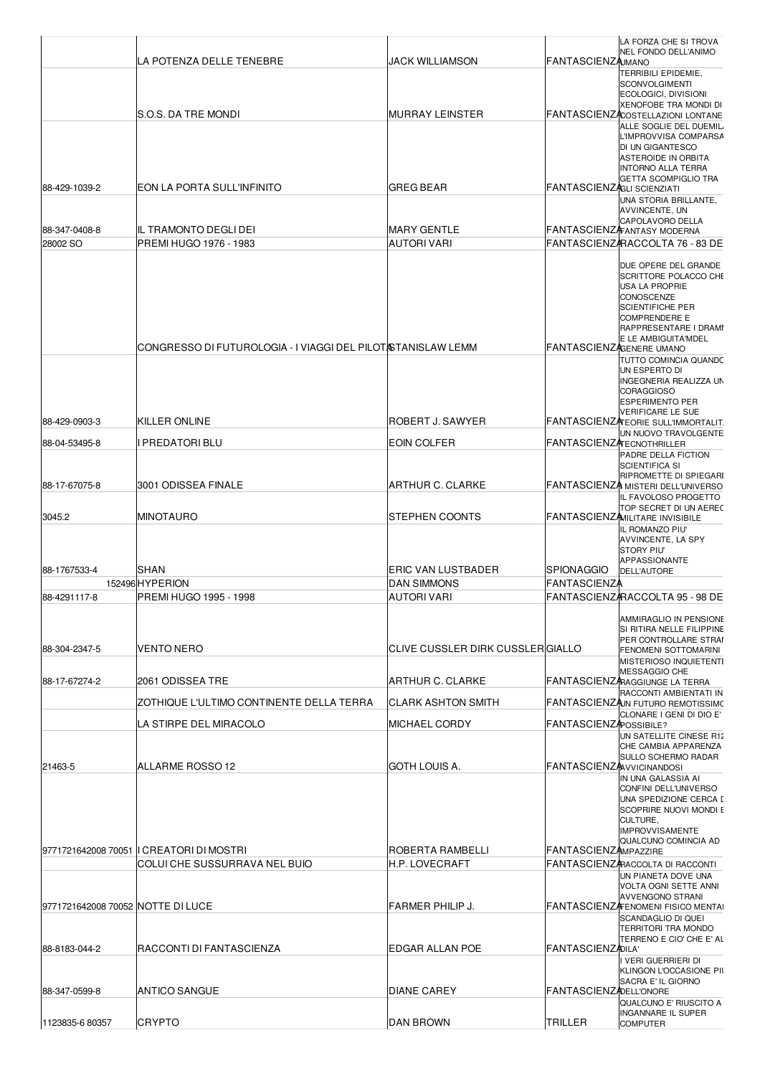|                                   | LA POTENZA DELLE TENEBRE                                                   | JACK WILLIAMSON                    | <b>FANTASCIENZAMANO</b>          | LA FORZA CHE SI TROVA<br>NEL FONDO DELL'ANIMO                                                                                                                                                                                                                             |
|-----------------------------------|----------------------------------------------------------------------------|------------------------------------|----------------------------------|---------------------------------------------------------------------------------------------------------------------------------------------------------------------------------------------------------------------------------------------------------------------------|
|                                   | S.O.S. DA TRE MONDI                                                        | <b>MURRAY LEINSTER</b>             |                                  | TERRIBILI EPIDEMIE,<br><b>SCONVOLGIMENTI</b><br>ECOLOGICI, DIVISIONI<br>XENOFOBE TRA MONDI DI<br><b>FANTASCIENZACOSTELLAZIONI LONTANE</b>                                                                                                                                 |
|                                   |                                                                            |                                    |                                  | ALLE SOGLIE DEL DUEMIL<br>L'IMPROVVISA COMPARSA<br>DI UN GIGANTESCO<br>ASTEROIDE IN ORBITA<br><b>INTORNO ALLA TERRA</b><br><b>GETTA SCOMPIGLIO TRA</b>                                                                                                                    |
| 88-429-1039-2                     | EON LA PORTA SULL'INFINITO                                                 | GREG BEAR                          | FANTASCIENZAGLI SCIENZIATI       | UNA STORIA BRILLANTE,<br>AVVINCENTE, UN                                                                                                                                                                                                                                   |
| 88-347-0408-8<br>28002 SO         | IIL TRAMONTO DEGLI DEI<br>PREMI HUGO 1976 - 1983                           | <b>MARY GENTLE</b><br>AUTORI VARI  |                                  | CAPOLAVORO DELLA<br>FANTASCIENZ FANTASY MODERNA<br>FANTASCIENZARACCOLTA 76 - 83 DE                                                                                                                                                                                        |
|                                   | CONGRESSO DI FUTUROLOGIA - I VIAGGI DEL PILOTA TANISLAW LEMM               |                                    | FANTASCIENZAGENERE UMANO         | DUE OPERE DEL GRANDE<br>SCRITTORE POLACCO CHE<br><b>USA LA PROPRIE</b><br><b>CONOSCENZE</b><br><b>SCIENTIFICHE PER</b><br><b>COMPRENDERE E</b><br>RAPPRESENTARE I DRAMI<br>E LE AMBIGUITA'MDEL<br>TUTTO COMINCIA QUANDC<br>UN ESPERTO DI<br><b>INGEGNERIA REALIZZA UN</b> |
| 88-429-0903-3                     | KILLER ONLINE                                                              | ROBERT J. SAWYER                   |                                  | <b>CORAGGIOSO</b><br><b>ESPERIMENTO PER</b><br>VERIFICARE LE SUE                                                                                                                                                                                                          |
|                                   |                                                                            | <b>EOIN COLFER</b>                 |                                  | FANTASCIENZA EORIE SULL'IMMORTALIT<br>UN NUOVO TRAVOLGENTE                                                                                                                                                                                                                |
| 88-04-53495-8                     | I PREDATORI BLU                                                            |                                    | <b>FANTASCIENZATECNOTHRILLER</b> | PADRE DELLA FICTION                                                                                                                                                                                                                                                       |
| 88-17-67075-8                     | 3001 ODISSEA FINALE                                                        | <b>ARTHUR C. CLARKE</b>            |                                  | <b>SCIENTIFICA SI</b><br>RIPROMETTE DI SPIEGARI<br>FANTASCIENZA MISTERI DELL'UNIVERSO<br>IL FAVOLOSO PROGETTO                                                                                                                                                             |
| 3045.2                            | MINOTAURO                                                                  | STEPHEN COONTS                     |                                  | TOP SECRET DI UN AEREC<br>FANTASCIENZAMILITARE INVISIBILE<br>IL ROMANZO PIU'<br>AVVINCENTE, LA SPY<br><b>STORY PIU'</b>                                                                                                                                                   |
| 88-1767533-4                      | <b>SHAN</b>                                                                | ERIC VAN LUSTBADER                 | <b>SPIONAGGIO</b>                | APPASSIONANTE<br><b>DELL'AUTORE</b>                                                                                                                                                                                                                                       |
| 88-4291117-8                      | 152496HYPERION<br>PREMI HUGO 1995 - 1998                                   | <b>DAN SIMMONS</b><br>AUTORI VARI  | <b>FANTASCIENZ</b>               | FANTASCIENZARACCOLTA 95 - 98 DE                                                                                                                                                                                                                                           |
| 88-304-2347-5                     | <b>VENTO NERO</b>                                                          | CLIVE CUSSLER DIRK CUSSLER GIALLO  |                                  | AMMIRAGLIO IN PENSIONE<br>SI RITIRA NELLE FILIPPINE<br>PER CONTROLLARE STRAI<br>FENOMENI SOTTOMARINI                                                                                                                                                                      |
|                                   |                                                                            |                                    |                                  | MISTERIOSO INQUIETENTI<br><b>MESSAGGIO CHE</b>                                                                                                                                                                                                                            |
| 88-17-67274-2                     | 2061 ODISSEA TRE                                                           | ARTHUR C. CLARKE                   |                                  | FANTASCIENZARAGGIUNGE LA TERRA<br>RACCONTI AMBIENTATI IN                                                                                                                                                                                                                  |
|                                   | ZOTHIQUE L'ULTIMO CONTINENTE DELLA TERRA                                   | <b>CLARK ASHTON SMITH</b>          |                                  | FANTASCIENZAJN FUTURO REMOTISSIMO<br>CLONARE I GENI DI DIO E'                                                                                                                                                                                                             |
|                                   | LA STIRPE DEL MIRACOLO                                                     | <b>MICHAEL CORDY</b>               | FANTASCIENZAPOSSIBILE?           | UN SATELLITE CINESE R12<br>CHE CAMBIA APPARENZA                                                                                                                                                                                                                           |
| 21463-5                           | ALLARME ROSSO 12                                                           | GOTH LOUIS A.                      | <b>FANTASCIENZANVICINANDOSI</b>  | SULLO SCHERMO RADAR                                                                                                                                                                                                                                                       |
|                                   |                                                                            |                                    |                                  | IN UNA GALASSIA AI<br>CONFINI DELL'UNIVERSO<br>UNA SPEDIZIONE CERCA I<br>SCOPRIRE NUOVI MONDI E<br>CULTURE,<br><b>IMPROVVISAMENTE</b><br>QUALCUNO COMINCIA AD                                                                                                             |
|                                   | 9771721642008 70051  I CREATORI DI MOSTRI<br>COLUI CHE SUSSURRAVA NEL BUIO | ROBERTA RAMBELLI<br>H.P. LOVECRAFT | <b>FANTASCIENZAMPAZZIRE</b>      | FANTASCIENZARACCOLTA DI RACCONTI                                                                                                                                                                                                                                          |
|                                   |                                                                            |                                    |                                  | UN PIANETA DOVE UNA<br><b>VOLTA OGNI SETTE ANNI</b><br><b>AVVENGONO STRANI</b>                                                                                                                                                                                            |
| 9771721642008 70052 NOTTE DI LUCE |                                                                            | <b>FARMER PHILIP J.</b>            |                                  | FANTASCIENZA ENOMENI FISICO MENTAL<br>SCANDAGLIO DI QUEI                                                                                                                                                                                                                  |
| 88-8183-044-2                     | RACCONTI DI FANTASCIENZA                                                   | EDGAR ALLAN POE                    | <b>FANTASCIENZADILA'</b>         | TERRITORI TRA MONDO<br>TERRENO E CIO' CHE E' AL<br>i veri guerrieri di                                                                                                                                                                                                    |
| 88-347-0599-8                     | ANTICO SANGUE                                                              | <b>DIANE CAREY</b>                 | <b>FANTASCIENZADELL'ONORE</b>    | KLINGON L'OCCASIONE PII<br>SACRA E' IL GIORNO                                                                                                                                                                                                                             |
| 1123835-6 80357                   | <b>CRYPTO</b>                                                              | DAN BROWN                          | TRILLER                          | QUALCUNO E' RIUSCITO A<br>INGANNARE IL SUPER<br><b>COMPUTER</b>                                                                                                                                                                                                           |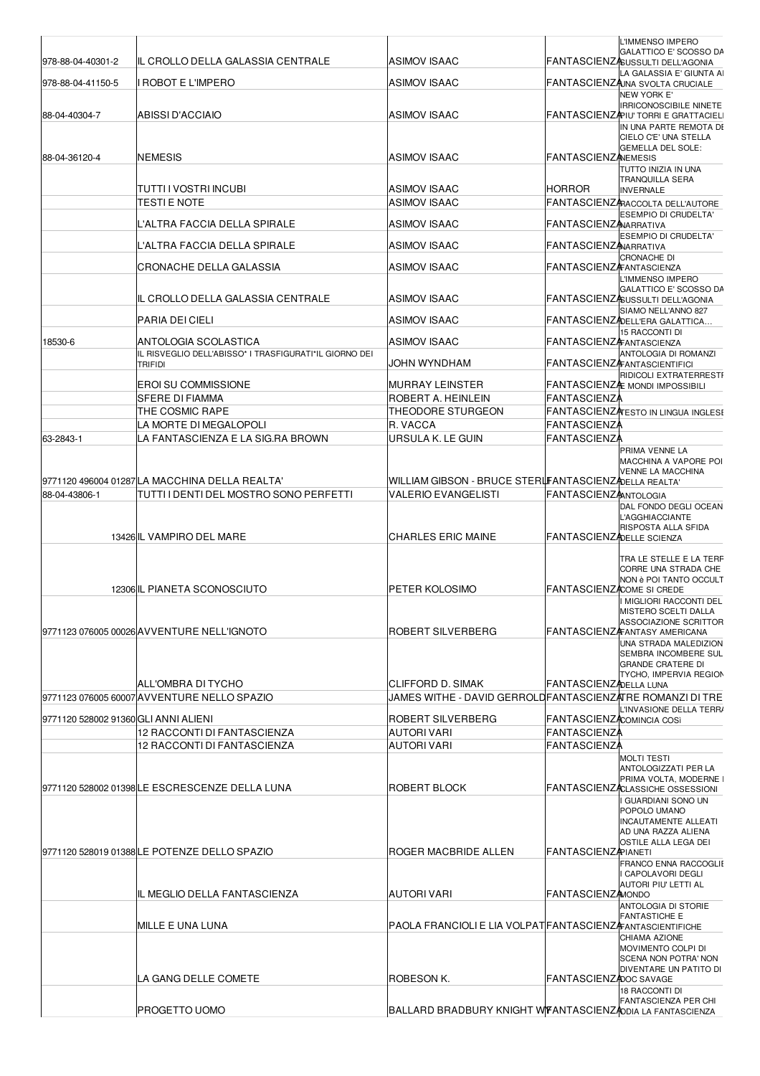| 978-88-04-40301-2<br>978-88-04-41150-5 | IIL CROLLO DELLA GALASSIA CENTRALE<br>I ROBOT E L'IMPERO                     | <b>ASIMOV ISAAC</b><br><b>ASIMOV ISAAC</b>                                     |                                  | L'IMMENSO IMPERO<br>GALATTICO E' SCOSSO DA<br>FANTASCIENZASUSSULTI DELL'AGONIA<br>LA GALASSIA E' GIUNTA AI<br>FANTASCIENZAJNA SVOLTA CRUCIALE                                                                                 |
|----------------------------------------|------------------------------------------------------------------------------|--------------------------------------------------------------------------------|----------------------------------|-------------------------------------------------------------------------------------------------------------------------------------------------------------------------------------------------------------------------------|
| 88-04-40304-7                          | ABISSI D'ACCIAIO                                                             | <b>ASIMOV ISAAC</b>                                                            |                                  | <b>NEW YORK E'</b><br>IRRICONOSCIBILE NINETE<br>FANTASCIENZAPIU' TORRI E GRATTACIELI                                                                                                                                          |
| 88-04-36120-4                          | <b>INEMESIS</b>                                                              | <b>ASIMOV ISAAC</b>                                                            | <b>FANTASCIENZANEMESIS</b>       | IN UNA PARTE REMOTA DI<br>CIELO C'E' UNA STELLA<br>GEMELLA DEL SOLE:                                                                                                                                                          |
|                                        |                                                                              |                                                                                |                                  | TUTTO INIZIA IN UNA<br><b>TRANQUILLA SERA</b>                                                                                                                                                                                 |
|                                        | ITUTTI I VOSTRI INCUBI                                                       | <b>ASIMOV ISAAC</b>                                                            | HORROR                           | <b>INVERNALE</b>                                                                                                                                                                                                              |
|                                        | TESTI E NOTE                                                                 | <b>ASIMOV ISAAC</b>                                                            |                                  | FANTASCIENZARACCOLTA DELL'AUTORE<br>ESEMPIO DI CRUDELTA'                                                                                                                                                                      |
|                                        | L'ALTRA FACCIA DELLA SPIRALE                                                 | <b>ASIMOV ISAAC</b>                                                            | <b>FANTASCIENZANARRATIVA</b>     | ESEMPIO DI CRUDELTA'                                                                                                                                                                                                          |
|                                        | L'ALTRA FACCIA DELLA SPIRALE                                                 | <b>ASIMOV ISAAC</b>                                                            | <b>FANTASCIENZANARRATIVA</b>     |                                                                                                                                                                                                                               |
|                                        | CRONACHE DELLA GALASSIA                                                      | <b>ASIMOV ISAAC</b>                                                            | <b>FANTASCIENZAFANTASCIENZA</b>  | CRONACHE DI<br>L'IMMENSO IMPERO                                                                                                                                                                                               |
|                                        | lIL CROLLO DELLA GALASSIA CENTRALE                                           | ASIMOV ISAAC                                                                   |                                  | GALATTICO E' SCOSSO DA<br>FANTASCIENZASUSSULTI DELL'AGONIA                                                                                                                                                                    |
|                                        | PARIA DEI CIELI                                                              | <b>ASIMOV ISAAC</b>                                                            |                                  | SIAMO NELL'ANNO 827<br>FANTASCIENZADELL'ERA GALATTICA                                                                                                                                                                         |
| 18530-6                                | IANTOLOGIA SCOLASTICA                                                        | <b>ASIMOV ISAAC</b>                                                            | <b>FANTASCIENZA</b> FANTASCIENZA | 15 RACCONTI DI                                                                                                                                                                                                                |
|                                        | IL RISVEGLIO DELL'ABISSO* I TRASFIGURATI*IL GIORNO DEI<br><b>TRIFIDI</b>     | JOHN WYNDHAM                                                                   |                                  | ANTOLOGIA DI ROMANZI<br><b>FANTASCIENZAFANTASCIENTIFICI</b>                                                                                                                                                                   |
|                                        | <b>EROI SU COMMISSIONE</b>                                                   | <b>MURRAY LEINSTER</b>                                                         |                                  | RIDICOLI EXTRATERRESTI                                                                                                                                                                                                        |
|                                        | SFERE DI FIAMMA                                                              | ROBERT A. HEINLEIN                                                             | FANTASCIENZA                     | FANTASCIENZA: MONDI IMPOSSIBILI                                                                                                                                                                                               |
|                                        | THE COSMIC RAPE                                                              | THEODORE STURGEON                                                              |                                  | <b>FANTASCIENZATESTO IN LINGUA INGLESI</b>                                                                                                                                                                                    |
|                                        | LA MORTE DI MEGALOPOLI                                                       | R. VACCA                                                                       | <b>FANTASCIENZA</b>              |                                                                                                                                                                                                                               |
| 63-2843-1                              | LA FANTASCIENZA E LA SIG.RA BROWN                                            | URSULA K. LE GUIN                                                              | <b>FANTASCIENZA</b>              |                                                                                                                                                                                                                               |
|                                        | 9771120 496004 01287LA MACCHINA DELLA REALTA'                                | WILLIAM GIBSON - BRUCE STERLFANTASCIENZADELLA REALTA'                          |                                  | PRIMA VENNE LA<br>MACCHINA A VAPORE POI<br>VENNE LA MACCHINA                                                                                                                                                                  |
| 88-04-43806-1                          | TUTTI I DENTI DEL MOSTRO SONO PERFETTI                                       | <b>VALERIO EVANGELISTI</b>                                                     | <b>FANTASCIENZANTOLOGIA</b>      |                                                                                                                                                                                                                               |
|                                        | 13426 IL VAMPIRO DEL MARE                                                    | <b>CHARLES ERIC MAINE</b>                                                      | FANTASCIENZADELLE SCIENZA        | DAL FONDO DEGLI OCEAN<br><b>L'AGGHIACCIANTE</b><br>RISPOSTA ALLA SFIDA                                                                                                                                                        |
|                                        | 12306 IL PIANETA SCONOSCIUTO<br>9771123 076005 00026 AVVENTURE NELL'IGNOTO   | PETER KOLOSIMO<br>ROBERT SILVERBERG                                            | <b>FANTASCIENZACOME SI CREDE</b> | TRA LE STELLE E LA TERF<br>CORRE UNA STRADA CHE<br>NON è POI TANTO OCCULT<br>I MIGLIORI RACCONTI DEL<br>MISTERO SCELTI DALLA<br>ASSOCIAZIONE SCRITTOR<br>FANTASCIENZAFANTASY AMERICANA<br>UNA STRADA MALEDIZION               |
|                                        | ALL'OMBRA DI TYCHO<br>9771123 076005 60007 AVVENTURE NELLO SPAZIO            | CLIFFORD D. SIMAK<br>JAMES WITHE - DAVID GERROLDFANTASCIENZATRE ROMANZI DI TRE | FANTASCIENZADELLA LUNA           | SEMBRA INCOMBERE SUL<br><b>GRANDE CRATERE DI</b><br>TYCHO, IMPERVIA REGION<br>L'INVASIONE DELLA TERRA                                                                                                                         |
| 19771120 528002 91360lGLI ANNI ALIENI  |                                                                              | ROBERT SILVERBERG                                                              | FANTASCIENZACOMINCIA COSì        |                                                                                                                                                                                                                               |
|                                        | 12 RACCONTI DI FANTASCIENZA                                                  | <b>AUTORI VARI</b>                                                             | <b>FANTASCIENZA</b>              |                                                                                                                                                                                                                               |
|                                        | 12 RACCONTI DI FANTASCIENZA<br>9771120 528002 01398LE ESCRESCENZE DELLA LUNA | <b>AUTORI VARI</b><br>ROBERT BLOCK                                             | <b>FANTASCIENZA</b>              | <b>MOLTI TESTI</b><br>ANTOLOGIZZATI PER LA<br>PRIMA VOLTA, MODERNE I<br>FANTASCIENZACLASSICHE OSSESSIONI<br>I GUARDIANI SONO UN<br>POPOLO UMANO<br><b>INCAUTAMENTE ALLEATI</b><br>AD UNA RAZZA ALIENA<br>OSTILE ALLA LEGA DEI |
|                                        | 9771120 528019 01388LE POTENZE DELLO SPAZIO                                  | ROGER MACBRIDE ALLEN                                                           | <b>FANTASCIENZAPIANETI</b>       |                                                                                                                                                                                                                               |
|                                        | IL MEGLIO DELLA FANTASCIENZA                                                 | <b>AUTORI VARI</b>                                                             | <b>FANTASCIENZAMONDO</b>         | FRANCO ENNA RACCOGLIE<br>I CAPOLAVORI DEGLI<br>AUTORI PIU' LETTI AL                                                                                                                                                           |
|                                        |                                                                              |                                                                                |                                  | ANTOLOGIA DI STORIE<br><b>FANTASTICHE E</b>                                                                                                                                                                                   |
|                                        | MILLE E UNA LUNA                                                             | PAOLA FRANCIOLI E LIA VOLPATFANTASCIENZA ANTASCIENTIFICHE                      |                                  |                                                                                                                                                                                                                               |
|                                        | ILA GANG DELLE COMETE                                                        | ROBESON K.                                                                     | FANTASCIENZADOC SAVAGE           | CHIAMA AZIONE<br>MOVIMENTO COLPI DI<br>SCENA NON POTRA' NON<br>DIVENTARE UN PATITO DI<br>18 RACCONTI DI                                                                                                                       |
|                                        | <b>PROGETTO UOMO</b>                                                         | BALLARD BRADBURY KNIGHT WFANTASCIENZ ODIA LA FANTASCIENZA                      |                                  | <b>FANTASCIENZA PER CHI</b>                                                                                                                                                                                                   |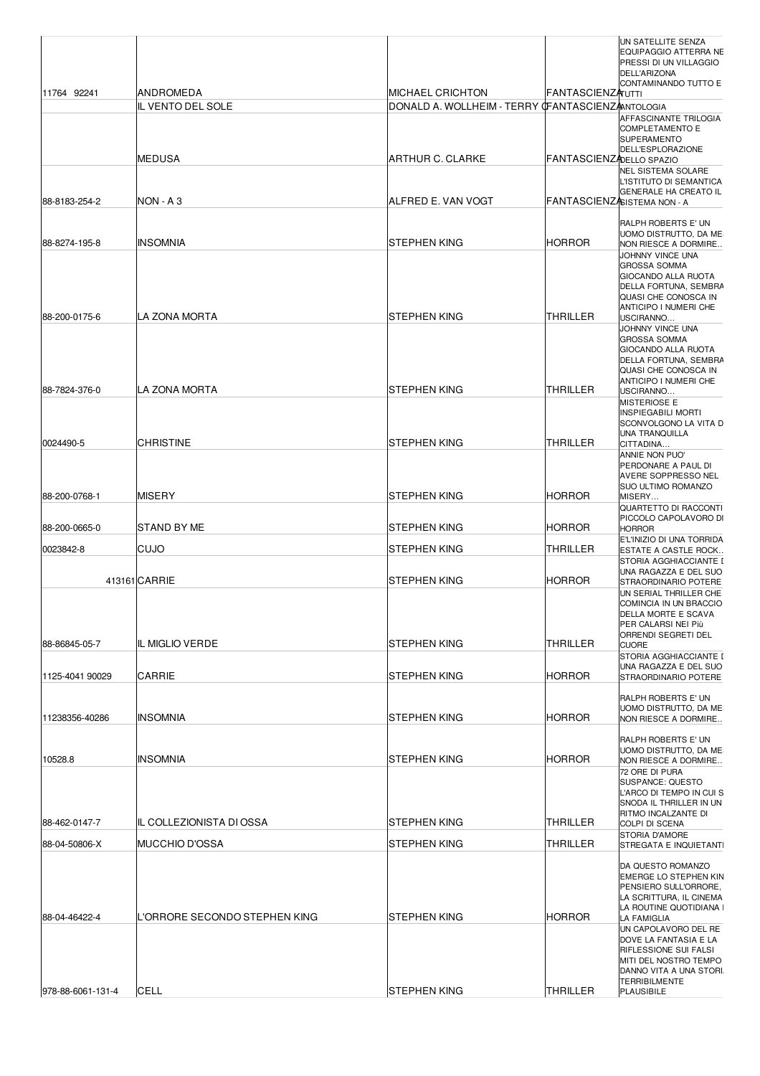| 11764 92241       | ANDROMEDA                     | MICHAEL CRICHTON                                 | <b>FANTASCIENZAUTTI</b>  | UN SATELLITE SENZA<br>EQUIPAGGIO ATTERRA NE<br>PRESSI DI UN VILLAGGIO<br><b>DELL'ARIZONA</b><br>CONTAMINANDO TUTTO E                                                                                                                                                            |
|-------------------|-------------------------------|--------------------------------------------------|--------------------------|---------------------------------------------------------------------------------------------------------------------------------------------------------------------------------------------------------------------------------------------------------------------------------|
|                   | IL VENTO DEL SOLE             | DONALD A. WOLLHEIM - TERRY OFANTASCIENZANTOLOGIA |                          |                                                                                                                                                                                                                                                                                 |
|                   | MEDUSA                        | ARTHUR C. CLARKE                                 | FANTASCIENZ DELLO SPAZIO | AFFASCINANTE TRILOGIA<br><b>COMPLETAMENTO E</b><br><b>SUPERAMENTO</b><br>DELL'ESPLORAZIONE                                                                                                                                                                                      |
| 88-8183-254-2     | NON - A 3                     | IALFRED E. VAN VOGT                              |                          | <b>NEL SISTEMA SOLARE</b><br>L'ISTITUTO DI SEMANTICA<br><b>GENERALE HA CREATO IL</b><br>FANTASCIENZASISTEMA NON - A                                                                                                                                                             |
|                   |                               |                                                  |                          | <b>RALPH ROBERTS E' UN</b>                                                                                                                                                                                                                                                      |
| 88-8274-195-8     | <b>INSOMNIA</b>               | STEPHEN KING                                     | HORROR                   | UOMO DISTRUTTO, DA ME<br>NON RIESCE A DORMIRE                                                                                                                                                                                                                                   |
| 88-200-0175-6     | LA ZONA MORTA                 | <b>STEPHEN KING</b>                              | <b>THRILLER</b>          | JOHNNY VINCE UNA<br><b>GROSSA SOMMA</b><br><b>GIOCANDO ALLA RUOTA</b><br>DELLA FORTUNA, SEMBRA<br>QUASI CHE CONOSCA IN<br>ANTICIPO I NUMERI CHE<br>USCIRANNO<br>JOHNNY VINCE UNA<br><b>GROSSA SOMMA</b><br>GIOCANDO ALLA RUOTA<br>DELLA FORTUNA, SEMBRA<br>QUASI CHE CONOSCA IN |
| 88-7824-376-0     | LA ZONA MORTA                 | STEPHEN KING                                     | THRILLER                 | ANTICIPO I NUMERI CHE<br>USCIRANNO<br><b>MISTERIOSE E</b><br><b>INSPIEGABILI MORTI</b><br>SCONVOLGONO LA VITA D                                                                                                                                                                 |
| 0024490-5         | <b>CHRISTINE</b>              | STEPHEN KING                                     | THRILLER                 | <b>UNA TRANQUILLA</b><br>CITTADINA<br>ANNIE NON PUO'<br>PERDONARE A PAUL DI<br><b>AVERE SOPPRESSO NEL</b>                                                                                                                                                                       |
| 88-200-0768-1     | MISERY                        | STEPHEN KING                                     | HORROR                   | <b>SUO ULTIMO ROMANZO</b><br>MISERY<br><b>QUARTETTO DI RACCONTI</b>                                                                                                                                                                                                             |
| 88-200-0665-0     | STAND BY ME                   | STEPHEN KING                                     | Horror                   | PICCOLO CAPOLAVORO DI<br><b>HORROR</b>                                                                                                                                                                                                                                          |
| 0023842-8         | CUJO                          | STEPHEN KING                                     | THRILLER                 | E'L'INIZIO DI UNA TORRIDA<br>ESTATE A CASTLE ROCK<br>STORIA AGGHIACCIANTE I<br>UNA RAGAZZA E DEL SUO                                                                                                                                                                            |
|                   | 413161 CARRIE                 | STEPHEN KING                                     | HORROR                   | STRAORDINARIO POTERE<br>UN SERIAL THRILLER CHE<br>COMINCIA IN UN BRACCIO<br>DELLA MORTE E SCAVA<br>PER CALARSI NEI Più<br><b>ORRENDI SEGRETI DEL</b>                                                                                                                            |
| 88-86845-05-7     | IL MIGLIO VERDE               | STEPHEN KING                                     | <b>THRILLER</b>          | <b>CUORE</b><br>STORIA AGGHIACCIANTE I                                                                                                                                                                                                                                          |
| 1125-4041 90029   | CARRIE                        | <b>STEPHEN KING</b>                              | HORROR                   | UNA RAGAZZA E DEL SUO<br>STRAORDINARIO POTERE                                                                                                                                                                                                                                   |
| 11238356-40286    | <b>INSOMNIA</b>               | STEPHEN KING                                     | Horror                   | <b>RALPH ROBERTS E' UN</b><br>UOMO DISTRUTTO, DA ME<br>NON RIESCE A DORMIRE                                                                                                                                                                                                     |
| 10528.8           | <b>INSOMNIA</b>               | STEPHEN KING                                     | Horror                   | RALPH ROBERTS E' UN<br>UOMO DISTRUTTO, DA ME<br>NON RIESCE A DORMIRE<br>72 ORE DI PURA<br><b>SUSPANCE: QUESTO</b><br>L'ARCO DI TEMPO IN CUI S<br>SNODA IL THRILLER IN UN                                                                                                        |
| 88-462-0147-7     | IL COLLEZIONISTA DI OSSA      | STEPHEN KING                                     | THRILLER                 | RITMO INCALZANTE DI<br>COLPI DI SCENA                                                                                                                                                                                                                                           |
| 88-04-50806-X     | <b>MUCCHIO D'OSSA</b>         | <b>STEPHEN KING</b>                              | THRILLER                 | <b>STORIA D'AMORE</b><br>STREGATA E INQUIETANTI                                                                                                                                                                                                                                 |
| 88-04-46422-4     | L'ORRORE SECONDO STEPHEN KING | STEPHEN KING                                     | Horror                   | DA QUESTO ROMANZO<br><b>EMERGE LO STEPHEN KIN</b><br>PENSIERO SULL'ORRORE,<br>LA SCRITTURA, IL CINEMA<br>LA ROUTINE QUOTIDIANA I<br>LA FAMIGLIA<br>UN CAPOLAVORO DEL RE                                                                                                         |
| 978-88-6061-131-4 | CELL                          | STEPHEN KING                                     | THRILLER                 | DOVE LA FANTASIA E LA<br><b>RIFLESSIONE SUI FALSI</b><br>MITI DEL NOSTRO TEMPO<br>DANNO VITA A UNA STORI.<br><b>TERRIBILMENTE</b><br><b>PLAUSIBILE</b>                                                                                                                          |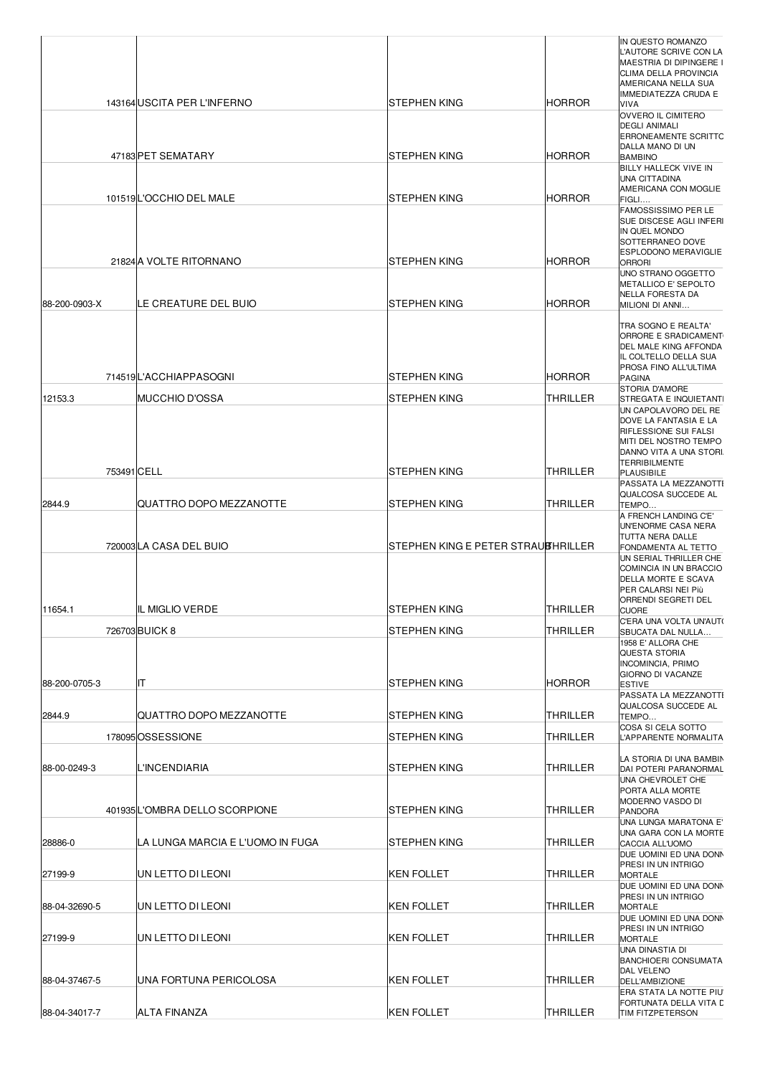|               |             |                                  |                                    |                 | IN QUESTO ROMANZO<br>L'AUTORE SCRIVE CON LA<br>MAESTRIA DI DIPINGERE I                                                                              |
|---------------|-------------|----------------------------------|------------------------------------|-----------------|-----------------------------------------------------------------------------------------------------------------------------------------------------|
|               |             |                                  |                                    |                 | CLIMA DELLA PROVINCIA<br>AMERICANA NELLA SUA<br><b>IMMEDIATEZZA CRUDA E</b>                                                                         |
|               |             | 143164 USCITA PER L'INFERNO      | STEPHEN KING                       | <b>HORROR</b>   | VIVA<br>OVVERO IL CIMITERO<br><b>DEGLI ANIMALI</b><br><b>ERRONEAMENTE SCRITTC</b>                                                                   |
|               |             | 47183 PET SEMATARY               | STEPHEN KING                       | <b>HORROR</b>   | DALLA MANO DI UN<br><b>BAMBINO</b><br>BILLY HALLECK VIVE IN<br><b>UNA CITTADINA</b>                                                                 |
|               |             | 101519L'OCCHIO DEL MALE          | STEPHEN KING                       | <b>HORROR</b>   | AMERICANA CON MOGLIE<br>FIGLI<br><b>FAMOSSISSIMO PER LE</b>                                                                                         |
|               |             |                                  |                                    |                 | SUE DISCESE AGLI INFERI<br>IN QUEL MONDO<br>SOTTERRANEO DOVE<br><b>ESPLODONO MERAVIGLIE</b>                                                         |
|               |             | 21824 A VOLTE RITORNANO          | STEPHEN KING                       | <b>HORROR</b>   | <b>ORRORI</b><br>UNO STRANO OGGETTO<br>METALLICO E' SEPOLTO<br>NELLA FORESTA DA                                                                     |
| 88-200-0903-X |             | LE CREATURE DEL BUIO             | STEPHEN KING                       | <b>HORROR</b>   | MILIONI DI ANNI<br>TRA SOGNO E REALTA'<br>ORRORE E SRADICAMENT                                                                                      |
|               |             | 714519L'ACCHIAPPASOGNI           | STEPHEN KING                       | <b>HORROR</b>   | DEL MALE KING AFFONDA<br>IL COLTELLO DELLA SUA<br>PROSA FINO ALL'ULTIMA<br><b>PAGINA</b>                                                            |
|               |             |                                  |                                    |                 | STORIA D'AMORE                                                                                                                                      |
| 12153.3       |             | IMUCCHIO D'OSSA                  | STEPHEN KING                       | THRILLER        | STREGATA E INQUIETANTI<br>UN CAPOLAVORO DEL RE<br>DOVE LA FANTASIA E LA<br>RIFLESSIONE SUI FALSI<br>MITI DEL NOSTRO TEMPO<br>DANNO VITA A UNA STORI |
|               | 753491 CELL |                                  | STEPHEN KING                       | THRILLER        | <b>TERRIBILMENTE</b><br><b>PLAUSIBILE</b><br>PASSATA LA MEZZANOTTI                                                                                  |
| 2844.9        |             | IQUATTRO DOPO MEZZANOTTE         | STEPHEN KING                       | THRILLER        | QUALCOSA SUCCEDE AL<br>TEMPO<br>A FRENCH LANDING C'E'                                                                                               |
|               |             | 720003 LA CASA DEL BUIO          | STEPHEN KING E PETER STRAUBHRILLER |                 | UN'ENORME CASA NERA<br>TUTTA NERA DALLE<br>FONDAMENTA AL TETTO<br>UN SERIAL THRILLER CHE<br>COMINCIA IN UN BRACCIO<br>DELLA MORTE E SCAVA           |
| 11654.1       |             | IL MIGLIO VERDE                  | STEPHEN KING                       | <b>THRILLER</b> | PER CALARSI NEI Più<br>ORRENDI SEGRETI DEL<br><b>CUORE</b>                                                                                          |
|               |             | 726703 BUICK 8                   | STEPHEN KING                       | THRILLER        | C'ERA UNA VOLTA UN'AUT(<br>SBUCATA DAL NULLA                                                                                                        |
| 88-200-0705-3 |             | IΙT                              | STEPHEN KING                       | <b>HORROR</b>   | 1958 E' ALLORA CHE<br>QUESTA STORIA<br><b>INCOMINCIA, PRIMO</b><br><b>GIORNO DI VACANZE</b><br><b>ESTIVE</b>                                        |
| 2844.9        |             | QUATTRO DOPO MEZZANOTTE          | STEPHEN KING                       | THRILLER        | PASSATA LA MEZZANOTTI<br>QUALCOSA SUCCEDE AL<br>TEMPO                                                                                               |
|               |             | 178095 OSSESSIONE                | STEPHEN KING                       | THRILLER        | COSA SI CELA SOTTO<br>L'APPARENTE NORMALITA                                                                                                         |
| 88-00-0249-3  |             | <b>L'INCENDIARIA</b>             | STEPHEN KING                       | THRILLER        | LA STORIA DI UNA BAMBIN<br>DAI POTERI PARANORMAL                                                                                                    |
|               |             | 401935L'OMBRA DELLO SCORPIONE    | STEPHEN KING                       | THRILLER        | UNA CHEVROLET CHE<br>PORTA ALLA MORTE<br>MODERNO VASDO DI<br><b>PANDORA</b>                                                                         |
| 28886-0       |             | LA LUNGA MARCIA E L'UOMO IN FUGA | STEPHEN KING                       | THRILLER        | UNA LUNGA MARATONA E'<br>UNA GARA CON LA MORTE<br>CACCIA ALL'UOMO                                                                                   |
| 27199-9       |             | UN LETTO DI LEONI                | <b>KEN FOLLET</b>                  | THRILLER        | DUE UOMINI ED UNA DONN<br>PRESI IN UN INTRIGO<br><b>MORTALE</b><br>DUE UOMINI ED UNA DONN                                                           |
| 88-04-32690-5 |             | UN LETTO DI LEONI                | <b>KEN FOLLET</b>                  | THRILLER        | PRESI IN UN INTRIGO<br><b>MORTALE</b><br>DUE UOMINI ED UNA DONN                                                                                     |
| 27199-9       |             | UN LETTO DI LEONI                | KEN FOLLET                         | THRILLER        | PRESI IN UN INTRIGO<br><b>MORTALE</b>                                                                                                               |
| 88-04-37467-5 |             | IUNA FORTUNA PERICOLOSA          | KEN FOLLET                         | THRILLER        | UNA DINASTIA DI<br><b>BANCHIOERI CONSUMATA</b><br>DAL VELENO<br>DELL'AMBIZIONE<br>ERA STATA LA NOTTE PIU                                            |
| 88-04-34017-7 |             | <b>ALTA FINANZA</b>              | <b>KEN FOLLET</b>                  | <b>THRILLER</b> | FORTUNATA DELLA VITA L<br>TIM FITZPETERSON                                                                                                          |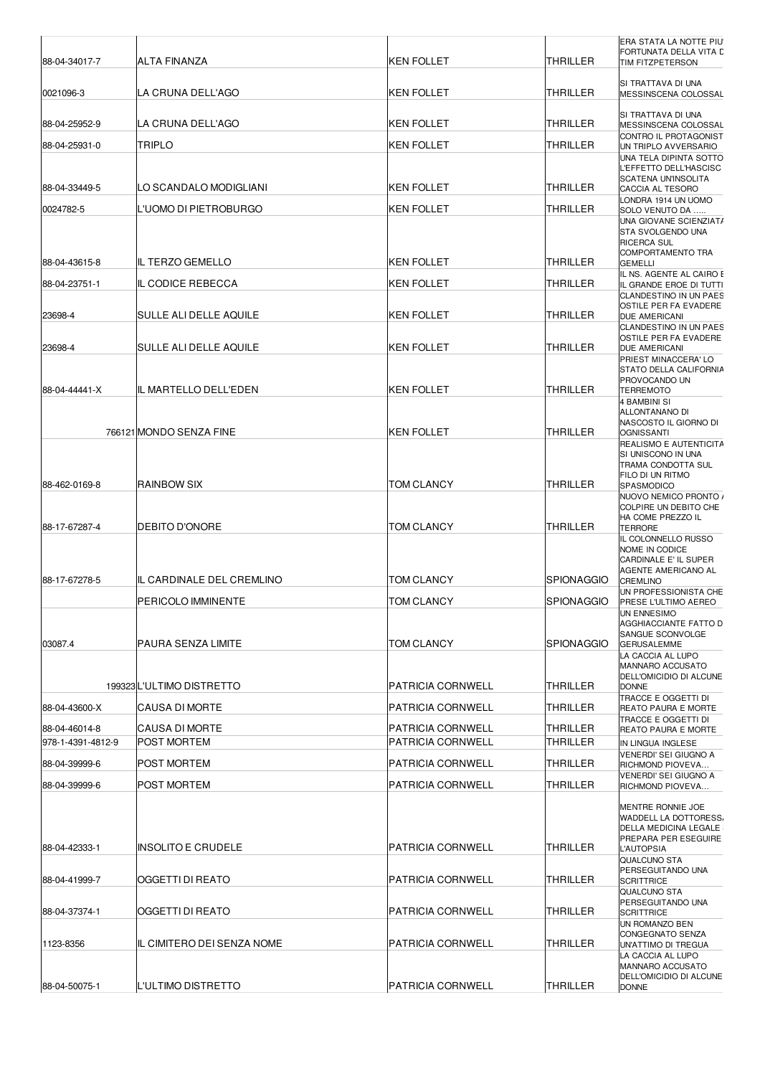| 88-04-34017-7     | <b>ALTA FINANZA</b>         | IKEN FOLLET              | THRILLER           | ERA STATA LA NOTTE PIU<br>FORTUNATA DELLA VITA D<br>TIM FITZPETERSON                                            |
|-------------------|-----------------------------|--------------------------|--------------------|-----------------------------------------------------------------------------------------------------------------|
| 0021096-3         | LA CRUNA DELL'AGO           | <b>KEN FOLLET</b>        | <b>THRILLER</b>    | SI TRATTAVA DI UNA<br>MESSINSCENA COLOSSAL                                                                      |
| 88-04-25952-9     | LA CRUNA DELL'AGO           | <b>KEN FOLLET</b>        | <b>THRILLER</b>    | SI TRATTAVA DI UNA<br>MESSINSCENA COLOSSAL                                                                      |
| 88-04-25931-0     | <b>TRIPLO</b>               | <b>KEN FOLLET</b>        | THRILLER           | CONTRO IL PROTAGONIST                                                                                           |
|                   |                             |                          |                    | UN TRIPLO AVVERSARIO<br>UNA TELA DIPINTA SOTTO<br>L'EFFETTO DELL'HASCISC                                        |
| 88-04-33449-5     | ILO SCANDALO MODIGLIANI     | <b>KEN FOLLET</b>        | <b>THRILLER</b>    | SCATENA UN'INSOLITA<br>CACCIA AL TESORO                                                                         |
| 0024782-5         | L'UOMO DI PIETROBURGO       | <b>KEN FOLLET</b>        | <b>THRILLER</b>    | LONDRA 1914 UN UOMO<br>SOLO VENUTO DA                                                                           |
|                   |                             |                          |                    | UNA GIOVANE SCIENZIAT/<br>STA SVOLGENDO UNA<br><b>RICERCA SUL</b><br><b>COMPORTAMENTO TRA</b>                   |
| 88-04-43615-8     | IIL TERZO GEMELLO           | <b>KEN FOLLET</b>        | ITHRILLER          | <b>GEMELLI</b>                                                                                                  |
| 88-04-23751-1     | <b>IL CODICE REBECCA</b>    | <b>KEN FOLLET</b>        | THRILLER           | IL NS. AGENTE AL CAIRO E<br>IL GRANDE EROE DI TUTTI                                                             |
| 23698-4           | SULLE ALI DELLE AQUILE      | <b>KEN FOLLET</b>        | <b>THRILLER</b>    | <b>CLANDESTINO IN UN PAES</b><br>OSTILE PER FA EVADERE<br>DUE AMERICANI<br>CLANDESTINO IN UN PAES               |
| 23698-4           | SULLE ALI DELLE AQUILE      | <b>KEN FOLLET</b>        | <b>THRILLER</b>    | OSTILE PER FA EVADERE<br>DUE AMERICANI                                                                          |
|                   |                             |                          |                    | PRIEST MINACCERA' LO<br>STATO DELLA CALIFORNIA                                                                  |
| 88-04-44441-X     | IIL MARTELLO DELL'EDEN      | <b>KEN FOLLET</b>        | <b>THRILLER</b>    | PROVOCANDO UN<br>TERREMOTO                                                                                      |
|                   | 766121 MONDO SENZA FINE     | KEN FOLLET               | ITHRILLER          | <b>4 BAMBINI SI</b><br>ALLONTANANO DI<br>NASCOSTO IL GIORNO DI<br><b>OGNISSANTI</b>                             |
|                   |                             |                          |                    | REALISMO E AUTENTICITA<br>SI UNISCONO IN UNA                                                                    |
|                   |                             |                          |                    | TRAMA CONDOTTA SUL<br>FILO DI UN RITMO                                                                          |
| 88-462-0169-8     | <b>RAINBOW SIX</b>          | TOM CLANCY               | ITHRILLER          | <b>SPASMODICO</b><br>NUOVO NEMICO PRONTO /                                                                      |
|                   |                             |                          |                    | COLPIRE UN DEBITO CHE<br>HA COME PREZZO IL                                                                      |
| 88-17-67287-4     | <b>DEBITO D'ONORE</b>       | TOM CLANCY               | <b>THRILLER</b>    | <b>TERRORE</b><br>IL COLONNELLO RUSSO<br>NOME IN CODICE<br>CARDINALE E' IL SUPER                                |
| 88-17-67278-5     | IL CARDINALE DEL CREMLINO   | TOM CLANCY               | <b>ISPIONAGGIO</b> | AGENTE AMERICANO AL<br><b>CREMLINO</b>                                                                          |
|                   | PERICOLO IMMINENTE          | TOM CLANCY               | <b>SPIONAGGIO</b>  | UN PROFESSIONISTA CHE<br>PRESE L'ULTIMO AEREO<br>UN ENNESIMO                                                    |
| 03087.4           | IPAURA SENZA LIMITE         | TOM CLANCY               | <b>SPIONAGGIO</b>  | AGGHIACCIANTE FATTO D<br>SANGUE SCONVOLGE<br><b>GERUSALEMME</b><br>LA CACCIA AL LUPO<br><b>MANNARO ACCUSATO</b> |
|                   | 199323L'ULTIMO DISTRETTO    | <b>PATRICIA CORNWELL</b> | <b>THRILLER</b>    | DELL'OMICIDIO DI ALCUNE<br><b>DONNE</b>                                                                         |
| 88-04-43600-X     | CAUSA DI MORTE              | PATRICIA CORNWELL        | THRILLER           | TRACCE E OGGETTI DI<br>REATO PAURA E MORTE<br>TRACCE E OGGETTI DI                                               |
| 88-04-46014-8     | <b>CAUSA DI MORTE</b>       | PATRICIA CORNWELL        | THRILLER           | REATO PAURA E MORTE                                                                                             |
| 978-1-4391-4812-9 | POST MORTEM                 | PATRICIA CORNWELL        | THRILLER           | IN LINGUA INGLESE<br>VENERDI' SEI GIUGNO A                                                                      |
| 88-04-39999-6     | <b>POST MORTEM</b>          | PATRICIA CORNWELL        | <b>THRILLER</b>    | RICHMOND PIOVEVA<br>VENERDI' SEI GIUGNO A                                                                       |
| 88-04-39999-6     | <b>POST MORTEM</b>          | PATRICIA CORNWELL        | THRILLER           | RICHMOND PIOVEVA                                                                                                |
|                   |                             |                          |                    | MENTRE RONNIE JOE<br>WADDELL LA DOTTORESS.<br>DELLA MEDICINA LEGALE                                             |
| 88-04-42333-1     | <b>INSOLITO E CRUDELE</b>   | PATRICIA CORNWELL        | THRILLER           | PREPARA PER ESEGUIRE<br>L'AUTOPSIA<br><b>QUALCUNO STA</b>                                                       |
| 88-04-41999-7     | OGGETTI DI REATO            | PATRICIA CORNWELL        | <b>THRILLER</b>    | PERSEGUITANDO UNA<br><b>SCRITTRICE</b>                                                                          |
| 88-04-37374-1     | <b>OGGETTI DI REATO</b>     | PATRICIA CORNWELL        | THRILLER           | <b>QUALCUNO STA</b><br>PERSEGUITANDO UNA<br><b>SCRITTRICE</b>                                                   |
|                   |                             |                          |                    | UN ROMANZO BEN<br>CONGEGNATO SENZA                                                                              |
| 1123-8356         | IIL CIMITERO DEI SENZA NOME | PATRICIA CORNWELL        | THRILLER           | UN'ATTIMO DI TREGUA<br>LA CACCIA AL LUPO                                                                        |
|                   |                             |                          |                    | MANNARO ACCUSATO<br>DELL'OMICIDIO DI ALCUNE                                                                     |
| 88-04-50075-1     | L'ULTIMO DISTRETTO          | <b>PATRICIA CORNWELL</b> | THRILLER           | <b>DONNE</b>                                                                                                    |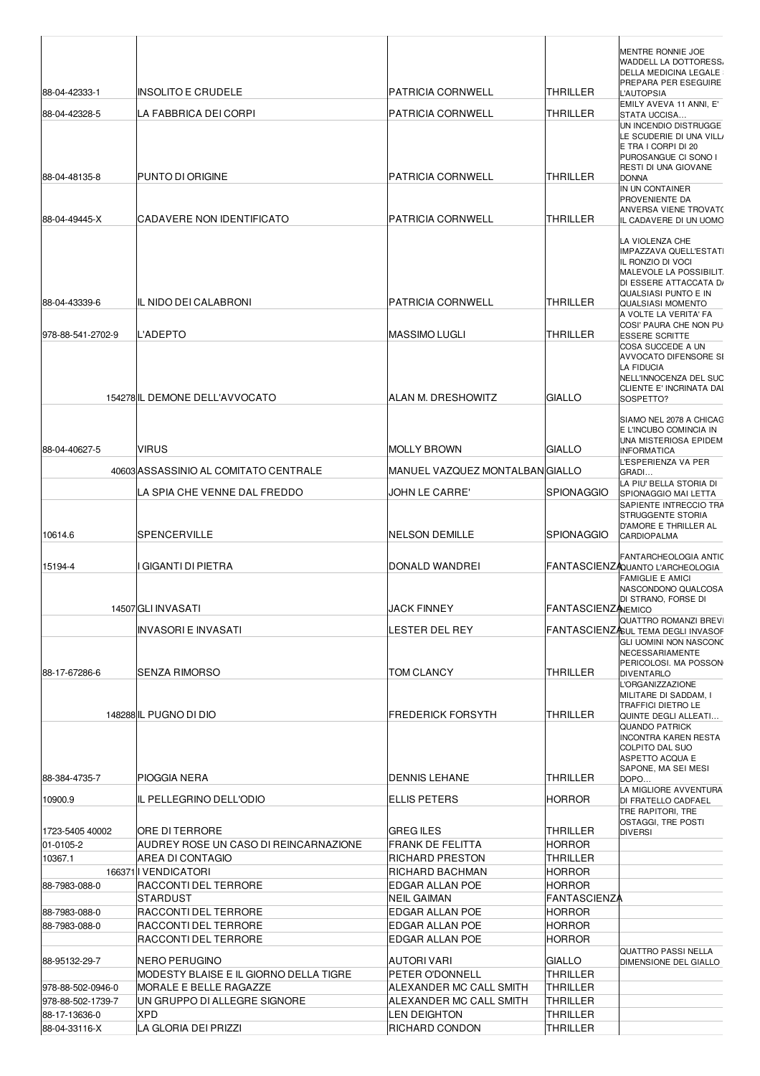|                                    |                                              |                                                |                                | MENTRE RONNIE JOE<br><b>WADDELL LA DOTTORESS.</b>                   |
|------------------------------------|----------------------------------------------|------------------------------------------------|--------------------------------|---------------------------------------------------------------------|
|                                    |                                              |                                                |                                | <b>DELLA MEDICINA LEGALE</b><br>PREPARA PER ESEGUIRE                |
| 88-04-42333-1                      | INSOLITO E CRUDELE                           | PATRICIA CORNWELL                              | THRILLER                       | <b>L'AUTOPSIA</b>                                                   |
| 88-04-42328-5                      | LA FABBRICA DEI CORPI                        | <b>PATRICIA CORNWELL</b>                       | THRILLER                       | EMILY AVEVA 11 ANNI, E'<br>STATA UCCISA                             |
|                                    |                                              |                                                |                                | UN INCENDIO DISTRUGGE<br>LE SCUDERIE DI UNA VILL                    |
|                                    |                                              |                                                |                                | E TRA I CORPI DI 20<br>PUROSANGUE CI SONO I                         |
|                                    |                                              |                                                |                                | <b>RESTI DI UNA GIOVANE</b>                                         |
| 88-04-48135-8                      | <b>PUNTO DI ORIGINE</b>                      | PATRICIA CORNWELL                              | <b>THRILLER</b>                | <b>DONNA</b><br>IN UN CONTAINER                                     |
|                                    |                                              |                                                |                                | <b>PROVENIENTE DA</b><br>ANVERSA VIENE TROVATO                      |
| 88-04-49445-X                      | ICADAVERE NON IDENTIFICATO                   | PATRICIA CORNWELL                              | <b>THRILLER</b>                | IL CADAVERE DI UN UOMO                                              |
|                                    |                                              |                                                |                                | LA VIOLENZA CHE                                                     |
|                                    |                                              |                                                |                                | IMPAZZAVA QUELL'ESTATI<br>IL RONZIO DI VOCI                         |
|                                    |                                              |                                                |                                | MALEVOLE LA POSSIBILIT.<br>DI ESSERE ATTACCATA D/                   |
| 88-04-43339-6                      | IL NIDO DEI CALABRONI                        | <b>PATRICIA CORNWELL</b>                       | <b>THRILLER</b>                | QUALSIASI PUNTO E IN                                                |
|                                    |                                              |                                                |                                | <b>QUALSIASI MOMENTO</b><br>A VOLTE LA VERITA' FA                   |
| 978-88-541-2702-9                  | <b>L'ADEPTO</b>                              | <b>MASSIMO LUGLI</b>                           | <b>THRILLER</b>                | COSI' PAURA CHE NON PU<br><b>ESSERE SCRITTE</b>                     |
|                                    |                                              |                                                |                                | COSA SUCCEDE A UN                                                   |
|                                    |                                              |                                                |                                | <b>AVVOCATO DIFENSORE SI</b><br><b>LA FIDUCIA</b>                   |
|                                    |                                              |                                                |                                | <b>INELL'INNOCENZA DEL SUC</b><br>CLIENTE E' INCRINATA DAI          |
|                                    | 154278 IL DEMONE DELL'AVVOCATO               | ALAN M. DRESHOWITZ                             | <b>GIALLO</b>                  | SOSPETTO?                                                           |
|                                    |                                              |                                                |                                | SIAMO NEL 2078 A CHICAC                                             |
|                                    |                                              |                                                |                                | E L'INCUBO COMINCIA IN<br>UNA MISTERIOSA EPIDEM                     |
| 88-04-40627-5                      | <b>VIRUS</b>                                 | <b>MOLLY BROWN</b>                             | GIALLO                         | <b>INFORMATICA</b><br>L'ESPERIENZA VA PER                           |
|                                    | 40603 ASSASSINIO AL COMITATO CENTRALE        | MANUEL VAZQUEZ MONTALBANIGIALLO                |                                | GRADI                                                               |
|                                    | LA SPIA CHE VENNE DAL FREDDO                 | JOHN LE CARRE'                                 | <b>SPIONAGGIO</b>              | LA PIU' BELLA STORIA DI<br>SPIONAGGIO MAI LETTA                     |
|                                    |                                              |                                                |                                | SAPIENTE INTRECCIO TRA<br><b>STRUGGENTE STORIA</b>                  |
|                                    |                                              |                                                |                                | D'AMORE E THRILLER AL                                               |
| 10614.6                            | SPENCERVILLE                                 | <b>NELSON DEMILLE</b>                          | <b>SPIONAGGIO</b>              | <b>CARDIOPALMA</b>                                                  |
| 15194-4                            | I GIGANTI DI PIETRA                          | DONALD WANDREI                                 |                                | FANTARCHEOLOGIA ANTIC<br>FANTASCIENZAQUANTO L'ARCHEOLOGIA           |
|                                    |                                              |                                                |                                | <b>FAMIGLIE E AMICI</b>                                             |
|                                    |                                              |                                                |                                | NASCONDONO QUALCOSA<br>DI STRANO, FORSE DI                          |
|                                    | 14507 GLI INVASATI                           | <b>JACK FINNEY</b>                             | <b>FANTASCIENZANEMICO</b>      | <b>QUATTRO ROMANZI BREVI</b>                                        |
|                                    | IINVASORI E INVASATI                         | LESTER DEL REY                                 |                                | FANTASCIENZASUL TEMA DEGLI INVASOF<br><b>GLI UOMINI NON NASCONO</b> |
|                                    |                                              |                                                |                                | NECESSARIAMENTE                                                     |
| 88-17-67286-6                      | SENZA RIMORSO                                | TOM CLANCY                                     | THRILLER                       | PERICOLOSI. MA POSSON<br><b>DIVENTARLO</b>                          |
|                                    |                                              |                                                |                                | <b>L'ORGANIZZAZIONE</b><br>MILITARE DI SADDAM, I                    |
|                                    | 148288 IL PUGNO DI DIO                       | <b>FREDERICK FORSYTH</b>                       | <b>THRILLER</b>                | TRAFFICI DIETRO LE                                                  |
|                                    |                                              |                                                |                                | QUINTE DEGLI ALLEATI<br>QUANDO PATRICK                              |
|                                    |                                              |                                                |                                | <b>INCONTRA KAREN RESTA</b><br>COLPITO DAL SUO                      |
|                                    |                                              |                                                |                                | ASPETTO ACQUA E                                                     |
| 88-384-4735-7                      | PIOGGIA NERA                                 | <b>DENNIS LEHANE</b>                           | THRILLER                       | SAPONE, MA SEI MESI<br>DOPO                                         |
| 10900.9                            | IL PELLEGRINO DELL'ODIO                      | <b>ELLIS PETERS</b>                            | <b>HORROR</b>                  | LA MIGLIORE AVVENTURA<br>DI FRATELLO CADFAEL                        |
|                                    |                                              |                                                |                                | TRE RAPITORI, TRE                                                   |
| 1723-5405 40002                    | ORE DI TERRORE                               | <b>GREG ILES</b>                               | THRILLER                       | OSTAGGI, TRE POSTI<br><b>DIVERSI</b>                                |
| 01-0105-2                          | AUDREY ROSE UN CASO DI REINCARNAZIONE        | <b>FRANK DE FELITTA</b>                        | <b>HORROR</b>                  |                                                                     |
| 10367.1                            | AREA DI CONTAGIO<br>166371   VENDICATORI     | RICHARD PRESTON<br>RICHARD BACHMAN             | THRILLER<br><b>HORROR</b>      |                                                                     |
| 88-7983-088-0                      | RACCONTI DEL TERRORE                         | EDGAR ALLAN POE                                | HORROR                         |                                                                     |
|                                    | STARDUST                                     | NEIL GAIMAN                                    | <b>FANTASCIENZA</b>            |                                                                     |
| 88-7983-088-0<br>88-7983-088-0     | RACCONTI DEL TERRORE<br>RACCONTI DEL TERRORE | EDGAR ALLAN POE<br>EDGAR ALLAN POE             | <b>HORROR</b><br><b>HORROR</b> |                                                                     |
|                                    | RACCONTI DEL TERRORE                         | EDGAR ALLAN POE                                | <b>HORROR</b>                  |                                                                     |
| 88-95132-29-7                      | NERO PERUGINO                                | AUTORI VARI                                    | <b>GIALLO</b>                  | <b>QUATTRO PASSI NELLA</b><br>DIMENSIONE DEL GIALLO                 |
|                                    | MODESTY BLAISE E IL GIORNO DELLA TIGRE       | PETER O'DONNELL                                | THRILLER                       |                                                                     |
| 978-88-502-0946-0                  | MORALE E BELLE RAGAZZE                       | ALEXANDER MC CALL SMITH                        | THRILLER                       |                                                                     |
| 978-88-502-1739-7<br>88-17-13636-0 | UN GRUPPO DI ALLEGRE SIGNORE<br><b>XPD</b>   | ALEXANDER MC CALL SMITH<br><b>LEN DEIGHTON</b> | THRILLER<br><b>THRILLER</b>    |                                                                     |
| 88-04-33116-X                      | LA GLORIA DEI PRIZZI                         | RICHARD CONDON                                 | <b>THRILLER</b>                |                                                                     |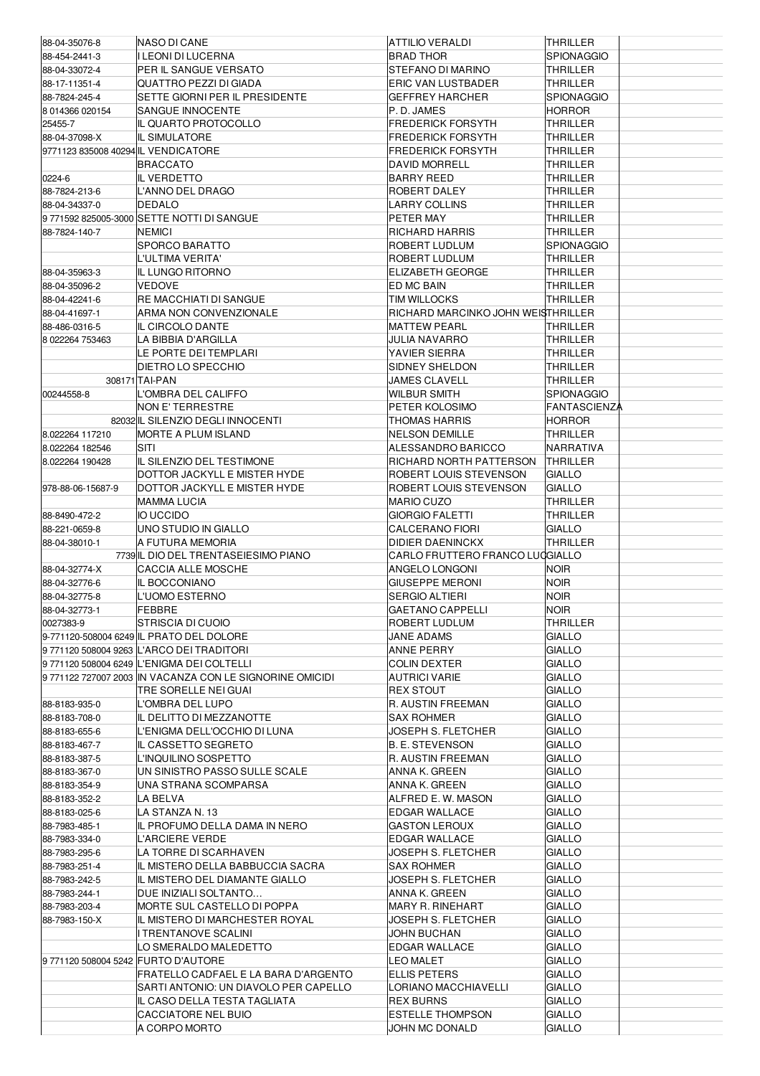| 88-04-35076-8                       | NASO DI CANE                                             | <b>ATTILIO VERALDI</b>             | <b>THRILLER</b>   |
|-------------------------------------|----------------------------------------------------------|------------------------------------|-------------------|
| 88-454-2441-3                       | <b>LEONI DI LUCERNA</b>                                  | <b>BRAD THOR</b>                   | <b>SPIONAGGIO</b> |
| 88-04-33072-4                       | PER IL SANGUE VERSATO                                    | STEFANO DI MARINO                  | THRILLER          |
|                                     | QUATTRO PEZZI DI GIADA                                   | <b>ERIC VAN LUSTBADER</b>          |                   |
| 88-17-11351-4                       |                                                          |                                    | THRILLER          |
| 88-7824-245-4                       | SETTE GIORNI PER IL PRESIDENTE                           | <b>GEFFREY HARCHER</b>             | <b>SPIONAGGIO</b> |
| 8 014366 020154                     | <b>SANGUE INNOCENTE</b>                                  | P.D. JAMES                         | <b>HORROR</b>     |
| 25455-7                             | IL QUARTO PROTOCOLLO                                     | <b>FREDERICK FORSYTH</b>           | THRILLER          |
| 88-04-37098-X                       | <b>IL SIMULATORE</b>                                     | <b>FREDERICK FORSYTH</b>           | THRILLER          |
| 9771123 835008 40294 IL VENDICATORE |                                                          | <b>FREDERICK FORSYTH</b>           | THRILLER          |
|                                     | <b>BRACCATO</b>                                          | <b>DAVID MORRELL</b>               | <b>THRILLER</b>   |
| 0224-6                              | <b>IL VERDETTO</b>                                       | <b>BARRY REED</b>                  | <b>THRILLER</b>   |
|                                     | L'ANNO DEL DRAGO                                         |                                    | <b>THRILLER</b>   |
| 88-7824-213-6                       |                                                          | ROBERT DALEY                       |                   |
| 88-04-34337-0                       | <b>DEDALO</b>                                            | <b>LARRY COLLINS</b>               | <b>THRILLER</b>   |
|                                     | 9 771592 825005-3000 SETTE NOTTI DI SANGUE               | PETER MAY                          | <b>THRILLER</b>   |
| 88-7824-140-7                       | NEMICI                                                   | RICHARD HARRIS                     | THRILLER          |
|                                     | SPORCO BARATTO                                           | ROBERT LUDLUM                      | <b>SPIONAGGIO</b> |
|                                     | L'ULTIMA VERITA'                                         | ROBERT LUDLUM                      | <b>THRILLER</b>   |
| 88-04-35963-3                       | IL LUNGO RITORNO                                         | <b>ELIZABETH GEORGE</b>            | <b>THRILLER</b>   |
| 88-04-35096-2                       | VEDOVE                                                   | ED MC BAIN                         | <b>THRILLER</b>   |
|                                     |                                                          |                                    |                   |
| 88-04-42241-6                       | RE MACCHIATI DI SANGUE                                   | TIM WILLOCKS                       | <b>THRILLER</b>   |
| 88-04-41697-1                       | ARMA NON CONVENZIONALE                                   | RICHARD MARCINKO JOHN WEISTHRILLER |                   |
| 88-486-0316-5                       | IL CIRCOLO DANTE                                         | <b>MATTEW PEARL</b>                | THRILLER          |
| 8 022264 753463                     | LA BIBBIA D'ARGILLA                                      | <b>JULIA NAVARRO</b>               | <b>THRILLER</b>   |
|                                     | LE PORTE DEI TEMPLARI                                    | YAVIER SIERRA                      | THRILLER          |
|                                     | DIETRO LO SPECCHIO                                       | SIDNEY SHELDON                     | <b>THRILLER</b>   |
|                                     | 308171 TAI-PAN                                           | <b>JAMES CLAVELL</b>               | <b>THRILLER</b>   |
|                                     |                                                          |                                    |                   |
| 00244558-8                          | L'OMBRA DEL CALIFFO                                      | <b>WILBUR SMITH</b>                | <b>SPIONAGGIO</b> |
|                                     | NON E' TERRESTRE                                         | PETER KOLOSIMO                     | FANTASCIENZA      |
|                                     | 82032 IL SILENZIO DEGLI INNOCENTI                        | THOMAS HARRIS                      | <b>HORROR</b>     |
| 8.022264 117210                     | MORTE A PLUM ISLAND                                      | <b>NELSON DEMILLE</b>              | THRILLER          |
| 8.022264 182546                     | SITI                                                     | ALESSANDRO BARICCO                 | NARRATIVA         |
| 8.022264 190428                     | IL SILENZIO DEL TESTIMONE                                | RICHARD NORTH PATTERSON            | <b>THRILLER</b>   |
|                                     |                                                          |                                    |                   |
|                                     | DOTTOR JACKYLL E MISTER HYDE                             | ROBERT LOUIS STEVENSON             | <b>GIALLO</b>     |
| 978-88-06-15687-9                   | DOTTOR JACKYLL E MISTER HYDE                             | ROBERT LOUIS STEVENSON             | <b>GIALLO</b>     |
|                                     | <b>MAMMA LUCIA</b>                                       | <b>MARIO CUZO</b>                  | <b>THRILLER</b>   |
| 88-8490-472-2                       | IO UCCIDO                                                | <b>GIORGIO FALETTI</b>             | <b>THRILLER</b>   |
| 88-221-0659-8                       | UNO STUDIO IN GIALLO                                     | CALCERANO FIORI                    | <b>GIALLO</b>     |
| 88-04-38010-1                       | A FUTURA MEMORIA                                         | <b>DIDIER DAENINCKX</b>            | <b>THRILLER</b>   |
|                                     | 7739 IL DIO DEL TRENTASEIESIMO PIANO                     | CARLO FRUTTERO FRANCO LUOGIALLO    |                   |
| 88-04-32774-X                       | <b>CACCIA ALLE MOSCHE</b>                                | ANGELO LONGONI                     | Noir              |
|                                     |                                                          |                                    |                   |
| 88-04-32776-6                       | IL BOCCONIANO                                            | <b>GIUSEPPE MERONI</b>             | <b>NOIR</b>       |
| 88-04-32775-8                       | L'UOMO ESTERNO                                           | <b>SERGIO ALTIERI</b>              | <b>NOIR</b>       |
| 88-04-32773-1                       | FEBBRE                                                   | GAETANO CAPPELLI                   | <b>NOIR</b>       |
| 0027383-9                           | STRISCIA DI CUOIO                                        | ROBERT LUDLUM                      | THRILLER          |
|                                     | 9-771120-508004 6249 IL PRATO DEL DOLORE                 | JANE ADAMS                         |                   |
|                                     |                                                          |                                    |                   |
|                                     |                                                          |                                    | <b>GIALLO</b>     |
|                                     | 9771120 508004 9263 L'ARCO DEI TRADITORI                 | ANNE PERRY                         | <b>GIALLO</b>     |
|                                     | 9 771120 508004 6249 L'ENIGMA DEI COLTELLI               | <b>COLIN DEXTER</b>                | <b>GIALLO</b>     |
|                                     | 9 771122 727007 2003 IN VACANZA CON LE SIGNORINE OMICIDI | AUTRICI VARIE                      | <b>GIALLO</b>     |
|                                     | TRE SORELLE NEI GUAI                                     | REX STOUT                          | <b>GIALLO</b>     |
| 88-8183-935-0                       | OMBRA DEL LUPO                                           | R. AUSTIN FREEMAN                  | <b>GIALLO</b>     |
| 88-8183-708-0                       | IL DELITTO DI MEZZANOTTE                                 | <b>SAX ROHMER</b>                  | <b>GIALLO</b>     |
| 88-8183-655-6                       | L'ENIGMA DELL'OCCHIO DI LUNA                             | JOSEPH S. FLETCHER                 | <b>GIALLO</b>     |
|                                     |                                                          |                                    |                   |
| 88-8183-467-7                       | IL CASSETTO SEGRETO                                      | <b>B. E. STEVENSON</b>             | <b>GIALLO</b>     |
| 88-8183-387-5                       | L'INQUILINO SOSPETTO                                     | <b>R. AUSTIN FREEMAN</b>           | <b>GIALLO</b>     |
| 88-8183-367-0                       | UN SINISTRO PASSO SULLE SCALE                            | ANNA K. GREEN                      | <b>GIALLO</b>     |
| 88-8183-354-9                       | UNA STRANA SCOMPARSA                                     | ANNA K. GREEN                      | <b>GIALLO</b>     |
| 88-8183-352-2                       | LA BELVA                                                 | ALFRED E.W. MASON                  | <b>GIALLO</b>     |
| 88-8183-025-6                       | LA STANZA N. 13                                          | <b>EDGAR WALLACE</b>               | <b>GIALLO</b>     |
| 88-7983-485-1                       | IL PROFUMO DELLA DAMA IN NERO                            | <b>GASTON LEROUX</b>               | <b>GIALLO</b>     |
|                                     |                                                          |                                    |                   |
| 88-7983-334-0                       | L'ARCIERE VERDE                                          | EDGAR WALLACE                      | <b>GIALLO</b>     |
| 88-7983-295-6                       | LA TORRE DI SCARHAVEN                                    | JOSEPH S. FLETCHER                 | <b>GIALLO</b>     |
| 88-7983-251-4                       | IL MISTERO DELLA BABBUCCIA SACRA                         | SAX ROHMER                         | <b>GIALLO</b>     |
| 88-7983-242-5                       | IL MISTERO DEL DIAMANTE GIALLO                           | JOSEPH S. FLETCHER                 | <b>GIALLO</b>     |
| 88-7983-244-1                       | DUE INIZIALI SOLTANTO                                    | ANNA K. GREEN                      | <b>GIALLO</b>     |
| 88-7983-203-4                       | MORTE SUL CASTELLO DI POPPA                              | MARY R. RINEHART                   | <b>GIALLO</b>     |
| 88-7983-150-X                       | IL MISTERO DI MARCHESTER ROYAL                           | JOSEPH S. FLETCHER                 | <b>GIALLO</b>     |
|                                     |                                                          |                                    |                   |
|                                     | I TRENTANOVE SCALINI                                     | JOHN BUCHAN                        | <b>GIALLO</b>     |
|                                     | LO SMERALDO MALEDETTO                                    | <b>EDGAR WALLACE</b>               | <b>GIALLO</b>     |
| 9771120 508004 5242 FURTO D'AUTORE  |                                                          | <b>LEO MALET</b>                   | <b>GIALLO</b>     |
|                                     | FRATELLO CADFAEL E LA BARA D'ARGENTO                     | <b>ELLIS PETERS</b>                | <b>GIALLO</b>     |
|                                     | SARTI ANTONIO: UN DIAVOLO PER CAPELLO                    | LORIANO MACCHIAVELLI               | <b>GIALLO</b>     |
|                                     | IL CASO DELLA TESTA TAGLIATA                             | <b>REX BURNS</b>                   | <b>GIALLO</b>     |
|                                     | CACCIATORE NEL BUIO                                      | <b>ESTELLE THOMPSON</b>            | <b>GIALLO</b>     |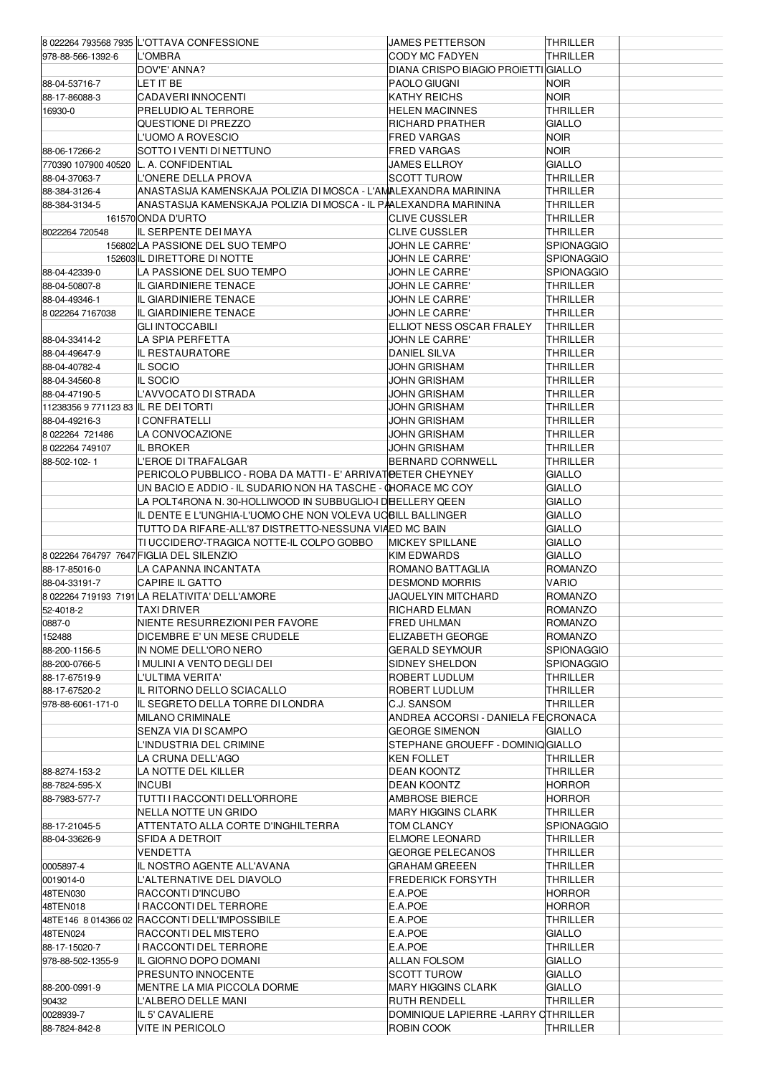|                                      | 8 022264 793568 7935 L'OTTAVA CONFESSIONE                        | JAMES PETTERSON                     | <b>THRILLER</b>   |  |
|--------------------------------------|------------------------------------------------------------------|-------------------------------------|-------------------|--|
| 978-88-566-1392-6                    | L'OMBRA                                                          | CODY MC FADYEN                      | <b>THRILLER</b>   |  |
|                                      |                                                                  |                                     |                   |  |
|                                      | DOV'E' ANNA?                                                     | DIANA CRISPO BIAGIO PROIETTI GIALLO |                   |  |
| 88-04-53716-7                        | LET IT BE                                                        | PAOLO GIUGNI                        | Noir              |  |
| 88-17-86088-3                        | CADAVERI INNOCENTI                                               | KATHY REICHS                        | <b>NOIR</b>       |  |
| 16930-0                              | PRELUDIO AL TERRORE                                              | <b>HELEN MACINNES</b>               | <b>THRILLER</b>   |  |
|                                      | QUESTIONE DI PREZZO                                              | RICHARD PRATHER                     | <b>GIALLO</b>     |  |
|                                      | L'UOMO A ROVESCIO                                                | <b>FRED VARGAS</b>                  | noir              |  |
| 88-06-17266-2                        | SOTTO I VENTI DI NETTUNO                                         | <b>FRED VARGAS</b>                  | <b>NOIR</b>       |  |
| 770390 107900 40520                  | L. A. CONFIDENTIAL                                               | <b>JAMES ELLROY</b>                 | <b>GIALLO</b>     |  |
| 88-04-37063-7                        | L'ONERE DELLA PROVA                                              | <b>SCOTT TUROW</b>                  | THRILLER          |  |
|                                      |                                                                  |                                     |                   |  |
| 88-384-3126-4                        | ANASTASIJA KAMENSKAJA POLIZIA DI MOSCA - L'AMALEXANDRA MARININA  |                                     | THRILLER          |  |
| 88-384-3134-5                        | ANASTASIJA KAMENSKAJA POLIZIA DI MOSCA - IL PAALEXANDRA MARININA |                                     | THRILLER          |  |
|                                      | 161570 ONDA D'URTO                                               | <b>CLIVE CUSSLER</b>                | THRILLER          |  |
| 8022264 720548                       | IL SERPENTE DEI MAYA                                             | <b>CLIVE CUSSLER</b>                | THRILLER          |  |
|                                      | 156802 LA PASSIONE DEL SUO TEMPO                                 | JOHN LE CARRE'                      | SPIONAGGIO        |  |
|                                      | 152603 IL DIRETTORE DI NOTTE                                     | JOHN LE CARRE'                      | <b>SPIONAGGIO</b> |  |
| 88-04-42339-0                        | LA PASSIONE DEL SUO TEMPO                                        | JOHN LE CARRE'                      | <b>SPIONAGGIO</b> |  |
| 88-04-50807-8                        | IL GIARDINIERE TENACE                                            | JOHN LE CARRE'                      | THRILLER          |  |
|                                      |                                                                  |                                     |                   |  |
| 88-04-49346-1                        | IL GIARDINIERE TENACE                                            | JOHN LE CARRE'                      | THRILLER          |  |
| 8 022264 7167038                     | IL GIARDINIERE TENACE                                            | JOHN LE CARRE'                      | THRILLER          |  |
|                                      | GLI INTOCCABILI                                                  | ELLIOT NESS OSCAR FRALEY            | <b>THRILLER</b>   |  |
| 88-04-33414-2                        | LA SPIA PERFETTA                                                 | JOHN LE CARRE'                      | THRILLER          |  |
| 88-04-49647-9                        | IL RESTAURATORE                                                  | DANIEL SILVA                        | <b>THRILLER</b>   |  |
| 88-04-40782-4                        | <b>IL SOCIO</b>                                                  | JOHN GRISHAM                        | THRILLER          |  |
| 88-04-34560-8                        | IL SOCIO                                                         | JOHN GRISHAM                        | <b>THRILLER</b>   |  |
| 88-04-47190-5                        | L'AVVOCATO DI STRADA                                             | <b>JOHN GRISHAM</b>                 | THRILLER          |  |
|                                      |                                                                  |                                     |                   |  |
| 11238356 9 771123 83 IL RE DEI TORTI |                                                                  | JOHN GRISHAM                        | <b>THRILLER</b>   |  |
| 88-04-49216-3                        | I CONFRATELLI                                                    | <b>JOHN GRISHAM</b>                 | THRILLER          |  |
| 8 022264 721486                      | LA CONVOCAZIONE                                                  | JOHN GRISHAM                        | THRILLER          |  |
| 8 022264 749107                      | IL BROKER                                                        | JOHN GRISHAM                        | THRILLER          |  |
| 88-502-102-1                         | L'EROE DI TRAFALGAR                                              | <b>BERNARD CORNWELL</b>             | THRILLER          |  |
|                                      | PERICOLO PUBBLICO - ROBA DA MATTI - E' ARRIVATIDETER CHEYNEY     |                                     | GIALLO            |  |
|                                      | UN BACIO E ADDIO - IL SUDARIO NON HA TASCHE - @HORACE MC COY     |                                     | GIALLO            |  |
|                                      | LA POLT4RONA N. 30-HOLLIWOOD IN SUBBUGLIO-I DIEELLERY QEEN       |                                     | GIALLO            |  |
|                                      | IL DENTE E L'UNGHIA-L'UOMO CHE NON VOLEVA UCBILL BALLINGER       |                                     | GIALLO            |  |
|                                      |                                                                  |                                     |                   |  |
|                                      | TUTTO DA RIFARE-ALL'87 DISTRETTO-NESSUNA VIAED MC BAIN           |                                     | GIALLO            |  |
|                                      | TI UCCIDERO'-TRAGICA NOTTE-IL COLPO GOBBO                        | <b>MICKEY SPILLANE</b>              | <b>GIALLO</b>     |  |
|                                      | 8 022264 764797 7647 FIGLIA DEL SILENZIO                         | KIM EDWARDS                         | <b>GIALLO</b>     |  |
| 88-17-85016-0                        | LA CAPANNA INCANTATA                                             | ROMANO BATTAGLIA                    | <b>ROMANZO</b>    |  |
| 88-04-33191-7                        | <b>CAPIRE IL GATTO</b>                                           | <b>DESMOND MORRIS</b>               | VARIO             |  |
|                                      | 8 022264 719193 7191 LA RELATIVITA' DELL'AMORE                   | JAQUELYIN MITCHARD                  | <b>ROMANZO</b>    |  |
| 52-4018-2                            | <b>TAXIDRIVER</b>                                                | RICHARD ELMAN                       | ROMANZO           |  |
| 0887-0                               | NIENTE RESURREZIONI PER FAVORE                                   | FRED UHLMAN                         | ROMANZO           |  |
|                                      | DICEMBRE E' UN MESE CRUDELE                                      | ELIZABETH GEORGE                    |                   |  |
| 152488                               |                                                                  |                                     |                   |  |
| 88-200-1156-5                        |                                                                  |                                     | <b>ROMANZO</b>    |  |
| 88-200-0766-5                        | IN NOME DELL'ORO NERO                                            | <b>GERALD SEYMOUR</b>               | <b>SPIONAGGIO</b> |  |
| 88-17-67519-9                        | I MULINI A VENTO DEGLI DEI                                       | SIDNEY SHELDON                      | <b>SPIONAGGIO</b> |  |
|                                      | L'ULTIMA VERITA'                                                 | ROBERT LUDLUM                       | THRILLER          |  |
| 88-17-67520-2                        | IL RITORNO DELLO SCIACALLO                                       | ROBERT LUDLUM                       | THRILLER          |  |
| 978-88-6061-171-0                    | IL SEGRETO DELLA TORRE DI LONDRA                                 | C.J. SANSOM                         | THRILLER          |  |
|                                      |                                                                  |                                     |                   |  |
|                                      | MILANO CRIMINALE                                                 | ANDREA ACCORSI - DANIELA FECRONACA  |                   |  |
|                                      | SENZA VIA DI SCAMPO                                              | <b>GEORGE SIMENON</b>               | <b>GIALLO</b>     |  |
|                                      | L'INDUSTRIA DEL CRIMINE                                          | STEPHANE GROUEFF - DOMINIQ GIALLO   |                   |  |
|                                      | LA CRUNA DELL'AGO                                                | <b>KEN FOLLET</b>                   | <b>THRILLER</b>   |  |
| 88-8274-153-2                        | LA NOTTE DEL KILLER                                              | DEAN KOONTZ                         | THRILLER          |  |
| 88-7824-595-X                        | <b>INCUBI</b>                                                    | DEAN KOONTZ                         | HORROR            |  |
| 88-7983-577-7                        | TUTTI I RACCONTI DELL'ORRORE                                     | AMBROSE BIERCE                      | HORROR            |  |
|                                      | NELLA NOTTE UN GRIDO                                             | MARY HIGGINS CLARK                  | THRILLER          |  |
|                                      |                                                                  |                                     |                   |  |
| 88-17-21045-5                        | ATTENTATO ALLA CORTE D'INGHILTERRA                               | TOM CLANCY                          | SPIONAGGIO        |  |
| 88-04-33626-9                        | SFIDA A DETROIT                                                  | <b>ELMORE LEONARD</b>               | THRILLER          |  |
|                                      | VENDETTA                                                         | <b>GEORGE PELECANOS</b>             | THRILLER          |  |
| 0005897-4                            | IL NOSTRO AGENTE ALL'AVANA                                       | GRAHAM GREEEN                       | THRILLER          |  |
| 0019014-0                            | L'ALTERNATIVE DEL DIAVOLO                                        | <b>FREDERICK FORSYTH</b>            | THRILLER          |  |
| 48TEN030                             | RACCONTI D'INCUBO                                                | E.A.POE                             | HORROR            |  |
| 48TEN018                             | I RACCONTI DEL TERRORE                                           | E.A.POE                             | <b>HORROR</b>     |  |
|                                      | 48TE146 8 014366 02 RACCONTI DELL'IMPOSSIBILE                    | E.A.POE                             | THRILLER          |  |
| 48TEN024                             | RACCONTI DEL MISTERO                                             | E.A.POE                             | <b>GIALLO</b>     |  |
|                                      |                                                                  |                                     |                   |  |
| 88-17-15020-7                        | I RACCONTI DEL TERRORE                                           | E.A.POE                             | THRILLER          |  |
| 978-88-502-1355-9                    | IL GIORNO DOPO DOMANI                                            | <b>ALLAN FOLSOM</b>                 | <b>GIALLO</b>     |  |
|                                      | PRESUNTO INNOCENTE                                               | <b>SCOTT TUROW</b>                  | GIALLO            |  |
| 88-200-0991-9                        | MENTRE LA MIA PICCOLA DORME                                      | <b>MARY HIGGINS CLARK</b>           | GIALLO            |  |
| 90432                                | L'ALBERO DELLE MANI                                              | <b>RUTH RENDELL</b>                 | THRILLER          |  |
| 0028939-7                            | IL 5' CAVALIERE                                                  | DOMINIQUE LAPIERRE -LARRY OTHRILLER |                   |  |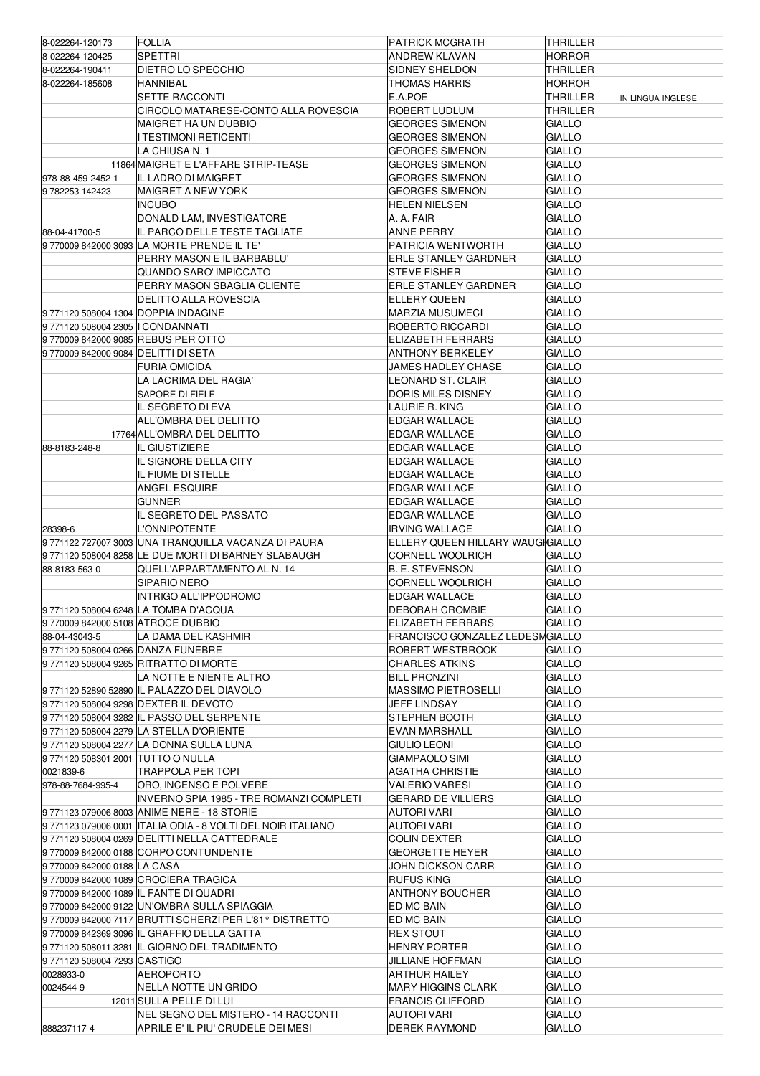| 8-022264-120173                      | <b>FOLLIA</b>                                                | PATRICK MCGRATH                  | THRILLER      |                   |
|--------------------------------------|--------------------------------------------------------------|----------------------------------|---------------|-------------------|
| 8-022264-120425                      | SPETTRI                                                      | <b>ANDREW KLAVAN</b>             | <b>HORROR</b> |                   |
| 8-022264-190411                      | DIETRO LO SPECCHIO                                           | <b>SIDNEY SHELDON</b>            | THRILLER      |                   |
| 8-022264-185608                      | HANNIBAL                                                     | THOMAS HARRIS                    |               |                   |
|                                      |                                                              |                                  | <b>HORROR</b> |                   |
|                                      | <b>SETTE RACCONTI</b>                                        | E.A.POE                          | THRILLER      | IN LINGUA INGLESE |
|                                      | CIRCOLO MATARESE-CONTO ALLA ROVESCIA                         | <b>ROBERT LUDLUM</b>             | THRILLER      |                   |
|                                      | MAIGRET HA UN DUBBIO                                         | <b>GEORGES SIMENON</b>           | GIALLO        |                   |
|                                      | <b>TESTIMONI RETICENTI</b>                                   | <b>GEORGES SIMENON</b>           | GIALLO        |                   |
|                                      | LA CHIUSA N. 1                                               | <b>GEORGES SIMENON</b>           | GIALLO        |                   |
|                                      | 11864 MAIGRET E L'AFFARE STRIP-TEASE                         | <b>GEORGES SIMENON</b>           | GIALLO        |                   |
| 978-88-459-2452-1                    | IL LADRO DI MAIGRET                                          | <b>GEORGES SIMENON</b>           | GIALLO        |                   |
|                                      |                                                              |                                  | GIALLO        |                   |
| 9782253142423                        | MAIGRET A NEW YORK                                           | <b>GEORGES SIMENON</b>           |               |                   |
|                                      | <b>INCUBO</b>                                                | HELEN NIELSEN                    | <b>GIALLO</b> |                   |
|                                      | DONALD LAM, INVESTIGATORE                                    | A. A. FAIR                       | GIALLO        |                   |
| 88-04-41700-5                        | IL PARCO DELLE TESTE TAGLIATE                                | <b>ANNE PERRY</b>                | GIALLO        |                   |
|                                      | 97700098420003093LA MORTE PRENDE IL TE'                      | PATRICIA WENTWORTH               | GIALLO        |                   |
|                                      | PERRY MASON E IL BARBABLU'                                   | <b>ERLE STANLEY GARDNER</b>      | GIALLO        |                   |
|                                      | QUANDO SARO' IMPICCATO                                       | <b>STEVE FISHER</b>              | GIALLO        |                   |
|                                      | PERRY MASON SBAGLIA CLIENTE                                  | <b>ERLE STANLEY GARDNER</b>      | GIALLO        |                   |
|                                      |                                                              |                                  |               |                   |
|                                      | DELITTO ALLA ROVESCIA                                        | <b>ELLERY QUEEN</b>              | GIALLO        |                   |
| 9 771120 508004 1304 DOPPIA INDAGINE |                                                              | <b>MARZIA MUSUMECI</b>           | <b>GIALLO</b> |                   |
| 9 771120 508004 2305 II CONDANNATI   |                                                              | ROBERTO RICCARDI                 | GIALLO        |                   |
| 97700098420009085REBUSPEROTTO        |                                                              | <b>ELIZABETH FERRARS</b>         | GIALLO        |                   |
| 97700098420009084DELITTIDISETA       |                                                              | <b>ANTHONY BERKELEY</b>          | GIALLO        |                   |
|                                      | FURIA OMICIDA                                                | JAMES HADLEY CHASE               | GIALLO        |                   |
|                                      | LA LACRIMA DEL RAGIA'                                        | LEONARD ST. CLAIR                | GIALLO        |                   |
|                                      |                                                              |                                  |               |                   |
|                                      | <b>SAPORE DI FIELE</b>                                       | <b>DORIS MILES DISNEY</b>        | GIALLO        |                   |
|                                      | IL SEGRETO DI EVA                                            | LAURIE R. KING                   | GIALLO        |                   |
|                                      | ALL'OMBRA DEL DELITTO                                        | EDGAR WALLACE                    | GIALLO        |                   |
|                                      | 17764 ALL'OMBRA DEL DELITTO                                  | EDGAR WALLACE                    | GIALLO        |                   |
| 88-8183-248-8                        | IL GIUSTIZIERE                                               | <b>EDGAR WALLACE</b>             | GIALLO        |                   |
|                                      | IL SIGNORE DELLA CITY                                        | EDGAR WALLACE                    | GIALLO        |                   |
|                                      | IL FIUME DI STELLE                                           | <b>EDGAR WALLACE</b>             | <b>GIALLO</b> |                   |
|                                      |                                                              |                                  |               |                   |
|                                      | ANGEL ESQUIRE                                                | <b>EDGAR WALLACE</b>             | GIALLO        |                   |
|                                      | <b>GUNNER</b>                                                | <b>EDGAR WALLACE</b>             | GIALLO        |                   |
|                                      | IL SEGRETO DEL PASSATO                                       | <b>EDGAR WALLACE</b>             | GIALLO        |                   |
| 28398-6                              | L'ONNIPOTENTE                                                | <b>IRVING WALLACE</b>            | <b>GIALLO</b> |                   |
|                                      |                                                              |                                  |               |                   |
|                                      | 9 771122 727007 3003 UNA TRANQUILLA VACANZA DI PAURA         | ELLERY QUEEN HILLARY WAUGHGIALLO |               |                   |
|                                      |                                                              |                                  |               |                   |
|                                      | 9771120 508004 8258 LE DUE MORTI DI BARNEY SLABAUGH          | <b>CORNELL WOOLRICH</b>          | <b>GIALLO</b> |                   |
| 88-8183-563-0                        | QUELL'APPARTAMENTO AL N. 14                                  | <b>B. E. STEVENSON</b>           | <b>GIALLO</b> |                   |
|                                      | SIPARIO NERO                                                 | <b>CORNELL WOOLRICH</b>          | GIALLO        |                   |
|                                      | <b>INTRIGO ALL'IPPODROMO</b>                                 | <b>EDGAR WALLACE</b>             | <b>GIALLO</b> |                   |
|                                      | 9771120 508004 6248 LA TOMBA D'ACQUA                         | <b>DEBORAH CROMBIE</b>           | GIALLO        |                   |
| 97700098420005108 ATROCE DUBBIO      |                                                              | ELIZABETH FERRARS                | <b>GIALLO</b> |                   |
| 88-04-43043-5                        | LA DAMA DEL KASHMIR                                          | FRANCISCO GONZALEZ LEDESMGIALLO  |               |                   |
|                                      |                                                              |                                  |               |                   |
| 9 771120 508004 0266 DANZA FUNEBRE   |                                                              | ROBERT WESTBROOK                 | <b>GIALLO</b> |                   |
|                                      | 9771120 508004 9265 RITRATTO DI MORTE                        | <b>CHARLES ATKINS</b>            | GIALLO        |                   |
|                                      | LA NOTTE E NIENTE ALTRO                                      | <b>BILL PRONZINI</b>             | GIALLO        |                   |
|                                      | 9 771120 52890 52890 IL PALAZZO DEL DIAVOLO                  | <b>MASSIMO PIETROSELLI</b>       | GIALLO        |                   |
|                                      | 9771120 508004 9298 DEXTER IL DEVOTO                         | JEFF LINDSAY                     | GIALLO        |                   |
|                                      | 9771120 508004 3282 IL PASSO DEL SERPENTE                    | STEPHEN BOOTH                    | GIALLO        |                   |
|                                      | 9 771120 508004 2279 LA STELLA D'ORIENTE                     | <b>EVAN MARSHALL</b>             | GIALLO        |                   |
|                                      | 9 771120 508004 2277 LA DONNA SULLA LUNA                     | GIULIO LEONI                     | GIALLO        |                   |
|                                      |                                                              |                                  |               |                   |
| 9 771120 508301 2001 TUTTO O NULLA   |                                                              | GIAMPAOLO SIMI                   | GIALLO        |                   |
| 0021839-6                            | TRAPPOLA PER TOPI                                            | AGATHA CHRISTIE                  | GIALLO        |                   |
| 978-88-7684-995-4                    | ORO, INCENSO E POLVERE                                       | VALERIO VARESI                   | GIALLO        |                   |
|                                      | INVERNO SPIA 1985 - TRE ROMANZI COMPLETI                     | <b>GERARD DE VILLIERS</b>        | GIALLO        |                   |
|                                      | 9771123 079006 8003 ANIME NERE - 18 STORIE                   | AUTORI VARI                      | <b>GIALLO</b> |                   |
|                                      | 9 771123 079006 0001 ITALIA ODIA - 8 VOLTI DEL NOIR ITALIANO | AUTORI VARI                      | <b>GIALLO</b> |                   |
|                                      | 9771120 508004 0269 DELITTI NELLA CATTEDRALE                 | <b>COLIN DEXTER</b>              | GIALLO        |                   |
|                                      |                                                              | GEORGETTE HEYER                  |               |                   |
|                                      | 97700098420000188CORPO CONTUNDENTE                           |                                  | GIALLO        |                   |
| 97700098420000188 LA CASA            |                                                              | JOHN DICKSON CARR                | GIALLO        |                   |
|                                      | 9 770009 842000 1089 CROCIERA TRAGICA                        | <b>RUFUS KING</b>                | GIALLO        |                   |
|                                      | 9 770009 842000 1089 IL FANTE DI QUADRI                      | <b>ANTHONY BOUCHER</b>           | GIALLO        |                   |
|                                      | 9 770009 842000 9122 UN'OMBRA SULLA SPIAGGIA                 | ED MC BAIN                       | GIALLO        |                   |
|                                      | 9 770009 842000 7117 BRUTTI SCHERZI PER L'81 ° DISTRETTO     | ED MC BAIN                       | GIALLO        |                   |
|                                      | 9 770009 842369 3096 IL GRAFFIO DELLA GATTA                  | <b>REX STOUT</b>                 | GIALLO        |                   |
|                                      | 9 771120 508011 3281 IL GIORNO DEL TRADIMENTO                | HENRY PORTER                     | GIALLO        |                   |
|                                      |                                                              |                                  |               |                   |
| 9771120 508004 7293 CASTIGO          |                                                              | JILLIANE HOFFMAN                 | GIALLO        |                   |
| 0028933-0                            | AEROPORTO                                                    | ARTHUR HAILEY                    | GIALLO        |                   |
| 0024544-9                            | NELLA NOTTE UN GRIDO                                         | MARY HIGGINS CLARK               | <b>GIALLO</b> |                   |
|                                      | 12011 SULLA PELLE DI LUI                                     | <b>FRANCIS CLIFFORD</b>          | GIALLO        |                   |
|                                      | NEL SEGNO DEL MISTERO - 14 RACCONTI                          | <b>AUTORI VARI</b>               | <b>GIALLO</b> |                   |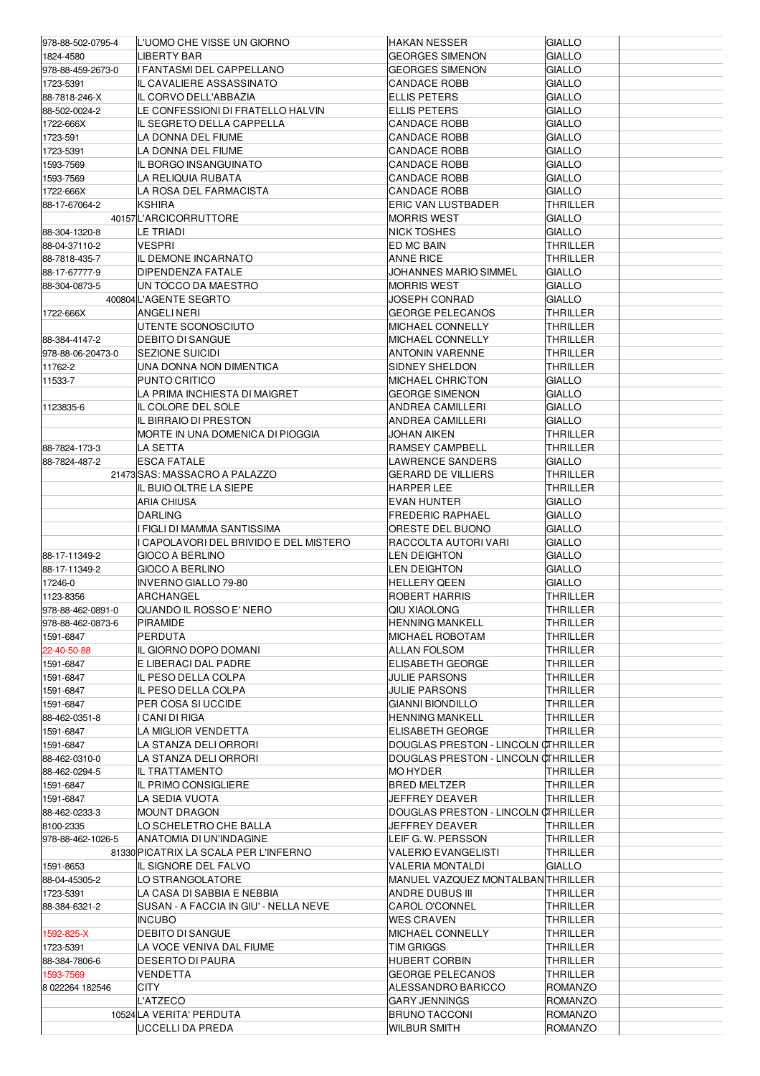| 978-88-502-0795-4 | IL'UOMO CHE VISSE UN GIORNO           | HAKAN NESSER                        | GIALLO          |  |
|-------------------|---------------------------------------|-------------------------------------|-----------------|--|
| 1824-4580         | <b>LIBERTY BAR</b>                    | <b>GEORGES SIMENON</b>              | <b>GIALLO</b>   |  |
|                   |                                       |                                     |                 |  |
| 978-88-459-2673-0 | I FANTASMI DEL CAPPELLANO             | <b>GEORGES SIMENON</b>              | GIALLO          |  |
| 1723-5391         | IL CAVALIERE ASSASSINATO              | <b>CANDACE ROBB</b>                 | GIALLO          |  |
| 88-7818-246-X     | IL CORVO DELL'ABBAZIA                 | ELLIS PETERS                        | GIALLO          |  |
| 88-502-0024-2     | LE CONFESSIONI DI FRATELLO HALVIN     | <b>ELLIS PETERS</b>                 | <b>GIALLO</b>   |  |
| 1722-666X         | IIL SEGRETO DELLA CAPPELLA            | <b>CANDACE ROBB</b>                 | GIALLO          |  |
| 1723-591          | LA DONNA DEL FIUME                    | CANDACE ROBB                        | GIALLO          |  |
| 1723-5391         | LA DONNA DEL FIUME                    | CANDACE ROBB                        | GIALLO          |  |
| 1593-7569         | IL BORGO INSANGUINATO                 | <b>CANDACE ROBB</b>                 | <b>GIALLO</b>   |  |
| 1593-7569         | LA RELIQUIA RUBATA                    | <b>CANDACE ROBB</b>                 | GIALLO          |  |
| 1722-666X         | LA ROSA DEL FARMACISTA                | <b>CANDACE ROBB</b>                 | GIALLO          |  |
| 88-17-67064-2     | <b>KSHIRA</b>                         | <b>ERIC VAN LUSTBADER</b>           | <b>THRILLER</b> |  |
|                   | 40157L'ARCICORRUTTORE                 | <b>MORRIS WEST</b>                  | GIALLO          |  |
|                   |                                       |                                     |                 |  |
| 88-304-1320-8     | LE TRIADI                             | NICK TOSHES                         | <b>GIALLO</b>   |  |
| 88-04-37110-2     | VESPRI                                | ED MC BAIN                          | THRILLER        |  |
| 88-7818-435-7     | IL DEMONE INCARNATO                   | ANNE RICE                           | THRILLER        |  |
| 88-17-67777-9     | <b>DIPENDENZA FATALE</b>              | JOHANNES MARIO SIMMEL               | GIALLO          |  |
| 88-304-0873-5     | UN TOCCO DA MAESTRO                   | <b>MORRIS WEST</b>                  | <b>GIALLO</b>   |  |
|                   | 400804 L'AGENTE SEGRTO                | JOSEPH CONRAD                       | <b>GIALLO</b>   |  |
| 1722-666X         | ANGELI NERI                           | <b>GEORGE PELECANOS</b>             | THRILLER        |  |
|                   | UTENTE SCONOSCIUTO                    | MICHAEL CONNELLY                    | THRILLER        |  |
| 88-384-4147-2     | <b>DEBITO DI SANGUE</b>               | MICHAEL CONNELLY                    | THRILLER        |  |
| 978-88-06-20473-0 | <b>SEZIONE SUICIDI</b>                | ANTONIN VARENNE                     | THRILLER        |  |
| 11762-2           | UNA DONNA NON DIMENTICA               | SIDNEY SHELDON                      | THRILLER        |  |
| 11533-7           | PUNTO CRITICO                         | MICHAEL CHRICTON                    | <b>GIALLO</b>   |  |
|                   | LA PRIMA INCHIESTA DI MAIGRET         | <b>GEORGE SIMENON</b>               | <b>GIALLO</b>   |  |
|                   |                                       |                                     |                 |  |
| 1123835-6         | IL COLORE DEL SOLE                    | ANDREA CAMILLERI                    | GIALLO          |  |
|                   | IL BIRRAIO DI PRESTON                 | ANDREA CAMILLERI                    | GIALLO          |  |
|                   | MORTE IN UNA DOMENICA DI PIOGGIA      | JOHAN AIKEN                         | <b>THRILLER</b> |  |
| 88-7824-173-3     | LA SETTA                              | RAMSEY CAMPBELL                     | THRILLER        |  |
| 88-7824-487-2     | <b>ESCA FATALE</b>                    | LAWRENCE SANDERS                    | GIALLO          |  |
|                   | 21473 SAS: MASSACRO A PALAZZO         | GERARD DE VILLIERS                  | THRILLER        |  |
|                   | IL BUIO OLTRE LA SIEPE                | HARPER LEE                          | <b>THRILLER</b> |  |
|                   | <b>ARIA CHIUSA</b>                    | <b>EVAN HUNTER</b>                  | GIALLO          |  |
|                   | <b>DARLING</b>                        | <b>FREDERIC RAPHAEL</b>             | GIALLO          |  |
|                   | I FIGLI DI MAMMA SANTISSIMA           | ORESTE DEL BUONO                    | GIALLO          |  |
|                   | CAPOLAVORI DEL BRIVIDO E DEL MISTERO  | RACCOLTA AUTORI VARI                | GIALLO          |  |
| 88-17-11349-2     | GIOCO A BERLINO                       | LEN DEIGHTON                        | <b>GIALLO</b>   |  |
| 88-17-11349-2     | GIOCO A BERLINO                       | LEN DEIGHTON                        | GIALLO          |  |
|                   |                                       |                                     |                 |  |
| 17246-0           | <b>INVERNO GIALLO 79-80</b>           | <b>HELLERY QEEN</b>                 | <b>GIALLO</b>   |  |
|                   |                                       | <b>ROBERT HARRIS</b>                |                 |  |
| 1123-8356         | ARCHANGEL                             |                                     | <b>THRILLER</b> |  |
| 978-88-462-0891-0 | QUANDO IL ROSSO E' NERO               | QIU XIAOLONG                        | THRILLER        |  |
| 978-88-462-0873-6 | PIRAMIDE                              | <b>HENNING MANKELL</b>              | THRILLER        |  |
| 1591-6847         | PERDUTA                               | MICHAEL ROBOTAM                     | THRILLER        |  |
| 22-40-50-88       | IL GIORNO DOPO DOMANI                 | ALLAN FOLSOM                        | THRILLER        |  |
| 1591-6847         | E LIBERACI DAL PADRE                  | ELISABETH GEORGE                    | THRILLER        |  |
| 1591-6847         | IIL PESO DELLA COLPA                  | JULIE PARSONS                       | THRILLER        |  |
| 1591-6847         | IL PESO DELLA COLPA                   | JULIE PARSONS                       | THRILLER        |  |
| 1591-6847         | PER COSA SI UCCIDE                    | <b>GIANNI BIONDILLO</b>             | THRILLER        |  |
| 88-462-0351-8     | I CANI DI RIGA                        | HENNING MANKELL                     | THRILLER        |  |
| 1591-6847         | LA MIGLIOR VENDETTA                   | ELISABETH GEORGE                    | <b>THRILLER</b> |  |
| 1591-6847         | LA STANZA DELI ORRORI                 | DOUGLAS PRESTON - LINCOLN CTHRILLER |                 |  |
| 88-462-0310-0     | LA STANZA DELI ORRORI                 | DOUGLAS PRESTON - LINCOLN CTHRILLER |                 |  |
| 88-462-0294-5     | IL TRATTAMENTO                        | MO HYDER                            | THRILLER        |  |
| 1591-6847         |                                       | <b>BRED MELTZER</b>                 | <b>THRILLER</b> |  |
|                   | IL PRIMO CONSIGLIERE                  |                                     |                 |  |
| 1591-6847         | LA SEDIA VUOTA                        | JEFFREY DEAVER                      | THRILLER        |  |
| 88-462-0233-3     | MOUNT DRAGON                          | DOUGLAS PRESTON - LINCOLN CTHRILLER |                 |  |
| 8100-2335         | LO SCHELETRO CHE BALLA                | JEFFREY DEAVER                      | THRILLER        |  |
| 978-88-462-1026-5 | ANATOMIA DI UN'INDAGINE               | LEIF G. W. PERSSON                  | THRILLER        |  |
|                   | 81330 PICATRIX LA SCALA PER L'INFERNO | <b>VALERIO EVANGELISTI</b>          | THRILLER        |  |
| 1591-8653         | IL SIGNORE DEL FALVO                  | VALERIA MONTALDI                    | GIALLO          |  |
| 88-04-45305-2     | LO STRANGOLATORE                      | MANUEL VAZQUEZ MONTALBAN THRILLER   |                 |  |
| 1723-5391         | LA CASA DI SABBIA E NEBBIA            | ANDRE DUBUS III                     | THRILLER        |  |
| 88-384-6321-2     | SUSAN - A FACCIA IN GIU' - NELLA NEVE | CAROL O'CONNEL                      | THRILLER        |  |
|                   | <b>INCUBO</b>                         | WES CRAVEN                          | THRILLER        |  |
| 1592-825-X        | DEBITO DI SANGUE                      | MICHAEL CONNELLY                    | THRILLER        |  |
| 1723-5391         | LA VOCE VENIVA DAL FIUME              | TIM GRIGGS                          | THRILLER        |  |
| 88-384-7806-6     | DESERTO DI PAURA                      | <b>HUBERT CORBIN</b>                | THRILLER        |  |
| 1593-7569         | VENDETTA                              | <b>GEORGE PELECANOS</b>             | THRILLER        |  |
| 8 022264 182546   | CITY                                  | ALESSANDRO BARICCO                  | ROMANZO         |  |
|                   | <b>L'ATZECO</b>                       | GARY JENNINGS                       | ROMANZO         |  |
|                   | 10524 LA VERITA' PERDUTA              | <b>BRUNO TACCONI</b>                | ROMANZO         |  |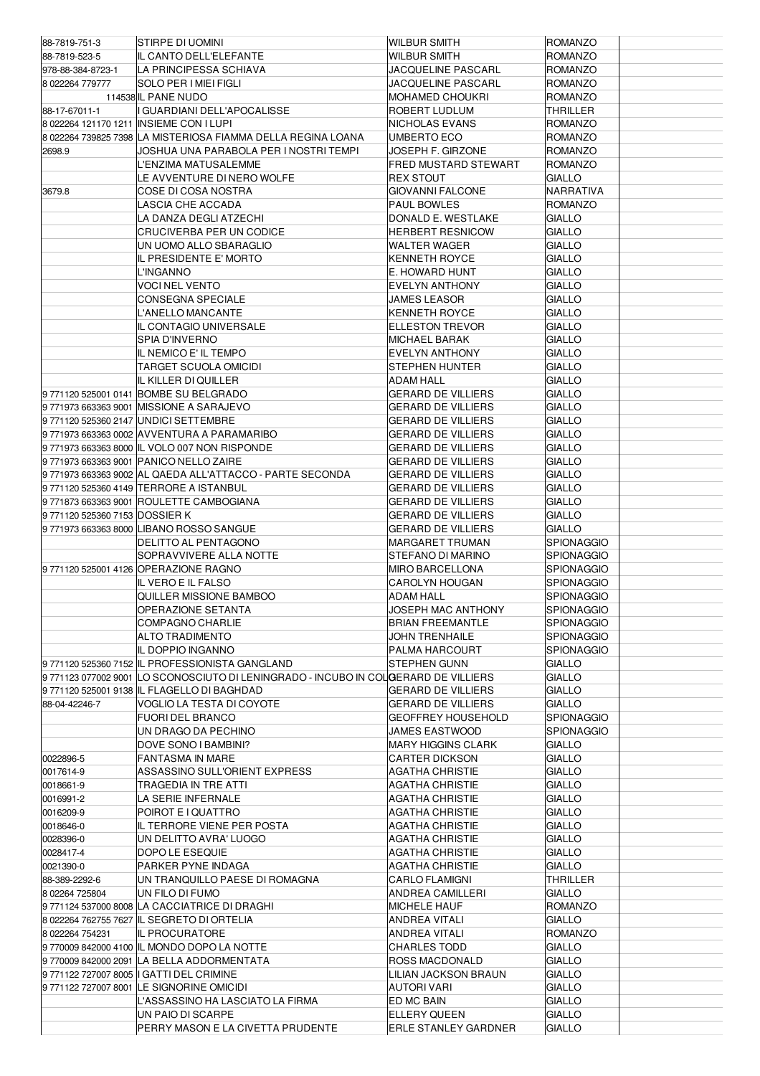| 88-7819-751-3                 | ISTIRPE DI UOMINI                                                                    | <b>WILBUR SMITH</b>         | <b>ROMANZO</b>    |  |
|-------------------------------|--------------------------------------------------------------------------------------|-----------------------------|-------------------|--|
| 88-7819-523-5                 | IL CANTO DELL'ELEFANTE                                                               | <b>WILBUR SMITH</b>         | <b>ROMANZO</b>    |  |
| 978-88-384-8723-1             | LA PRINCIPESSA SCHIAVA                                                               | JACQUELINE PASCARL          | <b>ROMANZO</b>    |  |
| 8 022264 779777               | <b>SOLO PER I MIEI FIGLI</b>                                                         | <b>JACQUELINE PASCARL</b>   | <b>ROMANZO</b>    |  |
|                               | 114538 IL PANE NUDO                                                                  | <b>MOHAMED CHOUKRI</b>      | <b>ROMANZO</b>    |  |
| 88-17-67011-1                 | I GUARDIANI DELL'APOCALISSE                                                          | ROBERT LUDLUM               | THRILLER          |  |
|                               | 8 022264 121170 1211 INSIEME CON I LUPI                                              | NICHOLAS EVANS              | <b>ROMANZO</b>    |  |
|                               | 8 022264 739825 7398 LA MISTERIOSA FIAMMA DELLA REGINA LOANA                         | UMBERTO ECO                 | <b>ROMANZO</b>    |  |
| 2698.9                        | JOSHUA UNA PARABOLA PER I NOSTRI TEMPI                                               | JOSEPH F. GIRZONE           | <b>ROMANZO</b>    |  |
|                               | L'ENZIMA MATUSALEMME                                                                 | <b>FRED MUSTARD STEWART</b> | <b>ROMANZO</b>    |  |
|                               | LE AVVENTURE DI NERO WOLFE                                                           | <b>REX STOUT</b>            | <b>GIALLO</b>     |  |
| 3679.8                        | COSE DI COSA NOSTRA                                                                  | <b>GIOVANNI FALCONE</b>     | NARRATIVA         |  |
|                               | LASCIA CHE ACCADA                                                                    | <b>PAUL BOWLES</b>          | <b>ROMANZO</b>    |  |
|                               | LA DANZA DEGLI ATZECHI                                                               | DONALD E. WESTLAKE          | <b>GIALLO</b>     |  |
|                               | <b>CRUCIVERBA PER UN CODICE</b>                                                      | <b>HERBERT RESNICOW</b>     | <b>GIALLO</b>     |  |
|                               | UN UOMO ALLO SBARAGLIO                                                               | <b>WALTER WAGER</b>         | <b>GIALLO</b>     |  |
|                               | IL PRESIDENTE E' MORTO                                                               | KENNETH ROYCE               | <b>GIALLO</b>     |  |
|                               | L'INGANNO                                                                            | E. HOWARD HUNT              | <b>GIALLO</b>     |  |
|                               | <b>VOCI NEL VENTO</b>                                                                | <b>EVELYN ANTHONY</b>       | <b>GIALLO</b>     |  |
|                               | CONSEGNA SPECIALE                                                                    | <b>JAMES LEASOR</b>         | <b>GIALLO</b>     |  |
|                               | L'ANELLO MANCANTE                                                                    | <b>KENNETH ROYCE</b>        | <b>GIALLO</b>     |  |
|                               | IL CONTAGIO UNIVERSALE                                                               | <b>ELLESTON TREVOR</b>      | <b>GIALLO</b>     |  |
|                               | SPIA D'INVERNO                                                                       | MICHAEL BARAK               | <b>GIALLO</b>     |  |
|                               | IL NEMICO E' IL TEMPO                                                                | <b>EVELYN ANTHONY</b>       | <b>GIALLO</b>     |  |
|                               | TARGET SCUOLA OMICIDI                                                                | <b>STEPHEN HUNTER</b>       | <b>GIALLO</b>     |  |
|                               | IL KILLER DI QUILLER                                                                 | <b>ADAM HALL</b>            | <b>GIALLO</b>     |  |
|                               | 9771120 525001 0141 BOMBE SU BELGRADO                                                | <b>GERARD DE VILLIERS</b>   | <b>GIALLO</b>     |  |
|                               | 9771973 663363 9001 MISSIONE A SARAJEVO                                              | <b>GERARD DE VILLIERS</b>   | <b>GIALLO</b>     |  |
|                               | 9771120 525360 2147 UNDICI SETTEMBRE                                                 | <b>GERARD DE VILLIERS</b>   | <b>GIALLO</b>     |  |
|                               | 9771973 663363 0002 AVVENTURA A PARAMARIBO                                           | <b>GERARD DE VILLIERS</b>   | <b>GIALLO</b>     |  |
|                               | 9771973 663363 8000 IL VOLO 007 NON RISPONDE                                         | <b>GERARD DE VILLIERS</b>   | <b>GIALLO</b>     |  |
|                               | 9771973 663363 9001 PANICO NELLO ZAIRE                                               | <b>GERARD DE VILLIERS</b>   | <b>GIALLO</b>     |  |
|                               | 9771973 663363 9002 AL QAEDA ALL'ATTACCO - PARTE SECONDA                             | <b>GERARD DE VILLIERS</b>   | <b>GIALLO</b>     |  |
|                               | 9771120 525360 4149 TERRORE A ISTANBUL                                               | <b>GERARD DE VILLIERS</b>   | <b>GIALLO</b>     |  |
|                               | 9771873 663363 9001 ROULETTE CAMBOGIANA                                              | <b>GERARD DE VILLIERS</b>   | <b>GIALLO</b>     |  |
| 9771120 525360 7153 DOSSIER K |                                                                                      | <b>GERARD DE VILLIERS</b>   | <b>GIALLO</b>     |  |
|                               | 9771973 663363 8000 LIBANO ROSSO SANGUE                                              | <b>GERARD DE VILLIERS</b>   | <b>GIALLO</b>     |  |
|                               | DELITTO AL PENTAGONO                                                                 | MARGARET TRUMAN             | <b>SPIONAGGIO</b> |  |
|                               | SOPRAVVIVERE ALLA NOTTE                                                              | STEFANO DI MARINO           | <b>SPIONAGGIO</b> |  |
|                               | 9771120 525001 4126 OPERAZIONE RAGNO                                                 | MIRO BARCELLONA             | <b>SPIONAGGIO</b> |  |
|                               | IL VEROE IL FALSO                                                                    | <b>CAROLYN HOUGAN</b>       | <b>SPIONAGGIO</b> |  |
|                               | QUILLER MISSIONE BAMBOO                                                              | ADAM HALL                   | <b>SPIONAGGIO</b> |  |
|                               | OPERAZIONE SETANTA                                                                   | JOSEPH MAC ANTHONY          | SPIONAGGIO        |  |
|                               | COMPAGNO CHARLIE                                                                     | <b>BRIAN FREEMANTLE</b>     | <b>SPIONAGGIO</b> |  |
|                               | ALTO TRADIMENTO                                                                      | <b>JOHN TRENHAILE</b>       | <b>SPIONAGGIO</b> |  |
|                               | IL DOPPIO INGANNO                                                                    | PALMA HARCOURT              | <b>SPIONAGGIO</b> |  |
|                               | 9771120 525360 7152 IL PROFESSIONISTA GANGLAND                                       | STEPHEN GUNN                | <b>GIALLO</b>     |  |
|                               | 9 771123 077002 9001 ILO SCONOSCIUTO DI LENINGRADO - INCUBO IN COLOERARD DE VILLIERS |                             | <b>GIALLO</b>     |  |
|                               | 9771120 525001 9138 IL FLAGELLO DI BAGHDAD                                           | GERARD DE VILLIERS          | GIALLO            |  |
| 88-04-42246-7                 | VOGLIO LA TESTA DI COYOTE                                                            | <b>GERARD DE VILLIERS</b>   | <b>GIALLO</b>     |  |
|                               | <b>FUORI DEL BRANCO</b>                                                              | <b>GEOFFREY HOUSEHOLD</b>   | <b>SPIONAGGIO</b> |  |
|                               | UN DRAGO DA PECHINO                                                                  | JAMES EASTWOOD              | <b>SPIONAGGIO</b> |  |
|                               | DOVE SONO I BAMBINI?                                                                 | <b>MARY HIGGINS CLARK</b>   | <b>GIALLO</b>     |  |
| 0022896-5                     | FANTASMA IN MARE                                                                     | CARTER DICKSON              | <b>GIALLO</b>     |  |
| 0017614-9                     | ASSASSINO SULL'ORIENT EXPRESS                                                        | AGATHA CHRISTIE             | <b>GIALLO</b>     |  |
| 0018661-9                     | TRAGEDIA IN TRE ATTI                                                                 | AGATHA CHRISTIE             | <b>GIALLO</b>     |  |
| 0016991-2                     | LA SERIE INFERNALE                                                                   | AGATHA CHRISTIE             | <b>GIALLO</b>     |  |
| 0016209-9                     | POIROT E I QUATTRO                                                                   | AGATHA CHRISTIE             | GIALLO            |  |
| 0018646-0                     | IL TERRORE VIENE PER POSTA                                                           | AGATHA CHRISTIE             | <b>GIALLO</b>     |  |
| 0028396-0                     | UN DELITTO AVRA' LUOGO                                                               | AGATHA CHRISTIE             | <b>GIALLO</b>     |  |
| 0028417-4                     | DOPO LE ESEQUIE                                                                      | AGATHA CHRISTIE             | <b>GIALLO</b>     |  |
| 0021390-0                     | PARKER PYNE INDAGA                                                                   | AGATHA CHRISTIE             | <b>GIALLO</b>     |  |
| 88-389-2292-6                 | UN TRANQUILLO PAESE DI ROMAGNA                                                       | CARLO FLAMIGNI              | THRILLER          |  |
| 8 02264 725804                | UN FILO DI FUMO                                                                      | ANDREA CAMILLERI            | <b>GIALLO</b>     |  |
|                               | 9771124 537000 8008 LA CACCIATRICE DI DRAGHI                                         | <b>MICHELE HAUF</b>         | <b>ROMANZO</b>    |  |
|                               | 8 022264 762755 7627 IL SEGRETO DI ORTELIA                                           | ANDREA VITALI               | <b>GIALLO</b>     |  |
| 8 022264 754231               | IL PROCURATORE                                                                       | ANDREA VITALI               | <b>ROMANZO</b>    |  |
|                               | 9 770009 842000 4100 IL MONDO DOPO LA NOTTE                                          | <b>CHARLES TODD</b>         | <b>GIALLO</b>     |  |
|                               | 97700098420002091 LA BELLA ADDORMENTATA                                              | <b>ROSS MACDONALD</b>       | <b>GIALLO</b>     |  |
|                               | 9771122 727007 8005   GATTI DEL CRIMINE                                              | LILIAN JACKSON BRAUN        | GIALLO            |  |
|                               | 97711227270078001 LE SIGNORINE OMICIDI                                               | AUTORI VARI                 | <b>GIALLO</b>     |  |
|                               | L'ASSASSINO HA LASCIATO LA FIRMA                                                     | ED MC BAIN                  | <b>GIALLO</b>     |  |
|                               | UN PAIO DI SCARPE                                                                    | ELLERY QUEEN                | <b>GIALLO</b>     |  |
|                               | PERRY MASON E LA CIVETTA PRUDENTE                                                    | <b>ERLE STANLEY GARDNER</b> | <b>GIALLO</b>     |  |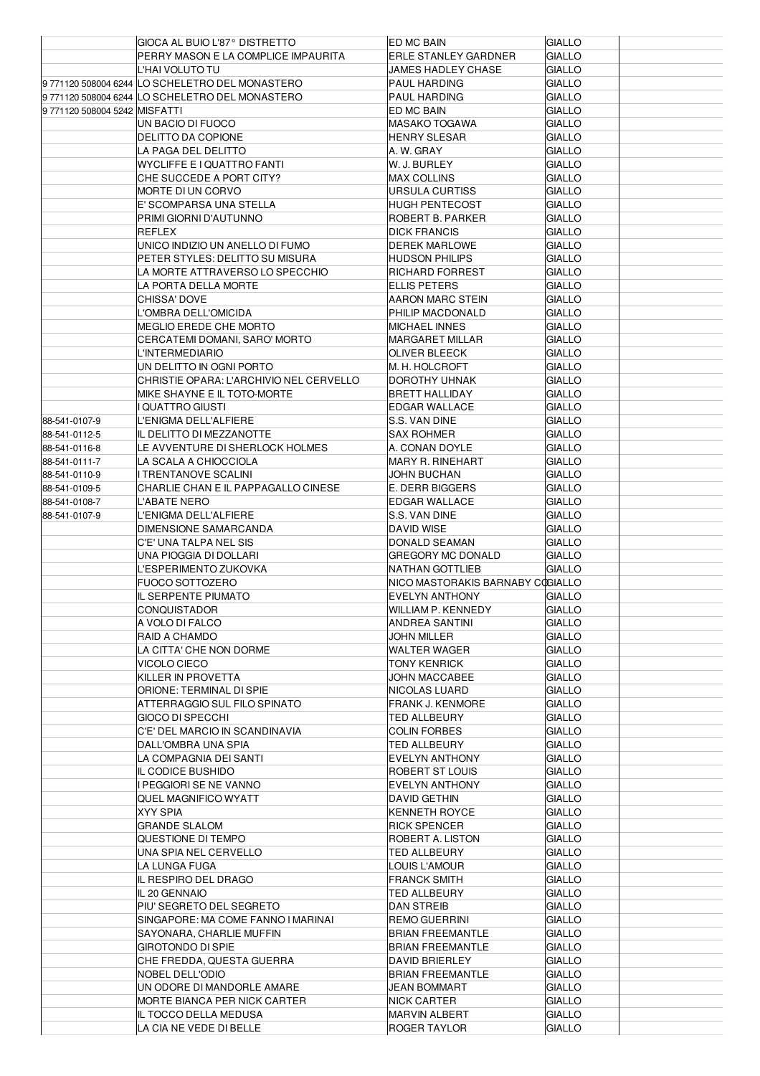|                              | GIOCA AL BUIO L'87° DISTRETTO                           | ED MC BAIN                                    | <b>GIALLO</b>           |  |
|------------------------------|---------------------------------------------------------|-----------------------------------------------|-------------------------|--|
|                              | PERRY MASON E LA COMPLICE IMPAURITA                     | <b>ERLE STANLEY GARDNER</b>                   | <b>GIALLO</b>           |  |
|                              | L'HAI VOLUTO TU                                         | JAMES HADLEY CHASE                            | <b>GIALLO</b>           |  |
|                              | 9771120 508004 6244 LO SCHELETRO DEL MONASTERO          | PAUL HARDING                                  | GIALLO                  |  |
|                              | 9771120 508004 6244 LO SCHELETRO DEL MONASTERO          | PAUL HARDING                                  | <b>GIALLO</b>           |  |
| 9771120 508004 5242 MISFATTI |                                                         | ED MC BAIN                                    | <b>GIALLO</b>           |  |
|                              | UN BACIO DI FUOCO                                       | <b>MASAKO TOGAWA</b>                          | <b>GIALLO</b>           |  |
|                              | DELITTO DA COPIONE                                      | <b>HENRY SLESAR</b>                           | GIALLO                  |  |
|                              | LA PAGA DEL DELITTO                                     | A. W. GRAY                                    | <b>GIALLO</b>           |  |
|                              | WYCLIFFE E I QUATTRO FANTI                              | W. J. BURLEY                                  | <b>GIALLO</b>           |  |
|                              | CHE SUCCEDE A PORT CITY?                                | <b>MAX COLLINS</b>                            | <b>GIALLO</b>           |  |
|                              | MORTE DI UN CORVO                                       | URSULA CURTISS                                | GIALLO                  |  |
|                              | E' SCOMPARSA UNA STELLA                                 | <b>HUGH PENTECOST</b>                         | <b>GIALLO</b>           |  |
|                              | PRIMI GIORNI D'AUTUNNO                                  | ROBERT B. PARKER                              | <b>GIALLO</b>           |  |
|                              | REFLEX                                                  | <b>DICK FRANCIS</b>                           | <b>GIALLO</b>           |  |
|                              | UNICO INDIZIO UN ANELLO DI FUMO                         | <b>DEREK MARLOWE</b>                          | GIALLO                  |  |
|                              | PETER STYLES: DELITTO SU MISURA                         | <b>HUDSON PHILIPS</b>                         | <b>GIALLO</b>           |  |
|                              | LA MORTE ATTRAVERSO LO SPECCHIO<br>LA PORTA DELLA MORTE | <b>RICHARD FORREST</b><br><b>ELLIS PETERS</b> | GIALLO<br><b>GIALLO</b> |  |
|                              | CHISSA' DOVE                                            | AARON MARC STEIN                              |                         |  |
|                              | L'OMBRA DELL'OMICIDA                                    | <b>PHILIP MACDONALD</b>                       | GIALLO<br><b>GIALLO</b> |  |
|                              | MEGLIO EREDE CHE MORTO                                  | <b>MICHAEL INNES</b>                          | <b>GIALLO</b>           |  |
|                              | CERCATEMI DOMANI, SARO' MORTO                           | <b>MARGARET MILLAR</b>                        | <b>GIALLO</b>           |  |
|                              | L'INTERMEDIARIO                                         | <b>OLIVER BLEECK</b>                          | GIALLO                  |  |
|                              | UN DELITTO IN OGNI PORTO                                | M. H. HOLCROFT                                | <b>GIALLO</b>           |  |
|                              | CHRISTIE OPARA: L'ARCHIVIO NEL CERVELLO                 | DOROTHY UHNAK                                 | <b>GIALLO</b>           |  |
|                              | MIKE SHAYNE E IL TOTO-MORTE                             | <b>BRETT HALLIDAY</b>                         | <b>GIALLO</b>           |  |
|                              | <b>QUATTRO GIUSTI</b>                                   | <b>EDGAR WALLACE</b>                          | GIALLO                  |  |
| 88-541-0107-9                | L'ENIGMA DELL'ALFIERE                                   | S.S. VAN DINE                                 | GIALLO                  |  |
| 88-541-0112-5                | IL DELITTO DI MEZZANOTTE                                | <b>SAX ROHMER</b>                             | <b>GIALLO</b>           |  |
| 88-541-0116-8                | LE AVVENTURE DI SHERLOCK HOLMES                         | A. CONAN DOYLE                                | <b>GIALLO</b>           |  |
| 88-541-0111-7                | LA SCALA A CHIOCCIOLA                                   | <b>MARY R. RINEHART</b>                       | <b>GIALLO</b>           |  |
| 88-541-0110-9                | <b>TRENTANOVE SCALINI</b>                               | JOHN BUCHAN                                   | GIALLO                  |  |
| 88-541-0109-5                | CHARLIE CHAN E IL PAPPAGALLO CINESE                     | E. DERR BIGGERS                               | <b>GIALLO</b>           |  |
| 88-541-0108-7                | L'ABATE NERO                                            | <b>EDGAR WALLACE</b>                          | <b>GIALLO</b>           |  |
| 88-541-0107-9                | L'ENIGMA DELL'ALFIERE                                   | S.S. VAN DINE                                 | <b>GIALLO</b>           |  |
|                              | DIMENSIONE SAMARCANDA                                   | DAVID WISE                                    | GIALLO                  |  |
|                              |                                                         |                                               |                         |  |
|                              | C'E' UNA TALPA NEL SIS                                  | DONALD SEAMAN                                 | <b>GIALLO</b>           |  |
|                              | UNA PIOGGIA DI DOLLARI                                  | <b>GREGORY MC DONALD</b>                      | <b>GIALLO</b>           |  |
|                              | L'ESPERIMENTO ZUKOVKA                                   | NATHAN GOTTLIEB                               | <b>GIALLO</b>           |  |
|                              | <b>FUOCO SOTTOZERO</b>                                  | NICO MASTORAKIS BARNABY COGIALLO              |                         |  |
|                              | IL SERPENTE PIUMATO                                     | <b>EVELYN ANTHONY</b>                         | <b>GIALLO</b>           |  |
|                              | CONQUISTADOR                                            | WILLIAM P. KENNEDY                            | <b>GIALLO</b>           |  |
|                              | A VOLO DI FALCO                                         | ANDREA SANTINI                                | <b>GIALLO</b>           |  |
|                              | RAID A CHAMDO                                           | JOHN MILLER                                   | <b>GIALLO</b>           |  |
|                              | LA CITTA' CHE NON DORME                                 | WALTER WAGER                                  | <b>GIALLO</b>           |  |
|                              | VICOLO CIECO                                            | TONY KENRICK                                  | GIALLO                  |  |
|                              | KILLER IN PROVETTA                                      | JOHN MACCABEE                                 | GIALLO                  |  |
|                              | ORIONE: TERMINAL DI SPIE                                | NICOLAS LUARD                                 | GIALLO                  |  |
|                              | ATTERRAGGIO SUL FILO SPINATO                            | <b>FRANK J. KENMORE</b>                       | GIALLO                  |  |
|                              | GIOCO DI SPECCHI                                        | TED ALLBEURY                                  | GIALLO                  |  |
|                              | C'E' DEL MARCIO IN SCANDINAVIA                          | <b>COLIN FORBES</b>                           | <b>GIALLO</b>           |  |
|                              | DALL'OMBRA UNA SPIA                                     | TED ALLBEURY                                  | GIALLO                  |  |
|                              | LA COMPAGNIA DEI SANTI                                  | EVELYN ANTHONY                                | GIALLO                  |  |
|                              | IL CODICE BUSHIDO                                       | ROBERT ST LOUIS                               | GIALLO                  |  |
|                              | I PEGGIORI SE NE VANNO                                  | EVELYN ANTHONY                                | <b>GIALLO</b>           |  |
|                              | QUEL MAGNIFICO WYATT                                    | <b>DAVID GETHIN</b>                           | <b>GIALLO</b>           |  |
|                              | XYY SPIA                                                | KENNETH ROYCE                                 | GIALLO                  |  |
|                              | <b>GRANDE SLALOM</b>                                    | <b>RICK SPENCER</b>                           | GIALLO                  |  |
|                              | QUESTIONE DI TEMPO                                      | ROBERT A. LISTON                              | <b>GIALLO</b>           |  |
|                              | UNA SPIA NEL CERVELLO                                   | TED ALLBEURY                                  | <b>GIALLO</b>           |  |
|                              | LA LUNGA FUGA                                           | LOUIS L'AMOUR                                 | GIALLO                  |  |
|                              | IL RESPIRO DEL DRAGO                                    | <b>FRANCK SMITH</b>                           | GIALLO                  |  |
|                              | IL 20 GENNAIO                                           | TED ALLBEURY                                  | <b>GIALLO</b>           |  |
|                              | PIU' SEGRETO DEL SEGRETO                                | DAN STREIB                                    | <b>GIALLO</b>           |  |
|                              | SINGAPORE: MA COME FANNO I MARINAI                      | REMO GUERRINI                                 | GIALLO                  |  |
|                              | SAYONARA, CHARLIE MUFFIN                                | <b>BRIAN FREEMANTLE</b>                       | GIALLO                  |  |
|                              | <b>GIROTONDO DI SPIE</b>                                | <b>BRIAN FREEMANTLE</b>                       | GIALLO                  |  |
|                              | CHE FREDDA, QUESTA GUERRA                               | <b>DAVID BRIERLEY</b>                         | <b>GIALLO</b>           |  |
|                              | NOBEL DELL'ODIO                                         | <b>BRIAN FREEMANTLE</b>                       | GIALLO                  |  |
|                              | UN ODORE DI MANDORLE AMARE                              | JEAN BOMMART                                  | <b>GIALLO</b>           |  |
|                              | MORTE BIANCA PER NICK CARTER<br>IL TOCCO DELLA MEDUSA   | <b>NICK CARTER</b><br><b>MARVIN ALBERT</b>    | GIALLO<br><b>GIALLO</b> |  |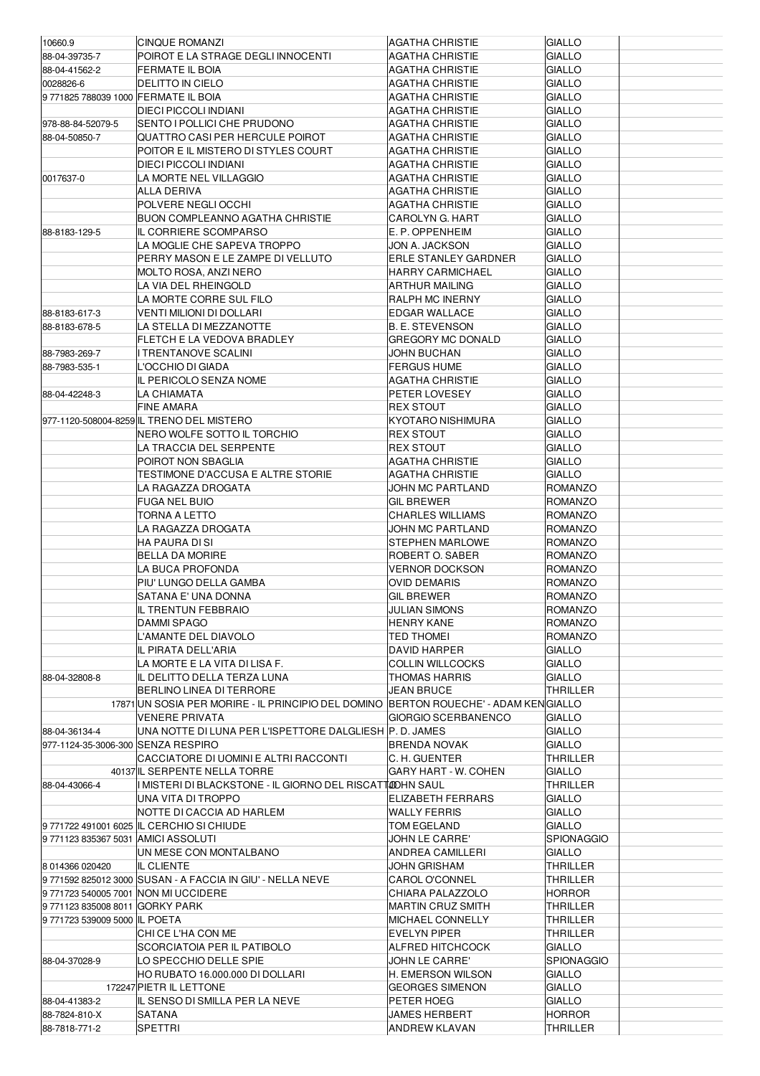| 10660.9                             | <b>CINQUE ROMANZI</b>                                                                | AGATHA CHRISTIE                   | <b>GIALLO</b>                  |  |
|-------------------------------------|--------------------------------------------------------------------------------------|-----------------------------------|--------------------------------|--|
| 88-04-39735-7                       | POIROT E LA STRAGE DEGLI INNOCENTI                                                   | AGATHA CHRISTIE                   | <b>GIALLO</b>                  |  |
| 88-04-41562-2                       | <b>FERMATE IL BOIA</b>                                                               | AGATHA CHRISTIE                   | <b>GIALLO</b>                  |  |
| 0028826-6                           | <b>DELITTO IN CIELO</b>                                                              | <b>AGATHA CHRISTIE</b>            | <b>GIALLO</b>                  |  |
| 97718257880391000 FERMATE IL BOIA   |                                                                                      | AGATHA CHRISTIE                   | <b>GIALLO</b>                  |  |
|                                     | <b>DIECI PICCOLI INDIANI</b>                                                         | <b>AGATHA CHRISTIE</b>            | <b>GIALLO</b>                  |  |
| 978-88-84-52079-5                   | SENTO I POLLICI CHE PRUDONO                                                          | AGATHA CHRISTIE                   | <b>GIALLO</b>                  |  |
| 88-04-50850-7                       | QUATTRO CASI PER HERCULE POIROT                                                      | AGATHA CHRISTIE                   | <b>GIALLO</b>                  |  |
|                                     | POITOR E IL MISTERO DI STYLES COURT                                                  | AGATHA CHRISTIE                   | <b>GIALLO</b>                  |  |
|                                     | <b>DIECI PICCOLI INDIANI</b>                                                         | <b>AGATHA CHRISTIE</b>            | <b>GIALLO</b>                  |  |
| 0017637-0                           | LA MORTE NEL VILLAGGIO                                                               | <b>AGATHA CHRISTIE</b>            | <b>GIALLO</b>                  |  |
|                                     | ALLA DERIVA                                                                          | AGATHA CHRISTIE                   | <b>GIALLO</b>                  |  |
|                                     | POLVERE NEGLI OCCHI                                                                  | AGATHA CHRISTIE                   | <b>GIALLO</b>                  |  |
|                                     | <b>BUON COMPLEANNO AGATHA CHRISTIE</b>                                               | <b>CAROLYN G. HART</b>            | <b>GIALLO</b>                  |  |
| 88-8183-129-5                       | IL CORRIERE SCOMPARSO                                                                | E. P. OPPENHEIM                   | <b>GIALLO</b>                  |  |
|                                     | LA MOGLIE CHE SAPEVA TROPPO                                                          | JON A. JACKSON                    | <b>GIALLO</b>                  |  |
|                                     | PERRY MASON E LE ZAMPE DI VELLUTO                                                    | <b>ERLE STANLEY GARDNER</b>       | <b>GIALLO</b>                  |  |
|                                     | MOLTO ROSA, ANZI NERO                                                                | HARRY CARMICHAEL                  | <b>GIALLO</b>                  |  |
|                                     | LA VIA DEL RHEINGOLD                                                                 | <b>ARTHUR MAILING</b>             | <b>GIALLO</b>                  |  |
|                                     | LA MORTE CORRE SUL FILO                                                              | RALPH MC INERNY                   | <b>GIALLO</b>                  |  |
| 88-8183-617-3                       | VENTI MILIONI DI DOLLARI                                                             | EDGAR WALLACE                     | <b>GIALLO</b>                  |  |
| 88-8183-678-5                       | LA STELLA DI MEZZANOTTE                                                              | <b>B. E. STEVENSON</b>            | <b>GIALLO</b>                  |  |
| 88-7983-269-7                       | FLETCH E LA VEDOVA BRADLEY<br><b>TRENTANOVE SCALINI</b>                              | <b>GREGORY MC DONALD</b>          | <b>GIALLO</b>                  |  |
| 88-7983-535-1                       | L'OCCHIO DI GIADA                                                                    | JOHN BUCHAN<br><b>FERGUS HUME</b> | <b>GIALLO</b><br><b>GIALLO</b> |  |
|                                     | IL PERICOLO SENZA NOME                                                               |                                   | <b>GIALLO</b>                  |  |
| 88-04-42248-3                       | LA CHIAMATA                                                                          | AGATHA CHRISTIE<br>PETER LOVESEY  | <b>GIALLO</b>                  |  |
|                                     | <b>FINE AMARA</b>                                                                    | <b>REX STOUT</b>                  | <b>GIALLO</b>                  |  |
|                                     | 977-1120-508004-8259 IL TRENO DEL MISTERO                                            | <b>KYOTARO NISHIMURA</b>          | <b>GIALLO</b>                  |  |
|                                     | NERO WOLFE SOTTO IL TORCHIO                                                          | <b>REX STOUT</b>                  | <b>GIALLO</b>                  |  |
|                                     | LA TRACCIA DEL SERPENTE                                                              | <b>REX STOUT</b>                  | <b>GIALLO</b>                  |  |
|                                     | POIROT NON SBAGLIA                                                                   | AGATHA CHRISTIE                   | <b>GIALLO</b>                  |  |
|                                     | TESTIMONE D'ACCUSA E ALTRE STORIE                                                    | <b>AGATHA CHRISTIE</b>            | <b>GIALLO</b>                  |  |
|                                     | LA RAGAZZA DROGATA                                                                   | JOHN MC PARTLAND                  | <b>ROMANZO</b>                 |  |
|                                     | <b>FUGA NEL BUIO</b>                                                                 | <b>GIL BREWER</b>                 | <b>ROMANZO</b>                 |  |
|                                     | TORNA A LETTO                                                                        | <b>CHARLES WILLIAMS</b>           | <b>ROMANZO</b>                 |  |
|                                     | LA RAGAZZA DROGATA                                                                   | JOHN MC PARTLAND                  | <b>ROMANZO</b>                 |  |
|                                     | HA PAURA DI SI                                                                       | STEPHEN MARLOWE                   | <b>ROMANZO</b>                 |  |
|                                     | <b>BELLA DA MORIRE</b>                                                               | ROBERT O. SABER                   | <b>ROMANZO</b>                 |  |
|                                     | LA BUCA PROFONDA                                                                     | <b>VERNOR DOCKSON</b>             | <b>ROMANZO</b>                 |  |
|                                     | PIU' LUNGO DELLA GAMBA                                                               | <b>OVID DEMARIS</b>               | <b>ROMANZO</b>                 |  |
|                                     | SATANA E' UNA DONNA                                                                  | GIL BREWER                        | <b>ROMANZO</b>                 |  |
|                                     | IL TRENTUN FEBBRAIO                                                                  | <b>JULIAN SIMONS</b>              | ROMANZO                        |  |
|                                     | DAMMI SPAGO                                                                          | <b>HENRY KANE</b>                 | <b>ROMANZO</b>                 |  |
|                                     | L'AMANTE DEL DIAVOLO                                                                 | TED THOMEI                        | <b>ROMANZO</b>                 |  |
|                                     | IL PIRATA DELL'ARIA                                                                  | DAVID HARPER                      | <b>GIALLO</b>                  |  |
|                                     | LA MORTE E LA VITA DI LISA F.                                                        | <b>COLLIN WILLCOCKS</b>           | <b>GIALLO</b>                  |  |
| 88-04-32808-8                       | IL DELITTO DELLA TERZA LUNA                                                          | THOMAS HARRIS                     | <b>GIALLO</b>                  |  |
|                                     | BERLINO LINEA DI TERRORE                                                             | <b>JEAN BRUCE</b>                 | <b>THRILLER</b>                |  |
|                                     | 17871 UN SOSIA PER MORIRE - IL PRINCIPIO DEL DOMINO BERTON ROUECHE' - ADAM KENGIALLO |                                   |                                |  |
|                                     | <b>VENERE PRIVATA</b>                                                                | GIORGIO SCERBANENCO               | <b>GIALLO</b>                  |  |
| 88-04-36134-4                       | UNA NOTTE DI LUNA PER L'ISPETTORE DALGLIESH P. D. JAMES                              |                                   | <b>GIALLO</b>                  |  |
| 977-1124-35-3006-300 SENZA RESPIRO  |                                                                                      | BRENDA NOVAK                      | <b>GIALLO</b>                  |  |
|                                     | CACCIATORE DI UOMINI E ALTRI RACCONTI                                                | C.H. GUENTER                      | THRILLER                       |  |
|                                     | 40137 IL SERPENTE NELLA TORRE                                                        | GARY HART - W. COHEN              | <b>GIALLO</b>                  |  |
| 88-04-43066-4                       | I MISTERI DI BLACKSTONE - IL GIORNO DEL RISCATTOOHN SAUL                             |                                   | THRILLER                       |  |
|                                     | UNA VITA DI TROPPO                                                                   | ELIZABETH FERRARS                 | <b>GIALLO</b>                  |  |
|                                     | NOTTE DI CACCIA AD HARLEM                                                            | <b>WALLY FERRIS</b>               | <b>GIALLO</b>                  |  |
|                                     | 9771722 491001 6025 IL CERCHIO SI CHIUDE                                             | TOM EGELAND                       | <b>GIALLO</b>                  |  |
| 97711238353675031 AMICI ASSOLUTI    |                                                                                      | JOHN LE CARRE'                    | <b>SPIONAGGIO</b>              |  |
|                                     | UN MESE CON MONTALBANO                                                               | ANDREA CAMILLERI                  | <b>GIALLO</b>                  |  |
| 8 014366 020420                     | IL CLIENTE                                                                           | JOHN GRISHAM                      | THRILLER                       |  |
|                                     | 9 771592 825012 3000 SUSAN - A FACCIA IN GIU' - NELLA NEVE                           | CAROL O'CONNEL                    | THRILLER                       |  |
| 9771723 540005 7001 NON MI UCCIDERE |                                                                                      | CHIARA PALAZZOLO                  | <b>HORROR</b>                  |  |
| 97711238350088011 GORKY PARK        |                                                                                      | <b>MARTIN CRUZ SMITH</b>          | THRILLER                       |  |
| 9771723 539009 5000 IL POETA        |                                                                                      | MICHAEL CONNELLY                  | THRILLER                       |  |
|                                     | CHI CE L'HA CON ME                                                                   | EVELYN PIPER                      | THRILLER                       |  |
|                                     | SCORCIATOIA PER IL PATIBOLO                                                          | ALFRED HITCHCOCK                  | <b>GIALLO</b>                  |  |
| 88-04-37028-9                       | LO SPECCHIO DELLE SPIE                                                               | <b>JOHN LE CARRE'</b>             | <b>SPIONAGGIO</b>              |  |
|                                     | HO RUBATO 16.000.000 DI DOLLARI                                                      | H. EMERSON WILSON                 | <b>GIALLO</b>                  |  |
|                                     | 172247 PIETR IL LETTONE                                                              | <b>GEORGES SIMENON</b>            | <b>GIALLO</b>                  |  |
| 88-04-41383-2                       | IL SENSO DI SMILLA PER LA NEVE                                                       | PETER HOEG                        | <b>GIALLO</b>                  |  |
| 88-7824-810-X                       | SATANA                                                                               | JAMES HERBERT                     | <b>HORROR</b>                  |  |
| 88-7818-771-2                       | SPETTRI                                                                              | <b>ANDREW KLAVAN</b>              | THRILLER                       |  |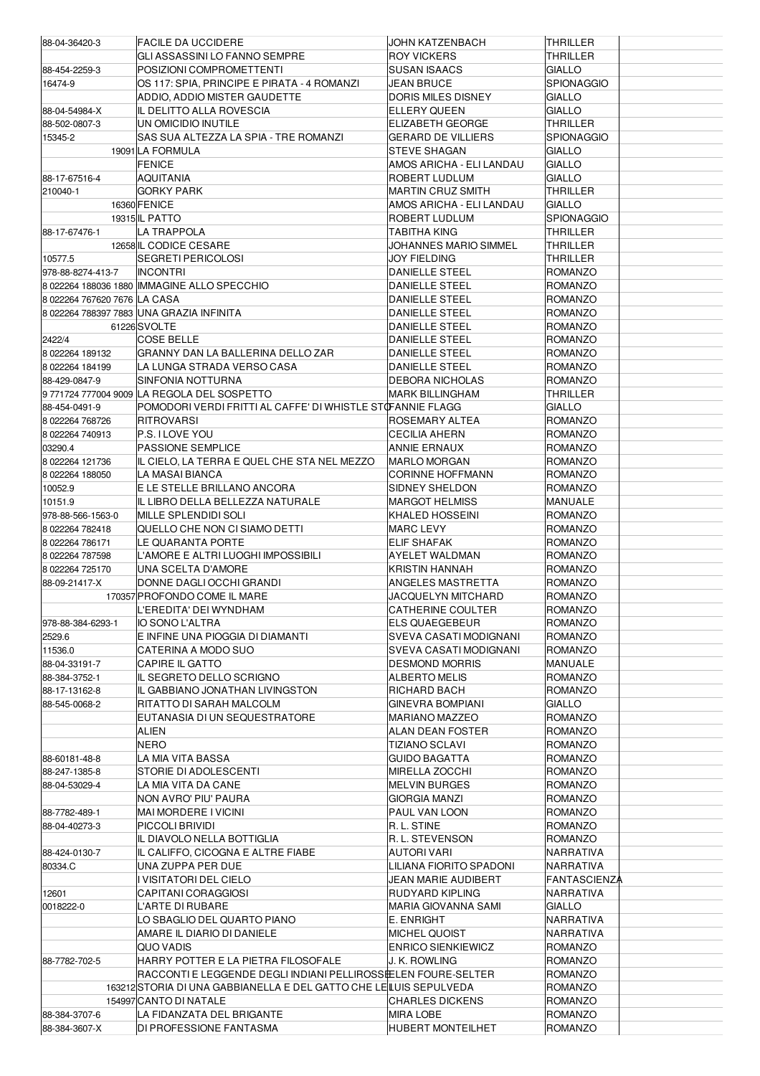| 88-04-36420-3                  | <b>FACILE DA UCCIDERE</b>                                                                    | JOHN KATZENBACH                       | THRILLER            |
|--------------------------------|----------------------------------------------------------------------------------------------|---------------------------------------|---------------------|
|                                | GLI ASSASSINI LO FANNO SEMPRE                                                                | <b>ROY VICKERS</b>                    | THRILLER            |
| 88-454-2259-3                  | POSIZIONI COMPROMETTENTI                                                                     | SUSAN ISAACS                          | GIALLO              |
| 16474-9                        | OS 117: SPIA, PRINCIPE E PIRATA - 4 ROMANZI                                                  | <b>JEAN BRUCE</b>                     | SPIONAGGIO          |
|                                | ADDIO, ADDIO MISTER GAUDETTE                                                                 | <b>DORIS MILES DISNEY</b>             | GIALLO              |
| 88-04-54984-X                  | IL DELITTO ALLA ROVESCIA                                                                     | <b>ELLERY QUEEN</b>                   | GIALLO              |
| 88-502-0807-3                  | UN OMICIDIO INUTILE                                                                          | <b>ELIZABETH GEORGE</b>               | THRILLER            |
| 15345-2                        | SAS SUA ALTEZZA LA SPIA - TRE ROMANZI                                                        | GERARD DE VILLIERS                    | SPIONAGGIO          |
|                                | 19091 LA FORMULA                                                                             | <b>STEVE SHAGAN</b>                   | <b>GIALLO</b>       |
|                                | <b>FENICE</b>                                                                                | AMOS ARICHA - ELI LANDAU              | <b>GIALLO</b>       |
| 88-17-67516-4                  | AQUITANIA                                                                                    | ROBERT LUDLUM                         | GIALLO              |
| 210040-1                       | <b>GORKY PARK</b>                                                                            | <b>MARTIN CRUZ SMITH</b>              | <b>THRILLER</b>     |
|                                | 16360 FENICE                                                                                 | AMOS ARICHA - ELI LANDAU              | <b>GIALLO</b>       |
|                                | 19315 IL PATTO                                                                               | ROBERT LUDLUM                         | <b>SPIONAGGIO</b>   |
| 88-17-67476-1                  | <b>LA TRAPPOLA</b>                                                                           | TABITHA KING                          | THRILLER            |
|                                | 12658 IL CODICE CESARE                                                                       | JOHANNES MARIO SIMMEL                 | THRILLER            |
| 10577.5<br>978-88-8274-413-7   | SEGRETI PERICOLOSI<br><b>INCONTRI</b>                                                        | JOY FIELDING<br><b>DANIELLE STEEL</b> | THRILLER<br>ROMANZO |
|                                | 8 022264 188036 1880 IMMAGINE ALLO SPECCHIO                                                  | <b>DANIELLE STEEL</b>                 | ROMANZO             |
| 80222647676207676 LA CASA      |                                                                                              | <b>DANIELLE STEEL</b>                 | ROMANZO             |
|                                | 8 022264 788397 7883 UNA GRAZIA INFINITA                                                     | <b>DANIELLE STEEL</b>                 | ROMANZO             |
|                                | 61226SVOLTE                                                                                  | <b>DANIELLE STEEL</b>                 | <b>ROMANZO</b>      |
| 2422/4                         | <b>COSE BELLE</b>                                                                            | <b>DANIELLE STEEL</b>                 | ROMANZO             |
| 8 022264 189132                | IGRANNY DAN LA BALLERINA DELLO ZAR                                                           | DANIELLE STEEL                        | ROMANZO             |
| 8 022264 184199                | LA LUNGA STRADA VERSO CASA                                                                   | <b>DANIELLE STEEL</b>                 | <b>ROMANZO</b>      |
| 88-429-0847-9                  | SINFONIA NOTTURNA                                                                            | <b>DEBORA NICHOLAS</b>                | ROMANZO             |
|                                | 97717247770049009 LA REGOLA DEL SOSPETTO                                                     | <b>MARK BILLINGHAM</b>                | THRILLER            |
| 88-454-0491-9                  | POMODORI VERDI FRITTI AL CAFFE' DI WHISTLE STOFANNIE FLAGG                                   |                                       | GIALLO              |
| 8 022264 768726                | RITROVARSI                                                                                   | ROSEMARY ALTEA                        | ROMANZO             |
| 8 022264 740913                | P.S. I LOVE YOU                                                                              | CECILIA AHERN                         | ROMANZO             |
| 03290.4                        | <b>PASSIONE SEMPLICE</b>                                                                     | <b>ANNIE ERNAUX</b>                   | ROMANZO             |
| 8 022264 121736                | IIL CIELO, LA TERRA E QUEL CHE STA NEL MEZZO                                                 | MARLO MORGAN                          | ROMANZO             |
| 8 022264 188050                | LA MASAI BIANCA                                                                              | <b>CORINNE HOFFMANN</b>               | ROMANZO             |
| 10052.9                        | E LE STELLE BRILLANO ANCORA                                                                  | SIDNEY SHELDON                        | ROMANZO             |
| 10151.9                        | IL LIBRO DELLA BELLEZZA NATURALE                                                             | MARGOT HELMISS                        | MANUALE             |
| 978-88-566-1563-0              | <b>MILLE SPLENDIDI SOLI</b>                                                                  | KHALED HOSSEINI                       | ROMANZO             |
| 8 022264 782418                | QUELLO CHE NON CI SIAMO DETTI                                                                | <b>MARC LEVY</b>                      | ROMANZO             |
| 8 022264 786171                | LE QUARANTA PORTE                                                                            | <b>ELIF SHAFAK</b>                    | <b>ROMANZO</b>      |
| 8 022264 787598                | L'AMORE E ALTRI LUOGHI IMPOSSIBILI                                                           | <b>AYELET WALDMAN</b>                 | ROMANZO             |
| 8 022264 725170                | UNA SCELTA D'AMORE                                                                           | KRISTIN HANNAH                        | ROMANZO             |
| 88-09-21417-X                  | DONNE DAGLI OCCHI GRANDI                                                                     | ANGELES MASTRETTA                     | ROMANZO             |
|                                | 170357 PROFONDO COME IL MARE                                                                 | JACQUELYN MITCHARD                    | ROMANZO             |
|                                | L'EREDITA' DEI WYNDHAM                                                                       | <b>CATHERINE COULTER</b>              | ROMANZO             |
| 978-88-384-6293-1              | IO SONO L'ALTRA                                                                              | <b>ELS QUAEGEBEUR</b>                 | <b>ROMANZO</b>      |
| 2529.6                         | E INFINE UNA PIOGGIA DI DIAMANTI                                                             | SVEVA CASATI MODIGNANI                | ROMANZO             |
| 11536.0                        | CATERINA A MODO SUO                                                                          | SVEVA CASATI MODIGNANI                | ROMANZO             |
| 88-04-33191-7                  | <b>CAPIRE IL GATTO</b>                                                                       | <b>DESMOND MORRIS</b>                 | MANUALE             |
| 88-384-3752-1                  | IL SEGRETO DELLO SCRIGNO                                                                     | <b>ALBERTO MELIS</b>                  | ROMANZO             |
| 88-17-13162-8                  | IL GABBIANO JONATHAN LIVINGSTON                                                              | RICHARD BACH                          | ROMANZO             |
| 88-545-0068-2                  | RITATTO DI SARAH MALCOLM                                                                     | GINEVRA BOMPIANI                      | GIALLO              |
|                                | EUTANASIA DI UN SEQUESTRATORE                                                                | <b>MARIANO MAZZEO</b>                 | ROMANZO             |
|                                | ALIEN                                                                                        | <b>ALAN DEAN FOSTER</b>               | ROMANZO             |
|                                | <b>NERO</b>                                                                                  | TIZIANO SCLAVI                        | ROMANZO             |
| 88-60181-48-8                  | LA MIA VITA BASSA                                                                            | GUIDO BAGATTA                         | ROMANZO             |
| 88-247-1385-8                  | STORIE DI ADOLESCENTI                                                                        | MIRELLA ZOCCHI                        | ROMANZO             |
| 88-04-53029-4                  | LA MIA VITA DA CANE                                                                          | <b>MELVIN BURGES</b>                  | ROMANZO             |
|                                | NON AVRO' PIU' PAURA                                                                         | GIORGIA MANZI<br>PAUL VAN LOON        | ROMANZO<br>ROMANZO  |
| 88-7782-489-1<br>88-04-40273-3 | MAI MORDERE I VICINI<br>PICCOLI BRIVIDI                                                      | R. L. STINE                           | ROMANZO             |
|                                | IIL DIAVOLO NELLA BOTTIGLIA                                                                  | R. L. STEVENSON                       | ROMANZO             |
| 88-424-0130-7                  | IIL CALIFFO, CICOGNA E ALTRE FIABE                                                           | AUTORI VARI                           | NARRATIVA           |
| 80334.C                        | UNA ZUPPA PER DUE                                                                            | LILIANA FIORITO SPADONI               | NARRATIVA           |
|                                | I VISITATORI DEL CIELO                                                                       | JEAN MARIE AUDIBERT                   | FANTASCIENZA        |
| 12601                          | CAPITANI CORAGGIOSI                                                                          | RUDYARD KIPLING                       | NARRATIVA           |
| 0018222-0                      | L'ARTE DI RUBARE                                                                             | MARIA GIOVANNA SAMI                   | GIALLO              |
|                                | LO SBAGLIO DEL QUARTO PIANO                                                                  | E. ENRIGHT                            | NARRATIVA           |
|                                | AMARE IL DIARIO DI DANIELE                                                                   | MICHEL QUOIST                         | NARRATIVA           |
|                                | QUO VADIS                                                                                    | <b>ENRICO SIENKIEWICZ</b>             | ROMANZO             |
| 88-7782-702-5                  | HARRY POTTER E LA PIETRA FILOSOFALE                                                          | J. K. Rowling                         | ROMANZO             |
|                                | RACCONTI E LEGGENDE DEGLI INDIANI PELLIROSSIELEN FOURE-SELTER                                |                                       | ROMANZO             |
|                                |                                                                                              |                                       |                     |
|                                |                                                                                              |                                       |                     |
|                                | 163212 STORIA DI UNA GABBIANELLA E DEL GATTO CHE LE LUIS SEPULVEDA<br>154997 CANTO DI NATALE |                                       | ROMANZO<br>ROMANZO  |
| 88-384-3707-6                  | LA FIDANZATA DEL BRIGANTE                                                                    | <b>CHARLES DICKENS</b><br>MIRA LOBE   | ROMANZO             |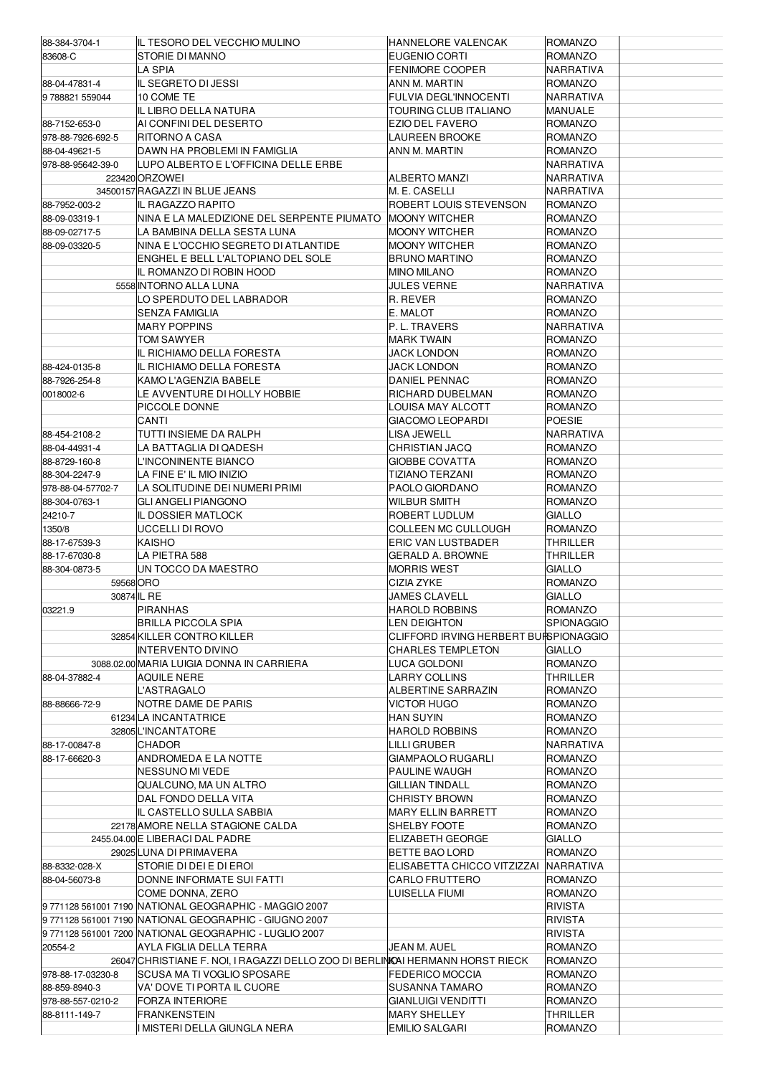| 88-384-3704-1     | IIL TESORO DEL VECCHIO MULINO                                                 | HANNELORE VALENCAK                    | <b>ROMANZO</b>    |
|-------------------|-------------------------------------------------------------------------------|---------------------------------------|-------------------|
| 83608-C           | STORIE DI MANNO                                                               | EUGENIO CORTI                         | <b>ROMANZO</b>    |
|                   |                                                                               |                                       |                   |
|                   | LA SPIA                                                                       | <b>FENIMORE COOPER</b>                | NARRATIVA         |
| 88-04-47831-4     | IL SEGRETO DI JESSI                                                           | ANN M. MARTIN                         | <b>ROMANZO</b>    |
| 9788821559044     | 10 COME TE                                                                    | FULVIA DEGL'INNOCENTI                 | NARRATIVA         |
|                   | IL LIBRO DELLA NATURA                                                         | TOURING CLUB ITALIANO                 | MANUALE           |
| 88-7152-653-0     | AI CONFINI DEL DESERTO                                                        | EZIO DEL FAVERO                       | ROMANZO           |
|                   |                                                                               |                                       |                   |
| 978-88-7926-692-5 | RITORNO A CASA                                                                | LAUREEN BROOKE                        | ROMANZO           |
| 88-04-49621-5     | DAWN HA PROBLEMI IN FAMIGLIA                                                  | ANN M. MARTIN                         | ROMANZO           |
| 978-88-95642-39-0 | ILUPO ALBERTO E L'OFFICINA DELLE ERBE                                         |                                       | NARRATIVA         |
|                   | 223420 ORZOWEI                                                                | ALBERTO MANZI                         | NARRATIVA         |
|                   | 34500157 RAGAZZI IN BLUE JEANS                                                | M. E. CASELLI                         | NARRATIVA         |
| 88-7952-003-2     | IL RAGAZZO RAPITO                                                             | ROBERT LOUIS STEVENSON                | <b>ROMANZO</b>    |
|                   |                                                                               |                                       |                   |
| 88-09-03319-1     | NINA E LA MALEDIZIONE DEL SERPENTE PIUMATO                                    | <b>MOONY WITCHER</b>                  | <b>ROMANZO</b>    |
| 88-09-02717-5     | LA BAMBINA DELLA SESTA LUNA                                                   | <b>MOONY WITCHER</b>                  | ROMANZO           |
| 88-09-03320-5     | NINA E L'OCCHIO SEGRETO DI ATLANTIDE                                          | MOONY WITCHER                         | ROMANZO           |
|                   | ENGHEL E BELL L'ALTOPIANO DEL SOLE                                            | <b>BRUNO MARTINO</b>                  | ROMANZO           |
|                   | IIL ROMANZO DI ROBIN HOOD                                                     | MINO MILANO                           | ROMANZO           |
|                   | 5558 INTORNO ALLA LUNA                                                        | <b>JULES VERNE</b>                    | NARRATIVA         |
|                   |                                                                               |                                       |                   |
|                   | LO SPERDUTO DEL LABRADOR                                                      | R. REVER                              | ROMANZO           |
|                   | SENZA FAMIGLIA                                                                | E. MALOT                              | <b>ROMANZO</b>    |
|                   | <b>IMARY POPPINS</b>                                                          | P.L. TRAVERS                          | NARRATIVA         |
|                   | TOM SAWYER                                                                    | <b>MARK TWAIN</b>                     | ROMANZO           |
|                   | IIL RICHIAMO DELLA FORESTA                                                    | JACK LONDON                           | ROMANZO           |
| 88-424-0135-8     | IIL RICHIAMO DELLA FORESTA                                                    | <b>JACK LONDON</b>                    | <b>ROMANZO</b>    |
|                   |                                                                               |                                       |                   |
| 88-7926-254-8     | KAMO L'AGENZIA BABELE                                                         | <b>DANIEL PENNAC</b>                  | ROMANZO           |
| 0018002-6         | LE AVVENTURE DI HOLLY HOBBIE                                                  | RICHARD DUBELMAN                      | ROMANZO           |
|                   | PICCOLE DONNE                                                                 | LOUISA MAY ALCOTT                     | ROMANZO           |
|                   | CANTI                                                                         | <b>GIACOMO LEOPARDI</b>               | <b>POESIE</b>     |
| 88-454-2108-2     | TUTTI INSIEME DA RALPH                                                        | LISA JEWELL                           | NARRATIVA         |
| 88-04-44931-4     | LA BATTAGLIA DI QADESH                                                        | CHRISTIAN JACQ                        | ROMANZO           |
|                   |                                                                               |                                       |                   |
| 88-8729-160-8     | L'INCONINENTE BIANCO                                                          | <b>GIOBBE COVATTA</b>                 | ROMANZO           |
| 88-304-2247-9     | LA FINE E' IL MIO INIZIO                                                      | TIZIANO TERZANI                       | ROMANZO           |
| 978-88-04-57702-7 | LA SOLITUDINE DEI NUMERI PRIMI                                                | PAOLO GIORDANO                        | <b>ROMANZO</b>    |
| 88-304-0763-1     | <b>GLI ANGELI PIANGONO</b>                                                    | WILBUR SMITH                          | ROMANZO           |
| 24210-7           | IL DOSSIER MATLOCK                                                            | ROBERT LUDLUM                         | <b>GIALLO</b>     |
| 1350/8            | UCCELLI DI ROVO                                                               | COLLEEN MC CULLOUGH                   | ROMANZO           |
| 88-17-67539-3     | <b>KAISHO</b>                                                                 | <b>ERIC VAN LUSTBADER</b>             | <b>THRILLER</b>   |
|                   |                                                                               |                                       |                   |
| 88-17-67030-8     | LA PIETRA 588                                                                 | GERALD A. BROWNE                      | THRILLER          |
| 88-304-0873-5     | UN TOCCO DA MAESTRO                                                           | <b>MORRIS WEST</b>                    | <b>GIALLO</b>     |
| 59568 ORO         |                                                                               | CIZIA ZYKE                            | ROMANZO           |
|                   | 30874 IL RE                                                                   | JAMES CLAVELL                         | GIALLO            |
| 03221.9           | <b>PIRANHAS</b>                                                               | <b>HAROLD ROBBINS</b>                 | <b>ROMANZO</b>    |
|                   | BRILLA PICCOLA SPIA                                                           | LEN DEIGHTON                          | <b>SPIONAGGIO</b> |
|                   |                                                                               |                                       |                   |
|                   | 32854 KILLER CONTRO KILLER                                                    | CLIFFORD IRVING HERBERT BUISPIONAGGIO |                   |
|                   | <b>INTERVENTO DIVINO</b>                                                      | CHARLES TEMPLETON                     | GIALLO            |
|                   | 3088.02.00 MARIA LUIGIA DONNA IN CARRIERA                                     | LUCA GOLDONI                          | ROMANZO           |
| 88-04-37882-4     | AQUILE NERE                                                                   | LARRY COLLINS                         | THRILLER          |
|                   | L'ASTRAGALO                                                                   | ALBERTINE SARRAZIN                    | ROMANZO           |
| 88-88666-72-9     | INOTRE DAME DE PARIS                                                          | VICTOR HUGO                           | ROMANZO           |
|                   | 61234 LA INCANTATRICE                                                         | HAN SUYIN                             | ROMANZO           |
|                   |                                                                               |                                       |                   |
|                   | 32805L'INCANTATORE                                                            | <b>HAROLD ROBBINS</b>                 | ROMANZO           |
| 88-17-00847-8     | CHADOR                                                                        | LILLI GRUBER                          | NARRATIVA         |
| 88-17-66620-3     | ANDROMEDA E LA NOTTE                                                          | GIAMPAOLO RUGARLI                     | ROMANZO           |
|                   | INESSUNO MI VEDE                                                              | PAULINE WAUGH                         | ROMANZO           |
|                   | QUALCUNO, MA UN ALTRO                                                         | GILLIAN TINDALL                       | ROMANZO           |
|                   | DAL FONDO DELLA VITA                                                          | <b>CHRISTY BROWN</b>                  | ROMANZO           |
|                   |                                                                               |                                       |                   |
|                   | IL CASTELLO SULLA SABBIA                                                      | <b>MARY ELLIN BARRETT</b>             | ROMANZO           |
|                   | 22178 AMORE NELLA STAGIONE CALDA                                              | SHELBY FOOTE                          | ROMANZO           |
|                   | 2455.04.00 E LIBERACI DAL PADRE                                               | ELIZABETH GEORGE                      | <b>GIALLO</b>     |
|                   | 29025LUNA DI PRIMAVERA                                                        | BETTE BAO LORD                        | ROMANZO           |
| 88-8332-028-X     | STORIE DI DEI E DI EROI                                                       | ELISABETTA CHICCO VITZIZZAI           | <b>NARRATIVA</b>  |
| 88-04-56073-8     | DONNE INFORMATE SUI FATTI                                                     | CARLO FRUTTERO                        | ROMANZO           |
|                   | COME DONNA, ZERO                                                              | LUISELLA FIUMI                        | ROMANZO           |
|                   |                                                                               |                                       |                   |
|                   | 9771128 561001 7190 NATIONAL GEOGRAPHIC - MAGGIO 2007                         |                                       | <b>RIVISTA</b>    |
|                   | 9 771128 561001 7190 NATIONAL GEOGRAPHIC - GIUGNO 2007                        |                                       | RIVISTA           |
|                   | 9 771128 561001 7200 NATIONAL GEOGRAPHIC - LUGLIO 2007                        |                                       | <b>RIVISTA</b>    |
| 20554-2           | AYLA FIGLIA DELLA TERRA                                                       | JEAN M. AUEL                          | ROMANZO           |
|                   | 26047 CHRISTIANE F. NOI, I RAGAZZI DELLO ZOO DI BERLINKAI HERMANN HORST RIECK |                                       | ROMANZO           |
|                   | SCUSA MA TI VOGLIO SPOSARE                                                    |                                       | ROMANZO           |
| 978-88-17-03230-8 |                                                                               | <b>FEDERICO MOCCIA</b>                |                   |
| 88-859-8940-3     | VA' DOVE TI PORTA IL CUORE                                                    | SUSANNA TAMARO                        | ROMANZO           |
| 978-88-557-0210-2 | <b>FORZA INTERIORE</b>                                                        | GIANLUIGI VENDITTI                    | ROMANZO           |
| 88-8111-149-7     | <b>FRANKENSTEIN</b>                                                           | <b>MARY SHELLEY</b>                   | THRILLER          |
|                   | I MISTERI DELLA GIUNGLA NERA                                                  | <b>EMILIO SALGARI</b>                 | <b>ROMANZO</b>    |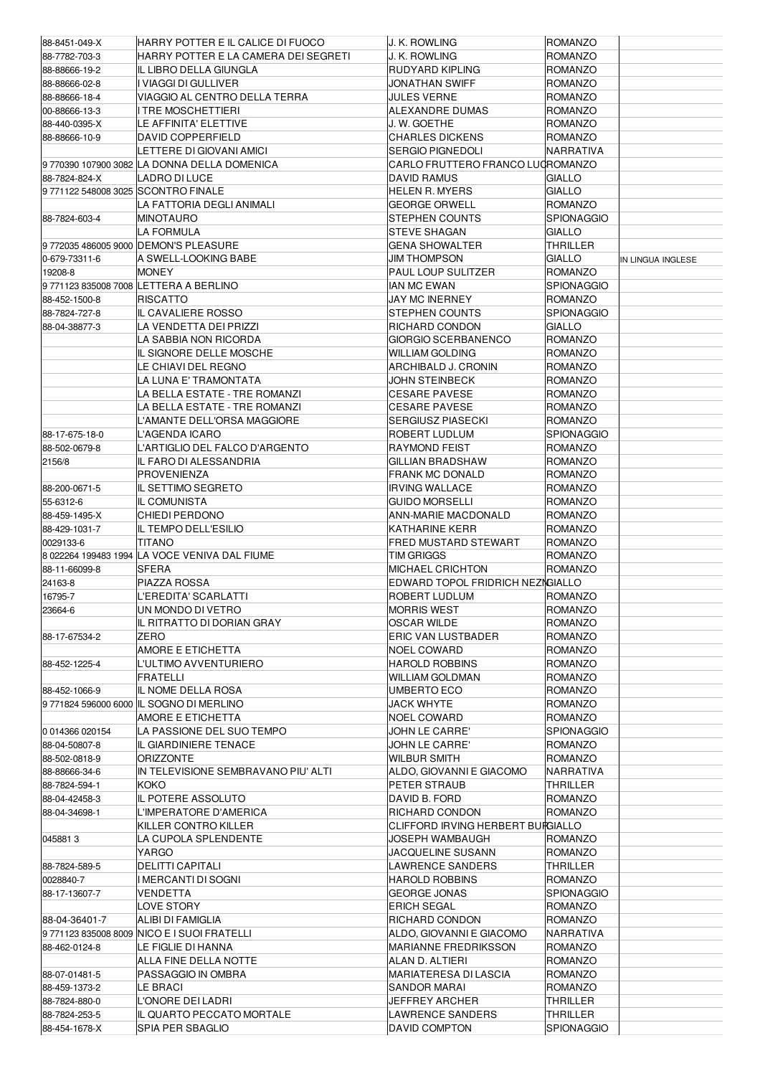| 88-8451-049-X                      | HARRY POTTER E IL CALICE DI FUOCO                            | J. K. ROWLING                                | <b>ROMANZO</b>                   |                   |
|------------------------------------|--------------------------------------------------------------|----------------------------------------------|----------------------------------|-------------------|
| 88-7782-703-3                      | HARRY POTTER E LA CAMERA DEI SEGRETI                         | J. K. Rowling                                | <b>ROMANZO</b>                   |                   |
| 88-88666-19-2                      | IL LIBRO DELLA GIUNGLA                                       | RUDYARD KIPLING                              | <b>ROMANZO</b>                   |                   |
| 88-88666-02-8                      | <b>VIAGGI DI GULLIVER</b>                                    | <b>JONATHAN SWIFF</b>                        | <b>ROMANZO</b>                   |                   |
| 88-88666-18-4                      | VIAGGIO AL CENTRO DELLA TERRA                                | <b>JULES VERNE</b>                           | <b>ROMANZO</b>                   |                   |
| 00-88666-13-3                      | TRE MOSCHETTIERI                                             | ALEXANDRE DUMAS                              | <b>ROMANZO</b>                   |                   |
| 88-440-0395-X                      | LE AFFINITA' ELETTIVE                                        | J. W. GOETHE                                 | <b>ROMANZO</b>                   |                   |
| 88-88666-10-9                      | DAVID COPPERFIELD                                            | <b>CHARLES DICKENS</b>                       | <b>ROMANZO</b>                   |                   |
|                                    | ETTERE DI GIOVANI AMICI                                      | <b>SERGIO PIGNEDOLI</b>                      | NARRATIVA                        |                   |
|                                    | 9770390 107900 3082 LA DONNA DELLA DOMENICA                  | CARLO FRUTTERO FRANCO LUGROMANZO             |                                  |                   |
| 88-7824-824-X                      | LADRO DI LUCE                                                | <b>DAVID RAMUS</b>                           | <b>GIALLO</b>                    |                   |
| 9771122 548008 3025 SCONTRO FINALE |                                                              | <b>HELEN R. MYERS</b>                        | <b>GIALLO</b>                    |                   |
|                                    | LA FATTORIA DEGLI ANIMALI                                    | <b>GEORGE ORWELL</b>                         | <b>ROMANZO</b>                   |                   |
| 88-7824-603-4                      | MINOTAURO                                                    | STEPHEN COUNTS                               | <b>SPIONAGGIO</b>                |                   |
|                                    | LA FORMULA                                                   | STEVE SHAGAN                                 | <b>GIALLO</b>                    |                   |
|                                    | 97720354860059000DEMON'S PLEASURE<br>A SWELL-LOOKING BABE    | <b>GENA SHOWALTER</b><br><b>JIM THOMPSON</b> | THRILLER<br><b>GIALLO</b>        |                   |
| 0-679-73311-6<br>19208-8           | MONEY                                                        | <b>PAUL LOUP SULITZER</b>                    | <b>ROMANZO</b>                   | IN LINGUA INGLESE |
|                                    | 97711238350087008LETTERA A BERLINO                           | <b>IAN MC EWAN</b>                           | <b>SPIONAGGIO</b>                |                   |
| 88-452-1500-8                      | <b>RISCATTO</b>                                              | JAY MC INERNEY                               | <b>ROMANZO</b>                   |                   |
| 88-7824-727-8                      | IL CAVALIERE ROSSO                                           | STEPHEN COUNTS                               | <b>SPIONAGGIO</b>                |                   |
| 88-04-38877-3                      | LA VENDETTA DEI PRIZZI                                       | RICHARD CONDON                               | <b>GIALLO</b>                    |                   |
|                                    | LA SABBIA NON RICORDA                                        | GIORGIO SCERBANENCO                          | <b>ROMANZO</b>                   |                   |
|                                    | IL SIGNORE DELLE MOSCHE                                      | WILLIAM GOLDING                              | <b>ROMANZO</b>                   |                   |
|                                    | LE CHIAVI DEL REGNO                                          | ARCHIBALD J. CRONIN                          | <b>ROMANZO</b>                   |                   |
|                                    | LA LUNA E' TRAMONTATA                                        | <b>JOHN STEINBECK</b>                        | <b>ROMANZO</b>                   |                   |
|                                    | LA BELLA ESTATE - TRE ROMANZI                                | CESARE PAVESE                                | <b>ROMANZO</b>                   |                   |
|                                    | LA BELLA ESTATE - TRE ROMANZI                                | <b>CESARE PAVESE</b>                         | <b>ROMANZO</b>                   |                   |
|                                    | L'AMANTE DELL'ORSA MAGGIORE                                  | <b>SERGIUSZ PIASECKI</b>                     | <b>ROMANZO</b>                   |                   |
| 88-17-675-18-0                     | L'AGENDA ICARO                                               | ROBERT LUDLUM                                | <b>SPIONAGGIO</b>                |                   |
| 88-502-0679-8                      | L'ARTIGLIO DEL FALCO D'ARGENTO                               | <b>RAYMOND FEIST</b>                         | <b>ROMANZO</b>                   |                   |
| 2156/8                             | IL FARO DI ALESSANDRIA                                       | <b>GILLIAN BRADSHAW</b>                      | <b>ROMANZO</b>                   |                   |
|                                    | <b>PROVENIENZA</b>                                           | <b>FRANK MC DONALD</b>                       | <b>ROMANZO</b>                   |                   |
| 88-200-0671-5                      | IL SETTIMO SEGRETO                                           | <b>IRVING WALLACE</b>                        | <b>ROMANZO</b>                   |                   |
| 55-6312-6                          | IL COMUNISTA                                                 | <b>GUIDO MORSELLI</b>                        | <b>ROMANZO</b>                   |                   |
| 88-459-1495-X                      | CHIEDI PERDONO                                               | <b>ANN-MARIE MACDONALD</b>                   | <b>ROMANZO</b>                   |                   |
| 88-429-1031-7                      | IL TEMPO DELL'ESILIO                                         | KATHARINE KERR                               | <b>ROMANZO</b>                   |                   |
| 0029133-6                          | TITANO                                                       | FRED MUSTARD STEWART                         | <b>ROMANZO</b>                   |                   |
|                                    | 8 022264 199483 1994 LA VOCE VENIVA DAL FIUME                | <b>TIM GRIGGS</b>                            | <b>ROMANZO</b>                   |                   |
| 88-11-66099-8                      | SFERA                                                        | <b>MICHAEL CRICHTON</b>                      | <b>ROMANZO</b>                   |                   |
| 24163-8                            | PIAZZA ROSSA                                                 | EDWARD TOPOL FRIDRICH NEZNGIALLO             |                                  |                   |
| 16795-7                            | L'EREDITA' SCARLATTI                                         | ROBERT LUDLUM                                | <b>ROMANZO</b>                   |                   |
| 23664-6                            | UN MONDO DI VETRO                                            | <b>MORRIS WEST</b>                           | ROMANZO                          |                   |
|                                    | IL RITRATTO DI DORIAN GRAY                                   | OSCAR WILDE                                  | ROMANZO                          |                   |
| 88-17-67534-2                      | ZERO                                                         | ERIC VAN LUSTBADER                           | ROMANZO                          |                   |
|                                    | AMORE E ETICHETTA                                            | <b>NOEL COWARD</b>                           | <b>ROMANZO</b>                   |                   |
| 88-452-1225-4                      | _'ULTIMO AVVENTURIERO                                        | <b>HAROLD ROBBINS</b>                        | <b>ROMANZO</b>                   |                   |
|                                    | FRATELLI                                                     | <b>WILLIAM GOLDMAN</b>                       | <b>ROMANZO</b>                   |                   |
| 88-452-1066-9                      | IL NOME DELLA ROSA                                           | UMBERTO ECO                                  | <b>ROMANZO</b>                   |                   |
|                                    | 9771824 596000 6000 IL SOGNO DI MERLINO<br>AMORE E ETICHETTA | <b>JACK WHYTE</b><br><b>NOEL COWARD</b>      | <b>ROMANZO</b><br><b>ROMANZO</b> |                   |
| 0 014366 020154                    | LA PASSIONE DEL SUO TEMPO                                    | JOHN LE CARRE'                               | <b>SPIONAGGIO</b>                |                   |
| 88-04-50807-8                      | IL GIARDINIERE TENACE                                        | JOHN LE CARRE'                               | ROMANZO                          |                   |
| 88-502-0818-9                      | ORIZZONTE                                                    | WILBUR SMITH                                 | <b>ROMANZO</b>                   |                   |
| 88-88666-34-6                      | IN TELEVISIONE SEMBRAVANO PIU' ALTI                          | ALDO, GIOVANNI E GIACOMO                     | NARRATIVA                        |                   |
| 88-7824-594-1                      | КОКО                                                         | PETER STRAUB                                 | <b>THRILLER</b>                  |                   |
| 88-04-42458-3                      | IL POTERE ASSOLUTO                                           | DAVID B. FORD                                | <b>ROMANZO</b>                   |                   |
| 88-04-34698-1                      | L'IMPERATORE D'AMERICA                                       | RICHARD CONDON                               | <b>ROMANZO</b>                   |                   |
|                                    | KILLER CONTRO KILLER                                         | CLIFFORD IRVING HERBERT BURGIALLO            |                                  |                   |
| 0458813                            | LA CUPOLA SPLENDENTE                                         | JOSEPH WAMBAUGH                              | <b>ROMANZO</b>                   |                   |
|                                    | YARGO                                                        | JACQUELINE SUSANN                            | ROMANZO                          |                   |
| 88-7824-589-5                      | DELITTI CAPITALI                                             | LAWRENCE SANDERS                             | THRILLER                         |                   |
| 0028840-7                          | I MERCANTI DI SOGNI                                          | <b>HAROLD ROBBINS</b>                        | <b>ROMANZO</b>                   |                   |
| 88-17-13607-7                      | VENDETTA                                                     | <b>GEORGE JONAS</b>                          | <b>SPIONAGGIO</b>                |                   |
|                                    | LOVE STORY                                                   | <b>ERICH SEGAL</b>                           | <b>ROMANZO</b>                   |                   |
| 88-04-36401-7                      | ALIBI DI FAMIGLIA                                            | RICHARD CONDON                               | <b>ROMANZO</b>                   |                   |
|                                    | 97711238350088009 NICO E I SUOI FRATELLI                     | ALDO, GIOVANNI E GIACOMO                     | <b>NARRATIVA</b>                 |                   |
| 88-462-0124-8                      | LE FIGLIE DI HANNA                                           | <b>MARIANNE FREDRIKSSON</b>                  | <b>ROMANZO</b>                   |                   |
|                                    | ALLA FINE DELLA NOTTE                                        | ALAN D. ALTIERI                              | <b>ROMANZO</b>                   |                   |
| 88-07-01481-5                      | PASSAGGIO IN OMBRA                                           | MARIATERESA DI LASCIA                        | ROMANZO                          |                   |
| 88-459-1373-2                      | LE BRACI                                                     | SANDOR MARAI                                 | <b>ROMANZO</b>                   |                   |
| 88-7824-880-0                      | L'ONORE DEI LADRI                                            | <b>JEFFREY ARCHER</b>                        | <b>THRILLER</b>                  |                   |
| 88-7824-253-5                      | IL QUARTO PECCATO MORTALE                                    | <b>LAWRENCE SANDERS</b>                      | <b>THRILLER</b>                  |                   |
| 88-454-1678-X                      | SPIA PER SBAGLIO                                             | <b>DAVID COMPTON</b>                         | <b>SPIONAGGIO</b>                |                   |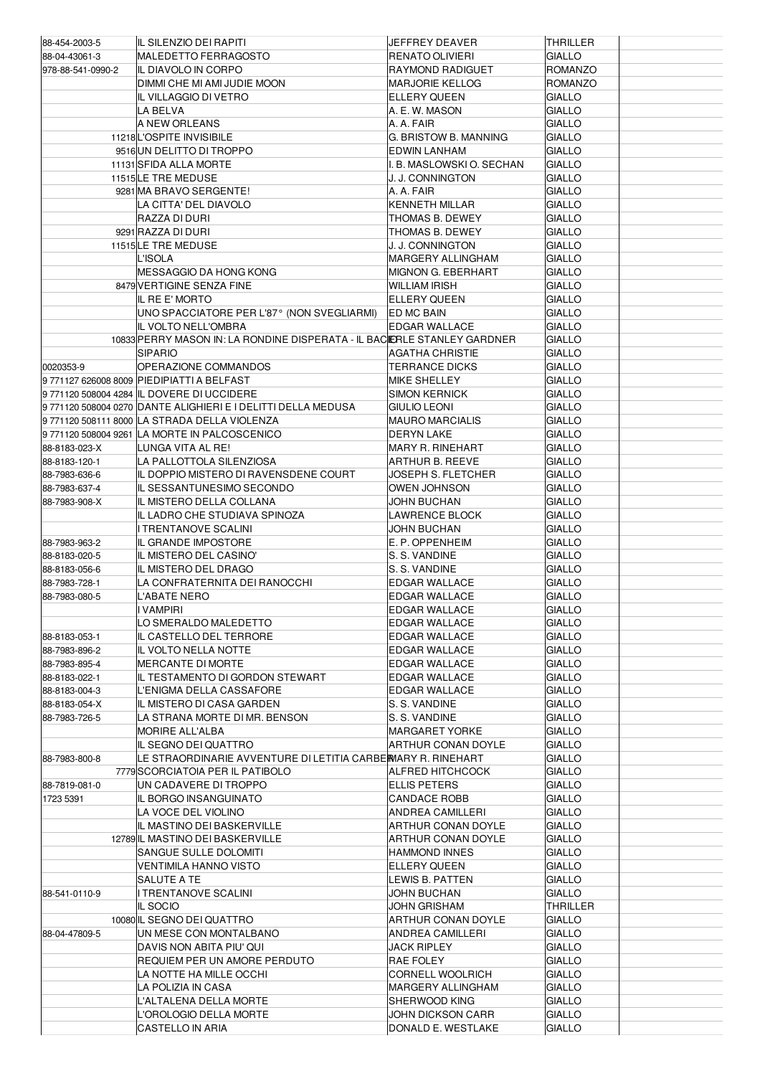| 88-454-2003-5                  | IL SILENZIO DEI RAPITI                                                   | JEFFREY DEAVER                               | THRILLER                       |
|--------------------------------|--------------------------------------------------------------------------|----------------------------------------------|--------------------------------|
| 88-04-43061-3                  | <b>MALEDETTO FERRAGOSTO</b>                                              | RENATO OLIVIERI                              | <b>GIALLO</b>                  |
| 978-88-541-0990-2              | IL DIAVOLO IN CORPO                                                      | <b>RAYMOND RADIGUET</b>                      | <b>ROMANZO</b>                 |
|                                | DIMMI CHE MI AMI JUDIE MOON                                              | <b>MARJORIE KELLOG</b>                       | <b>ROMANZO</b>                 |
|                                | IL VILLAGGIO DI VETRO                                                    | <b>ELLERY QUEEN</b>                          | <b>GIALLO</b>                  |
|                                | LA BELVA                                                                 | A. E. W. MASON                               | <b>GIALLO</b>                  |
|                                | A NEW ORLEANS<br>11218 L'OSPITE INVISIBILE                               | A. A. FAIR<br>G. BRISTOW B. MANNING          | <b>GIALLO</b><br><b>GIALLO</b> |
|                                | 9516 UN DELITTO DI TROPPO                                                | EDWIN LANHAM                                 | <b>GIALLO</b>                  |
|                                | 11131 SFIDA ALLA MORTE                                                   | . B. MASLOWSKI O. SECHAN                     | <b>GIALLO</b>                  |
|                                | 11515 LE TRE MEDUSE                                                      | J. J. CONNINGTON                             | <b>GIALLO</b>                  |
|                                | 9281 MA BRAVO SERGENTE!                                                  | A. A. FAIR                                   | <b>GIALLO</b>                  |
|                                | LA CITTA' DEL DIAVOLO                                                    | KENNETH MILLAR                               | <b>GIALLO</b>                  |
|                                | RAZZA DI DURI                                                            | THOMAS B. DEWEY                              | <b>GIALLO</b>                  |
|                                | 9291 RAZZA DI DURI                                                       | THOMAS B. DEWEY                              | <b>GIALLO</b>                  |
|                                | 11515 LE TRE MEDUSE                                                      | J. J. CONNINGTON                             | <b>GIALLO</b>                  |
|                                | <b>L'ISOLA</b>                                                           | <b>MARGERY ALLINGHAM</b>                     | <b>GIALLO</b>                  |
|                                | MESSAGGIO DA HONG KONG                                                   | MIGNON G. EBERHART                           | <b>GIALLO</b>                  |
|                                | 8479 VERTIGINE SENZA FINE                                                | <b>WILLIAM IRISH</b>                         | <b>GIALLO</b>                  |
|                                | IL RE E' MORTO                                                           | <b>ELLERY QUEEN</b>                          | <b>GIALLO</b>                  |
|                                | UNO SPACCIATORE PER L'87° (NON SVEGLIARMI)<br>IL VOLTO NELL'OMBRA        | ED MC BAIN<br><b>EDGAR WALLACE</b>           | <b>GIALLO</b><br><b>GIALLO</b> |
|                                | 10833 PERRY MASON IN: LA RONDINE DISPERATA - IL BACIERLE STANLEY GARDNER |                                              | <b>GIALLO</b>                  |
|                                | <b>SIPARIO</b>                                                           | AGATHA CHRISTIE                              | <b>GIALLO</b>                  |
| 0020353-9                      | OPERAZIONE COMMANDOS                                                     | <b>TERRANCE DICKS</b>                        | <b>GIALLO</b>                  |
|                                | 9771127 626008 8009 PIEDIPIATTI A BELFAST                                | <b>MIKE SHELLEY</b>                          | <b>GIALLO</b>                  |
|                                | 9 771120 508004 4284 IL DOVERE DI UCCIDERE                               | <b>SIMON KERNICK</b>                         | <b>GIALLO</b>                  |
|                                | 9771120 508004 0270 DANTE ALIGHIERI E I DELITTI DELLA MEDUSA             | <b>GIULIO LEONI</b>                          | <b>GIALLO</b>                  |
|                                | 9 771120 508111 8000 LA STRADA DELLA VIOLENZA                            | <b>MAURO MARCIALIS</b>                       | <b>GIALLO</b>                  |
|                                | 9 771120 508004 9261 LA MORTE IN PALCOSCENICO                            | <b>DERYN LAKE</b>                            | <b>GIALLO</b>                  |
| 88-8183-023-X                  | LUNGA VITA AL RE!                                                        | <b>MARY R. RINEHART</b>                      | <b>GIALLO</b>                  |
| 88-8183-120-1                  | LA PALLOTTOLA SILENZIOSA                                                 | ARTHUR B. REEVE                              | <b>GIALLO</b>                  |
| 88-7983-636-6                  | IL DOPPIO MISTERO DI RAVENSDENE COURT                                    | JOSEPH S. FLETCHER                           | <b>GIALLO</b><br><b>GIALLO</b> |
| 88-7983-637-4<br>88-7983-908-X | IL SESSANTUNESIMO SECONDO<br>IL MISTERO DELLA COLLANA                    | OWEN JOHNSON<br>JOHN BUCHAN                  | <b>GIALLO</b>                  |
|                                | IL LADRO CHE STUDIAVA SPINOZA                                            | LAWRENCE BLOCK                               | <b>GIALLO</b>                  |
|                                | I TRENTANOVE SCALINI                                                     | JOHN BUCHAN                                  | <b>GIALLO</b>                  |
|                                |                                                                          |                                              |                                |
| 88-7983-963-2                  | IL GRANDE IMPOSTORE                                                      | E. P. OPPENHEIM                              | <b>GIALLO</b>                  |
| 88-8183-020-5                  | IL MISTERO DEL CASINO'                                                   | S. S. VANDINE                                | <b>GIALLO</b>                  |
| 88-8183-056-6                  | IL MISTERO DEL DRAGO                                                     | S. S. VANDINE                                | <b>GIALLO</b>                  |
| 88-7983-728-1                  | LA CONFRATERNITA DEI RANOCCHI                                            | <b>EDGAR WALLACE</b>                         | <b>GIALLO</b>                  |
| 88-7983-080-5                  | L'ABATE NERO                                                             | <b>EDGAR WALLACE</b>                         | <b>GIALLO</b>                  |
|                                | <b>IVAMPIRI</b>                                                          | EDGAR WALLACE                                | <b>GIALLO</b>                  |
|                                | LO SMERALDO MALEDETTO                                                    | <b>EDGAR WALLACE</b>                         | <b>GIALLO</b>                  |
| 88-8183-053-1                  | IL CASTELLO DEL TERRORE                                                  | EDGAR WALLACE                                | <b>GIALLO</b>                  |
| 88-7983-896-2<br>88-7983-895-4 | IL VOLTO NELLA NOTTE<br>MERCANTE DI MORTE                                | <b>EDGAR WALLACE</b><br><b>EDGAR WALLACE</b> | <b>GIALLO</b><br><b>GIALLO</b> |
| 88-8183-022-1                  | IL TESTAMENTO DI GORDON STEWART                                          | EDGAR WALLACE                                | <b>GIALLO</b>                  |
| 88-8183-004-3                  | L'ENIGMA DELLA CASSAFORE                                                 | <b>EDGAR WALLACE</b>                         | <b>GIALLO</b>                  |
| 88-8183-054-X                  | IL MISTERO DI CASA GARDEN                                                | S. S. VANDINE                                | <b>GIALLO</b>                  |
| 88-7983-726-5                  | LA STRANA MORTE DI MR. BENSON                                            | S. S. VANDINE                                | <b>GIALLO</b>                  |
|                                | <b>MORIRE ALL'ALBA</b>                                                   | MARGARET YORKE                               | <b>GIALLO</b>                  |
|                                | IL SEGNO DEI QUATTRO                                                     | <b>ARTHUR CONAN DOYLE</b>                    | <b>GIALLO</b>                  |
| 88-7983-800-8                  | LE STRAORDINARIE AVVENTURE DI LETITIA CARBERWARY R. RINEHART             |                                              | <b>GIALLO</b>                  |
|                                | 7779 SCORCIATOIA PER IL PATIBOLO                                         | ALFRED HITCHCOCK                             | <b>GIALLO</b>                  |
| 88-7819-081-0                  | UN CADAVERE DI TROPPO                                                    | <b>ELLIS PETERS</b>                          | <b>GIALLO</b>                  |
| 1723 5391                      | IL BORGO INSANGUINATO<br>LA VOCE DEL VIOLINO                             | <b>CANDACE ROBB</b><br>ANDREA CAMILLERI      | <b>GIALLO</b><br><b>GIALLO</b> |
|                                | IL MASTINO DEI BASKERVILLE                                               | ARTHUR CONAN DOYLE                           | <b>GIALLO</b>                  |
|                                | 12789 IL MASTINO DEI BASKERVILLE                                         | ARTHUR CONAN DOYLE                           | <b>GIALLO</b>                  |
|                                | SANGUE SULLE DOLOMITI                                                    | <b>HAMMOND INNES</b>                         | <b>GIALLO</b>                  |
|                                | VENTIMILA HANNO VISTO                                                    | <b>ELLERY QUEEN</b>                          | GIALLO                         |
|                                | SALUTE A TE                                                              | LEWIS B. PATTEN                              | <b>GIALLO</b>                  |
| 88-541-0110-9                  | I TRENTANOVE SCALINI                                                     | JOHN BUCHAN                                  | <b>GIALLO</b>                  |
|                                | <b>IL SOCIO</b>                                                          | <b>JOHN GRISHAM</b>                          | THRILLER                       |
| 88-04-47809-5                  | 10080 IL SEGNO DEI QUATTRO<br>UN MESE CON MONTALBANO                     | ARTHUR CONAN DOYLE<br>ANDREA CAMILLERI       | GIALLO<br><b>GIALLO</b>        |
|                                | DAVIS NON ABITA PIU' QUI                                                 | JACK RIPLEY                                  | <b>GIALLO</b>                  |
|                                | REQUIEM PER UN AMORE PERDUTO                                             | <b>RAE FOLEY</b>                             | <b>GIALLO</b>                  |
|                                | LA NOTTE HA MILLE OCCHI                                                  | CORNELL WOOLRICH                             | <b>GIALLO</b>                  |
|                                | LA POLIZIA IN CASA                                                       | MARGERY ALLINGHAM                            | <b>GIALLO</b>                  |
|                                | L'ALTALENA DELLA MORTE<br>L'OROLOGIO DELLA MORTE                         | SHERWOOD KING<br>JOHN DICKSON CARR           | <b>GIALLO</b><br><b>GIALLO</b> |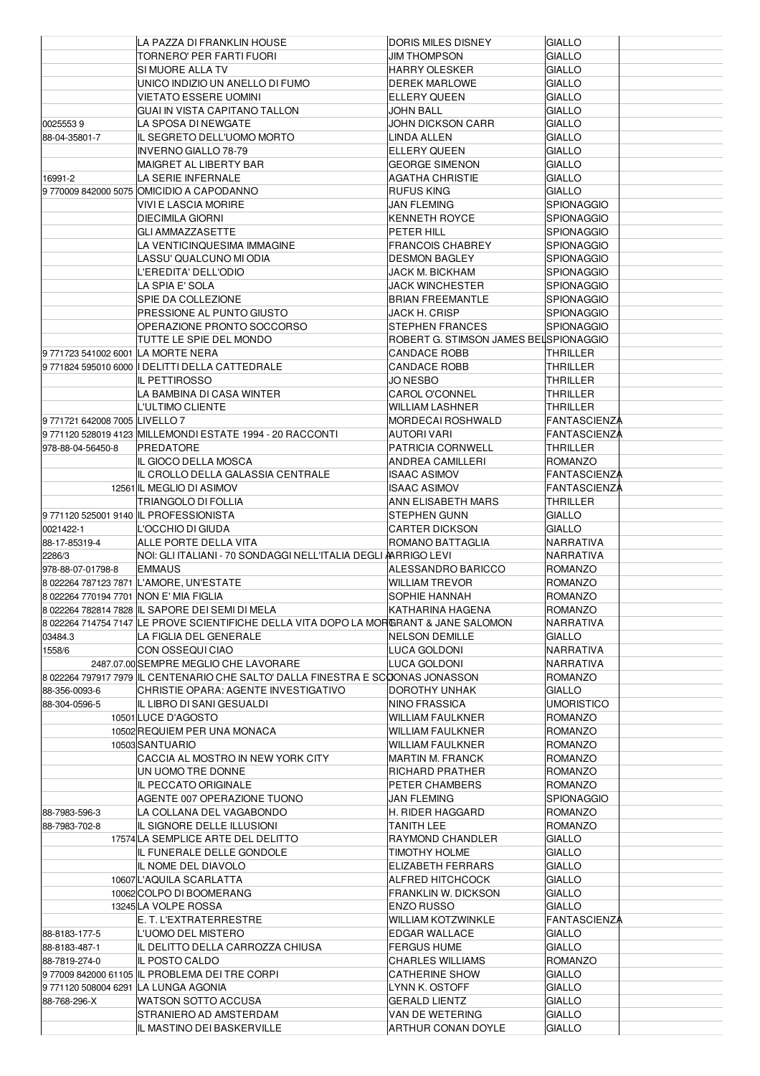|                                        | LA PAZZA DI FRANKLIN HOUSE                                                            | DORIS MILES DISNEY                          | <b>GIALLO</b>                              |
|----------------------------------------|---------------------------------------------------------------------------------------|---------------------------------------------|--------------------------------------------|
|                                        | TORNERO' PER FARTI FUORI                                                              | <b>JIM THOMPSON</b>                         | <b>GIALLO</b>                              |
|                                        | SI MUORE ALLA TV                                                                      | <b>HARRY OLESKER</b>                        | GIALLO                                     |
|                                        | UNICO INDIZIO UN ANELLO DI FUMO                                                       | <b>DEREK MARLOWE</b>                        | <b>GIALLO</b>                              |
|                                        | <b>VIETATO ESSERE UOMINI</b>                                                          | <b>ELLERY QUEEN</b>                         | GIALLO                                     |
|                                        | GUAI IN VISTA CAPITANO TALLON                                                         | <b>JOHN BALL</b>                            | GIALLO                                     |
| 00255539                               | LA SPOSA DI NEWGATE                                                                   | <b>JOHN DICKSON CARR</b>                    | GIALLO                                     |
| 88-04-35801-7                          | IL SEGRETO DELL'UOMO MORTO                                                            | LINDA ALLEN                                 | <b>GIALLO</b>                              |
|                                        | <b>INVERNO GIALLO 78-79</b>                                                           | <b>ELLERY QUEEN</b>                         | GIALLO                                     |
|                                        | MAIGRET AL LIBERTY BAR                                                                | <b>GEORGE SIMENON</b>                       | GIALLO                                     |
| 16991-2                                | LA SERIE INFERNALE                                                                    | <b>AGATHA CHRISTIE</b><br><b>RUFUS KING</b> | GIALLO<br>GIALLO                           |
|                                        | 9 770009 842000 5075 OMICIDIO A CAPODANNO<br>VIVI E LASCIA MORIRE                     | JAN FLEMING                                 | <b>SPIONAGGIO</b>                          |
|                                        | <b>DIECIMILA GIORNI</b>                                                               | <b>KENNETH ROYCE</b>                        | <b>SPIONAGGIO</b>                          |
|                                        | <b>GLI AMMAZZASETTE</b>                                                               | PETER HILL                                  | <b>SPIONAGGIO</b>                          |
|                                        | LA VENTICINQUESIMA IMMAGINE                                                           | <b>FRANCOIS CHABREY</b>                     | <b>SPIONAGGIO</b>                          |
|                                        | LASSU' QUALCUNO MI ODIA                                                               | <b>DESMON BAGLEY</b>                        | <b>SPIONAGGIO</b>                          |
|                                        | L'EREDITA' DELL'ODIO                                                                  | JACK M. BICKHAM                             | <b>SPIONAGGIO</b>                          |
|                                        | LA SPIA E' SOLA                                                                       | JACK WINCHESTER                             | <b>SPIONAGGIO</b>                          |
|                                        | SPIE DA COLLEZIONE                                                                    | <b>BRIAN FREEMANTLE</b>                     | <b>SPIONAGGIO</b>                          |
|                                        | PRESSIONE AL PUNTO GIUSTO                                                             | JACK H. CRISP                               | <b>SPIONAGGIO</b>                          |
|                                        | OPERAZIONE PRONTO SOCCORSO                                                            | <b>STEPHEN FRANCES</b>                      | <b>SPIONAGGIO</b>                          |
|                                        | TUTTE LE SPIE DEL MONDO                                                               | ROBERT G. STIMSON JAMES BELISPIONAGGIO      |                                            |
| 9771723 541002 6001 LA MORTE NERA      |                                                                                       | <b>CANDACE ROBB</b>                         | THRILLER                                   |
|                                        | 9 771824 595010 6000   DELITTI DELLA CATTEDRALE                                       | CANDACE ROBB                                | <b>THRILLER</b>                            |
|                                        | <b>IL PETTIROSSO</b>                                                                  | JO NESBO                                    | THRILLER                                   |
|                                        | LA BAMBINA DI CASA WINTER                                                             | <b>CAROL O'CONNEL</b>                       | THRILLER                                   |
|                                        | L'ULTIMO CLIENTE                                                                      | <b>WILLIAM LASHNER</b>                      | THRILLER                                   |
| 9771721 642008 7005 LIVELLO 7          | 9 771120 528019 4123 MILLEMONDI ESTATE 1994 - 20 RACCONTI                             | MORDECAI ROSHWALD<br><b>AUTORI VARI</b>     | <b>FANTASCIENZA</b><br><b>FANTASCIENZA</b> |
| 978-88-04-56450-8                      | PREDATORE                                                                             | PATRICIA CORNWELL                           | THRILLER                                   |
|                                        | IL GIOCO DELLA MOSCA                                                                  | <b>ANDREA CAMILLERI</b>                     | ROMANZO                                    |
|                                        | IL CROLLO DELLA GALASSIA CENTRALE                                                     | <b>ISAAC ASIMOV</b>                         | FANTASCIENZA                               |
|                                        | 12561 IL MEGLIO DI ASIMOV                                                             | <b>ISAAC ASIMOV</b>                         | <b>FANTASCIENZA</b>                        |
|                                        | TRIANGOLO DI FOLLIA                                                                   | ANN ELISABETH MARS                          | THRILLER                                   |
|                                        | 9771120 525001 9140 IL PROFESSIONISTA                                                 | <b>STEPHEN GUNN</b>                         | GIALLO                                     |
| 0021422-1                              | L'OCCHIO DI GIUDA                                                                     | CARTER DICKSON                              | GIALLO                                     |
| 88-17-85319-4                          | ALLE PORTE DELLA VITA                                                                 | ROMANO BATTAGLIA                            | NARRATIVA                                  |
| 2286/3                                 | NOI: GLI ITALIANI - 70 SONDAGGI NELL'ITALIA DEGLI ARRIGO LEVI                         |                                             | NARRATIVA                                  |
| 978-88-07-01798-8                      | <b>EMMAUS</b>                                                                         | ALESSANDRO BARICCO                          | <b>ROMANZO</b>                             |
|                                        | 8 022264 787123 7871 L'AMORE, UN'ESTATE                                               | <b>WILLIAM TREVOR</b>                       | <b>ROMANZO</b>                             |
| 8 022264 770194 7701 NON E' MIA FIGLIA |                                                                                       | SOPHIE HANNAH                               | <b>ROMANZO</b>                             |
|                                        | 8 022264 782814 7828 IL SAPORE DEI SEMI DI MELA                                       | KATHARINA HAGENA                            | <b>ROMANZO</b>                             |
|                                        | 8 022264 714754 7147 LE PROVE SCIENTIFICHE DELLA VITA DOPO LA MORGRANT & JANE SALOMON |                                             | NARRATIVA                                  |
| 03484.3<br>1558/6                      | LA FIGLIA DEL GENERALE<br>CON OSSEQUI CIAO                                            | <b>NELSON DEMILLE</b><br>LUCA GOLDONI       | GIALLO<br>NARRATIVA                        |
|                                        | 2487.07.00 SEMPRE MEGLIO CHE LAVORARE                                                 | LUCA GOLDONI                                | NARRATIVA                                  |
|                                        | 8 022264 797917 7979 IL CENTENARIO CHE SALTO' DALLA FINESTRA E SCOONAS JONASSON       |                                             | <b>ROMANZO</b>                             |
| 88-356-0093-6                          | CHRISTIE OPARA: AGENTE INVESTIGATIVO                                                  | DOROTHY UNHAK                               | GIALLO                                     |
| 88-304-0596-5                          | IL LIBRO DI SANI GESUALDI                                                             | NINO FRASSICA                               | UMORISTICO                                 |
|                                        | 10501LUCE D'AGOSTO                                                                    | WILLIAM FAULKNER                            | <b>ROMANZO</b>                             |
|                                        | 10502 REQUIEM PER UNA MONACA                                                          | <b>WILLIAM FAULKNER</b>                     | <b>ROMANZO</b>                             |
|                                        | 10503 SANTUARIO                                                                       | WILLIAM FAULKNER                            | ROMANZO                                    |
|                                        | CACCIA AL MOSTRO IN NEW YORK CITY                                                     | MARTIN M. FRANCK                            | ROMANZO                                    |
|                                        | UN UOMO TRE DONNE                                                                     | RICHARD PRATHER                             | ROMANZO                                    |
|                                        | IL PECCATO ORIGINALE                                                                  | PETER CHAMBERS                              | <b>ROMANZO</b>                             |
|                                        | AGENTE 007 OPERAZIONE TUONO                                                           | JAN FLEMING<br>H. RIDER HAGGARD             | <b>SPIONAGGIO</b>                          |
| 88-7983-596-3<br>88-7983-702-8         | LA COLLANA DEL VAGABONDO<br>IL SIGNORE DELLE ILLUSIONI                                | <b>TANITH LEE</b>                           | ROMANZO<br><b>ROMANZO</b>                  |
|                                        | 17574 LA SEMPLICE ARTE DEL DELITTO                                                    | RAYMOND CHANDLER                            | GIALLO                                     |
|                                        | IL FUNERALE DELLE GONDOLE                                                             | TIMOTHY HOLME                               | GIALLO                                     |
|                                        | IL NOME DEL DIAVOLO                                                                   | ELIZABETH FERRARS                           | GIALLO                                     |
|                                        | 10607 L'AQUILA SCARLATTA                                                              | ALFRED HITCHCOCK                            | <b>GIALLO</b>                              |
|                                        | 10062 COLPO DI BOOMERANG                                                              | <b>FRANKLIN W. DICKSON</b>                  | GIALLO                                     |
|                                        | 13245 LA VOLPE ROSSA                                                                  | <b>ENZO RUSSO</b>                           | GIALLO                                     |
|                                        | E. T. L'EXTRATERRESTRE                                                                | WILLIAM KOTZWINKLE                          | <b>FANTASCIENZA</b>                        |
| 88-8183-177-5                          | L'UOMO DEL MISTERO                                                                    | <b>EDGAR WALLACE</b>                        | <b>GIALLO</b>                              |
| 88-8183-487-1                          | IL DELITTO DELLA CARROZZA CHIUSA                                                      | <b>FERGUS HUME</b>                          | GIALLO                                     |
| 88-7819-274-0                          | IL POSTO CALDO                                                                        | <b>CHARLES WILLIAMS</b>                     | <b>ROMANZO</b>                             |
|                                        | 97700984200061105 IL PROBLEMA DEI TRE CORPI                                           | <b>CATHERINE SHOW</b>                       | GIALLO                                     |
| 9771120 508004 6291 LA LUNGA AGONIA    |                                                                                       | LYNN K. OSTOFF                              | <b>GIALLO</b>                              |
| 88-768-296-X                           | <b>WATSON SOTTO ACCUSA</b>                                                            | <b>GERALD LIENTZ</b>                        | GIALLO                                     |
|                                        | STRANIERO AD AMSTERDAM<br>IL MASTINO DEI BASKERVILLE                                  | VAN DE WETERING<br>ARTHUR CONAN DOYLE       | <b>GIALLO</b><br><b>GIALLO</b>             |
|                                        |                                                                                       |                                             |                                            |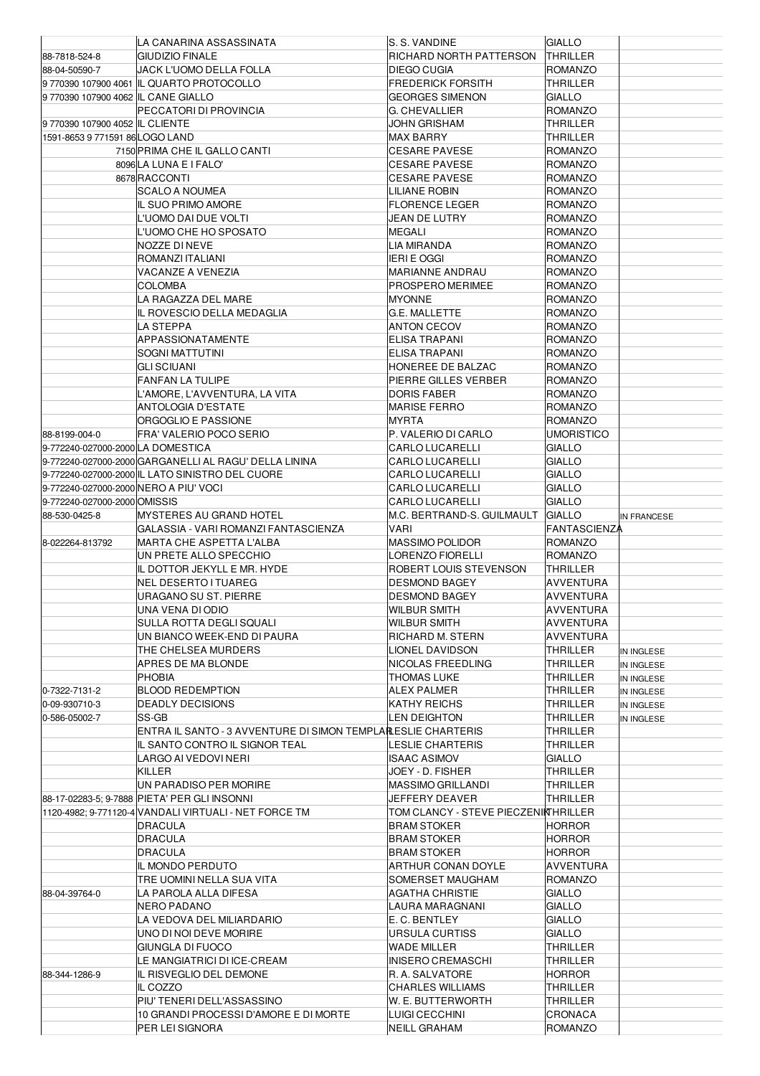|                                       | LA CANARINA ASSASSINATA                                       | S. S. VANDINE                        | <b>GIALLO</b>                    |             |
|---------------------------------------|---------------------------------------------------------------|--------------------------------------|----------------------------------|-------------|
| 88-7818-524-8                         | <b>GIUDIZIO FINALE</b>                                        | RICHARD NORTH PATTERSON              | <b>THRILLER</b>                  |             |
| 88-04-50590-7                         | JACK L'UOMO DELLA FOLLA                                       | <b>DIEGO CUGIA</b>                   | <b>ROMANZO</b>                   |             |
|                                       | 9770390 107900 4061 IL QUARTO PROTOCOLLO                      | <b>FREDERICK FORSITH</b>             | THRILLER                         |             |
|                                       |                                                               |                                      |                                  |             |
| 9770390 107900 4062 IL CANE GIALLO    |                                                               | <b>GEORGES SIMENON</b>               | <b>GIALLO</b>                    |             |
|                                       | PECCATORI DI PROVINCIA                                        | G. CHEVALLIER                        | <b>ROMANZO</b>                   |             |
| 9 770390 107900 4052 IL CLIENTE       |                                                               | JOHN GRISHAM                         | THRILLER                         |             |
| 1591-8653 9 771591 86 LOGO LAND       |                                                               | MAX BARRY                            | THRILLER                         |             |
|                                       | 7150 PRIMA CHE IL GALLO CANTI                                 | <b>CESARE PAVESE</b>                 | <b>ROMANZO</b>                   |             |
|                                       | 8096 LA LUNA E I FALO'                                        | <b>CESARE PAVESE</b>                 | <b>ROMANZO</b>                   |             |
|                                       |                                                               |                                      |                                  |             |
|                                       | 8678 RACCONTI                                                 | <b>CESARE PAVESE</b>                 | <b>ROMANZO</b>                   |             |
|                                       | <b>SCALO A NOUMEA</b>                                         | LILIANE ROBIN                        | <b>ROMANZO</b>                   |             |
|                                       | IL SUO PRIMO AMORE                                            | <b>FLORENCE LEGER</b>                | <b>ROMANZO</b>                   |             |
|                                       | L'UOMO DAI DUE VOLTI                                          | JEAN DE LUTRY                        | <b>ROMANZO</b>                   |             |
|                                       | L'UOMO CHE HO SPOSATO                                         | MEGALI                               | <b>ROMANZO</b>                   |             |
|                                       | NOZZE DI NEVE                                                 | LIA MIRANDA                          | <b>ROMANZO</b>                   |             |
|                                       |                                                               |                                      |                                  |             |
|                                       | ROMANZI ITALIANI                                              | <b>IERI E OGGI</b>                   | <b>ROMANZO</b>                   |             |
|                                       | VACANZE A VENEZIA                                             | <b>MARIANNE ANDRAU</b>               | <b>ROMANZO</b>                   |             |
|                                       | <b>COLOMBA</b>                                                | PROSPERO MERIMEE                     | <b>ROMANZO</b>                   |             |
|                                       | LA RAGAZZA DEL MARE                                           | <b>MYONNE</b>                        | <b>ROMANZO</b>                   |             |
|                                       | IL ROVESCIO DELLA MEDAGLIA                                    | G.E. MALLETTE                        | <b>ROMANZO</b>                   |             |
|                                       | LA STEPPA                                                     | <b>ANTON CECOV</b>                   | <b>ROMANZO</b>                   |             |
|                                       |                                                               |                                      | <b>ROMANZO</b>                   |             |
|                                       | APPASSIONATAMENTE                                             | ELISA TRAPANI                        |                                  |             |
|                                       | SOGNI MATTUTINI                                               | <b>ELISA TRAPANI</b>                 | <b>ROMANZO</b>                   |             |
|                                       | <b>GLI SCIUANI</b>                                            | HONEREE DE BALZAC                    | <b>ROMANZO</b>                   |             |
|                                       | <b>FANFAN LA TULIPE</b>                                       | PIERRE GILLES VERBER                 | <b>ROMANZO</b>                   |             |
|                                       | L'AMORE, L'AVVENTURA, LA VITA                                 | <b>DORIS FABER</b>                   | <b>ROMANZO</b>                   |             |
|                                       | <b>ANTOLOGIA D'ESTATE</b>                                     | <b>MARISE FERRO</b>                  | <b>ROMANZO</b>                   |             |
|                                       | ORGOGLIO E PASSIONE                                           | MYRTA                                | <b>ROMANZO</b>                   |             |
|                                       |                                                               |                                      |                                  |             |
| 88-8199-004-0                         | FRA' VALERIO POCO SERIO                                       | P. VALERIO DI CARLO                  | <b>UMORISTICO</b>                |             |
| 9-772240-027000-2000 LA DOMESTICA     |                                                               | <b>CARLO LUCARELLI</b>               | <b>GIALLO</b>                    |             |
|                                       | 9-772240-027000-2000 GARGANELLI AL RAGU' DELLA LININA         | <b>CARLO LUCARELLI</b>               | <b>GIALLO</b>                    |             |
|                                       | 9-772240-027000-2000 IL LATO SINISTRO DEL CUORE               | <b>CARLO LUCARELLI</b>               | <b>GIALLO</b>                    |             |
| 9-772240-027000-2000 NERO A PIU' VOCI |                                                               | <b>CARLO LUCARELLI</b>               | <b>GIALLO</b>                    |             |
| 9-772240-027000-2000 OMISSIS          |                                                               | <b>CARLO LUCARELLI</b>               | <b>GIALLO</b>                    |             |
|                                       | <b>MYSTERES AU GRAND HOTEL</b>                                | M.C. BERTRAND-S. GUILMAULT           | <b>GIALLO</b>                    |             |
| 88-530-0425-8                         |                                                               |                                      |                                  | IN FRANCESE |
|                                       | GALASSIA - VARI ROMANZI FANTASCIENZA                          | VARI                                 | <b>FANTASCIENZA</b>              |             |
| 8-022264-813792                       | <b>MARTA CHE ASPETTA L'ALBA</b>                               | MASSIMO POLIDOR                      | <b>ROMANZO</b>                   |             |
|                                       | UN PRETE ALLO SPECCHIO                                        | LORENZO FIORELLI                     | <b>ROMANZO</b>                   |             |
|                                       | IL DOTTOR JEKYLL E MR. HYDE                                   | ROBERT LOUIS STEVENSON               | THRILLER                         |             |
|                                       | <b>NEL DESERTO I TUAREG</b>                                   | <b>DESMOND BAGEY</b>                 | AVVENTURA                        |             |
|                                       | URAGANO SU ST. PIERRE                                         | <b>DESMOND BAGEY</b>                 | <b>AVVENTURA</b>                 |             |
|                                       |                                                               |                                      |                                  |             |
|                                       | UNA VENA DI ODIO                                              | WILBUR SMITH                         | AVVENTURA                        |             |
|                                       | SULLA ROTTA DEGLI SQUALI                                      | <b>WILBUR SMITH</b>                  | AVVENTURA                        |             |
|                                       | UN BIANCO WEEK-END DI PAURA                                   | RICHARD M. STERN                     | AVVENTURA                        |             |
|                                       | THE CHELSEA MURDERS                                           | LIONEL DAVIDSON                      | THRILLER                         | IN INGLESE  |
|                                       | APRES DE MA BLONDE                                            | NICOLAS FREEDLING                    | THRILLER                         | IN INGLESE  |
|                                       | <b>PHOBIA</b>                                                 | THOMAS LUKE                          | THRILLER                         |             |
|                                       |                                                               |                                      |                                  |             |
| 0-7322-7131-2                         |                                                               |                                      |                                  | IN INGLESE  |
| 0-09-930710-3                         | <b>BLOOD REDEMPTION</b>                                       | ALEX PALMER                          | THRILLER                         | IN INGLESE  |
| 0-586-05002-7                         | <b>DEADLY DECISIONS</b>                                       | KATHY REICHS                         | THRILLER                         | IN INGLESE  |
|                                       | SS-GB                                                         | LEN DEIGHTON                         | THRILLER                         | IN INGLESE  |
|                                       | ENTRA IL SANTO - 3 AVVENTURE DI SIMON TEMPLAILESLIE CHARTERIS |                                      | THRILLER                         |             |
|                                       | IL SANTO CONTRO IL SIGNOR TEAL                                | LESLIE CHARTERIS                     | THRILLER                         |             |
|                                       |                                                               |                                      |                                  |             |
|                                       | LARGO AI VEDOVI NERI                                          | <b>ISAAC ASIMOV</b>                  | <b>GIALLO</b>                    |             |
|                                       | KILLER                                                        | JOEY - D. FISHER                     | THRILLER                         |             |
|                                       | UN PARADISO PER MORIRE                                        | MASSIMO GRILLANDI                    | THRILLER                         |             |
|                                       | 88-17-02283-5; 9-7888 PIETA' PER GLI INSONNI                  | JEFFERY DEAVER                       | THRILLER                         |             |
|                                       | 1120-4982; 9-771120-4 VANDALI VIRTUALI - NET FORCE TM         | TOM CLANCY - STEVE PIECZENIKTHRILLER |                                  |             |
|                                       | <b>DRACULA</b>                                                | BRAM STOKER                          | <b>HORROR</b>                    |             |
|                                       |                                                               |                                      |                                  |             |
|                                       | <b>DRACULA</b>                                                | BRAM STOKER                          | <b>HORROR</b>                    |             |
|                                       | <b>DRACULA</b>                                                | BRAM STOKER                          | <b>HORROR</b>                    |             |
|                                       | IL MONDO PERDUTO                                              | ARTHUR CONAN DOYLE                   | AVVENTURA                        |             |
|                                       | TRE UOMINI NELLA SUA VITA                                     | SOMERSET MAUGHAM                     | <b>ROMANZO</b>                   |             |
| 88-04-39764-0                         | LA PAROLA ALLA DIFESA                                         | AGATHA CHRISTIE                      | <b>GIALLO</b>                    |             |
|                                       | NERO PADANO                                                   | LAURA MARAGNANI                      | <b>GIALLO</b>                    |             |
|                                       | LA VEDOVA DEL MILIARDARIO                                     | E. C. BENTLEY                        | GIALLO                           |             |
|                                       |                                                               |                                      |                                  |             |
|                                       | UNO DI NOI DEVE MORIRE                                        | URSULA CURTISS                       | <b>GIALLO</b>                    |             |
|                                       | GIUNGLA DI FUOCO                                              | WADE MILLER                          | THRILLER                         |             |
|                                       | LE MANGIATRICI DI ICE-CREAM                                   | <b>INISERO CREMASCHI</b>             | THRILLER                         |             |
| 88-344-1286-9                         | IL RISVEGLIO DEL DEMONE                                       | R. A. SALVATORE                      | <b>HORROR</b>                    |             |
|                                       | IL COZZO                                                      | <b>CHARLES WILLIAMS</b>              | THRILLER                         |             |
|                                       | PIU' TENERI DELL'ASSASSINO                                    | W. E. BUTTERWORTH                    | THRILLER                         |             |
|                                       | 10 GRANDI PROCESSI D'AMORE E DI MORTE                         | LUIGI CECCHINI                       |                                  |             |
|                                       | PER LEI SIGNORA                                               | <b>NEILL GRAHAM</b>                  | <b>CRONACA</b><br><b>ROMANZO</b> |             |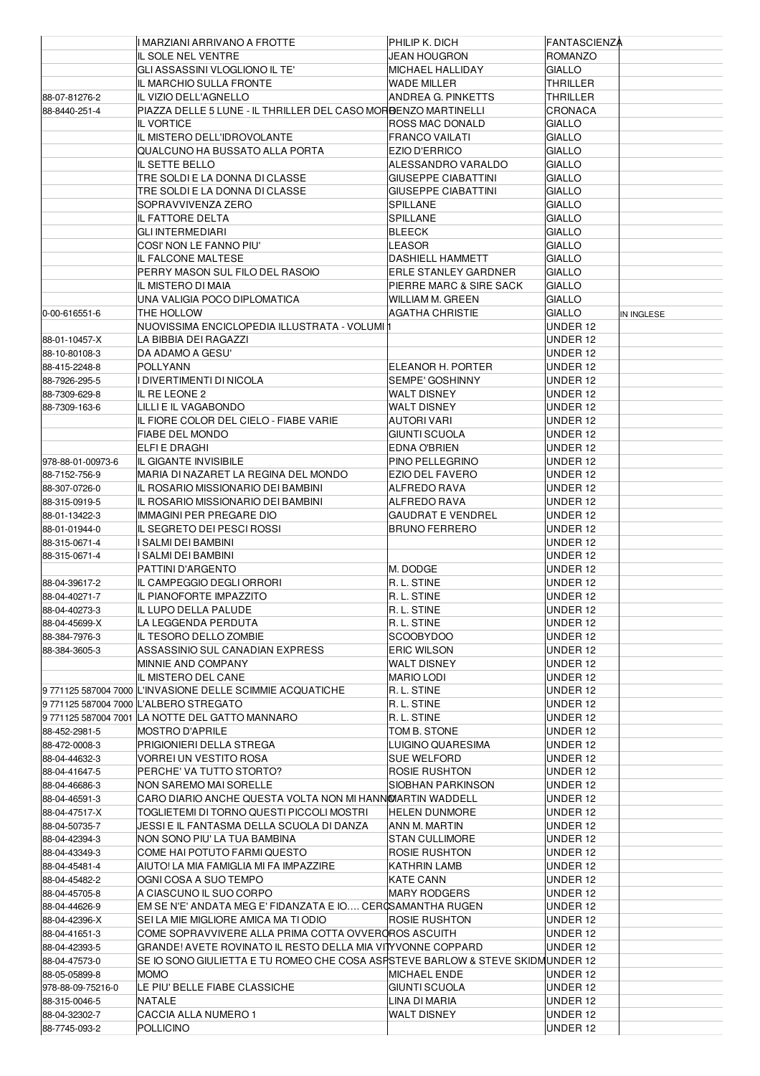|                   | I MARZIANI ARRIVANO A FROTTE                                                   | PHILIP K. DICH              | FANTASCIENZA   |            |
|-------------------|--------------------------------------------------------------------------------|-----------------------------|----------------|------------|
|                   | IL SOLE NEL VENTRE                                                             | <b>JEAN HOUGRON</b>         | <b>ROMANZO</b> |            |
|                   | GLI ASSASSINI VLOGLIONO IL TE'                                                 | MICHAEL HALLIDAY            | <b>GIALLO</b>  |            |
|                   | IL MARCHIO SULLA FRONTE                                                        | WADE MILLER                 | THRILLER       |            |
|                   |                                                                                |                             |                |            |
| 88-07-81276-2     | IL VIZIO DELL'AGNELLO                                                          | ANDREA G. PINKETTS          | THRILLER       |            |
| 88-8440-251-4     | PIAZZA DELLE 5 LUNE - IL THRILLER DEL CASO MORBENZO MARTINELLI                 |                             | <b>CRONACA</b> |            |
|                   | <b>IL VORTICE</b>                                                              | <b>ROSS MAC DONALD</b>      | <b>GIALLO</b>  |            |
|                   | IL MISTERO DELL'IDROVOLANTE                                                    | <b>FRANCO VAILATI</b>       | <b>GIALLO</b>  |            |
|                   | QUALCUNO HA BUSSATO ALLA PORTA                                                 | <b>EZIO D'ERRICO</b>        | <b>GIALLO</b>  |            |
|                   | IL SETTE BELLO                                                                 | ALESSANDRO VARALDO          | <b>GIALLO</b>  |            |
|                   | TRE SOLDI E LA DONNA DI CLASSE                                                 | <b>GIUSEPPE CIABATTINI</b>  | <b>GIALLO</b>  |            |
|                   |                                                                                |                             |                |            |
|                   | TRE SOLDI E LA DONNA DI CLASSE                                                 | <b>GIUSEPPE CIABATTINI</b>  | <b>GIALLO</b>  |            |
|                   | SOPRAVVIVENZA ZERO                                                             | SPILLANE                    | <b>GIALLO</b>  |            |
|                   | IL FATTORE DELTA                                                               | <b>SPILLANE</b>             | <b>GIALLO</b>  |            |
|                   | GLI INTERMEDIARI                                                               | <b>BLEECK</b>               | <b>GIALLO</b>  |            |
|                   | COSI' NON LE FANNO PIU'                                                        | LEASOR                      | <b>GIALLO</b>  |            |
|                   | IL FALCONE MALTESE                                                             | <b>DASHIELL HAMMETT</b>     | <b>GIALLO</b>  |            |
|                   | PERRY MASON SUL FILO DEL RASOIO                                                | <b>ERLE STANLEY GARDNER</b> | <b>GIALLO</b>  |            |
|                   |                                                                                |                             |                |            |
|                   | IL MISTERO DI MAIA                                                             | PIERRE MARC & SIRE SACK     | <b>GIALLO</b>  |            |
|                   | UNA VALIGIA POCO DIPLOMATICA                                                   | <b>WILLIAM M. GREEN</b>     | <b>GIALLO</b>  |            |
| 0-00-616551-6     | THE HOLLOW                                                                     | AGATHA CHRISTIE             | <b>GIALLO</b>  | IN INGLESE |
|                   | NUOVISSIMA ENCICLOPEDIA ILLUSTRATA - VOLUMI                                    |                             | UNDER 12       |            |
| 88-01-10457-X     | LA BIBBIA DEI RAGAZZI                                                          |                             | UNDER 12       |            |
| 88-10-80108-3     | DA ADAMO A GESU'                                                               |                             | UNDER 12       |            |
| 88-415-2248-8     | <b>POLLYANN</b>                                                                | ELEANOR H. PORTER           | UNDER 12       |            |
|                   |                                                                                |                             |                |            |
| 88-7926-295-5     | DIVERTIMENTI DI NICOLA                                                         | <b>SEMPE' GOSHINNY</b>      | UNDER 12       |            |
| 88-7309-629-8     | IL RE LEONE 2                                                                  | <b>WALT DISNEY</b>          | UNDER 12       |            |
| 88-7309-163-6     | LILLI E IL VAGABONDO                                                           | <b>WALT DISNEY</b>          | UNDER 12       |            |
|                   | IL FIORE COLOR DEL CIELO - FIABE VARIE                                         | AUTORI VARI                 | UNDER 12       |            |
|                   | <b>FIABE DEL MONDO</b>                                                         | <b>GIUNTI SCUOLA</b>        | UNDER 12       |            |
|                   | ELFI E DRAGHI                                                                  | <b>EDNA O'BRIEN</b>         | UNDER 12       |            |
|                   |                                                                                |                             |                |            |
| 978-88-01-00973-6 | IL GIGANTE INVISIBILE                                                          | PINO PELLEGRINO             | UNDER 12       |            |
| 88-7152-756-9     | MARIA DI NAZARET LA REGINA DEL MONDO                                           | <b>EZIO DEL FAVERO</b>      | UNDER 12       |            |
| 88-307-0726-0     | IL ROSARIO MISSIONARIO DEI BAMBINI                                             | ALFREDO RAVA                | UNDER 12       |            |
| 88-315-0919-5     | IL ROSARIO MISSIONARIO DEI BAMBINI                                             | ALFREDO RAVA                | UNDER 12       |            |
| 88-01-13422-3     | <b>IMMAGINI PER PREGARE DIO</b>                                                | <b>GAUDRAT E VENDREL</b>    | UNDER 12       |            |
| 88-01-01944-0     | IL SEGRETO DEI PESCI ROSSI                                                     | <b>BRUNO FERRERO</b>        | UNDER 12       |            |
| 88-315-0671-4     | SALMI DEI BAMBINI                                                              |                             | UNDER 12       |            |
|                   |                                                                                |                             |                |            |
| 88-315-0671-4     | SALMI DEI BAMBINI                                                              |                             | UNDER 12       |            |
|                   | PATTINI D'ARGENTO                                                              | M. DODGE                    | UNDER 12       |            |
| 88-04-39617-2     | IL CAMPEGGIO DEGLI ORRORI                                                      | R.L. STINE                  | UNDER 12       |            |
| 88-04-40271-7     | IL PIANOFORTE IMPAZZITO                                                        | R. L. STINE                 | UNDER 12       |            |
| 88-04-40273-3     | IL LUPO DELLA PALUDE                                                           | R. L. STINE                 | UNDER 12       |            |
| 88-04-45699-X     | LA LEGGENDA PERDUTA                                                            | R. L. STINE                 | UNDER 12       |            |
|                   |                                                                                |                             |                |            |
| 88-384-7976-3     | IL TESORO DELLO ZOMBIE                                                         | SCOOBYDOO                   | UNDER 12       |            |
| 88-384-3605-3     | ASSASSINIO SUL CANADIAN EXPRESS                                                | <b>ERIC WILSON</b>          | UNDER 12       |            |
|                   | MINNIE AND COMPANY                                                             | <b>WALT DISNEY</b>          | UNDER 12       |            |
|                   | IL MISTERO DEL CANE                                                            | <b>MARIO LODI</b>           | UNDER 12       |            |
|                   | 9 771125 587004 7000 L'INVASIONE DELLE SCIMMIE ACQUATICHE                      | R.L. STINE                  | UNDER 12       |            |
|                   | 9771125 587004 7000 L'ALBERO STREGATO                                          | R.L. STINE                  | UNDER 12       |            |
|                   | 9771125 587004 7001 LA NOTTE DEL GATTO MANNARO                                 | R.L. STINE                  | UNDER 12       |            |
|                   |                                                                                |                             |                |            |
| 88-452-2981-5     | MOSTRO D'APRILE                                                                | TOM B. STONE                | UNDER 12       |            |
| 88-472-0008-3     | PRIGIONIERI DELLA STREGA                                                       | LUIGINO QUARESIMA           | UNDER 12       |            |
| 88-04-44632-3     | VORREI UN VESTITO ROSA                                                         | <b>SUE WELFORD</b>          | UNDER 12       |            |
| 88-04-41647-5     | PERCHE' VA TUTTO STORTO?                                                       | ROSIE RUSHTON               | UNDER 12       |            |
| 88-04-46686-3     | NON SAREMO MAI SORELLE                                                         | SIOBHAN PARKINSON           | UNDER 12       |            |
| 88-04-46591-3     | CARO DIARIO ANCHE QUESTA VOLTA NON MI HANNOIARTIN WADDELL                      |                             | UNDER 12       |            |
|                   |                                                                                |                             |                |            |
| 88-04-47517-X     | TOGLIETEMI DI TORNO QUESTI PICCOLI MOSTRI                                      | <b>HELEN DUNMORE</b>        | UNDER 12       |            |
| 88-04-50735-7     | JESSI E IL FANTASMA DELLA SCUOLA DI DANZA                                      | ANN M. MARTIN               | UNDER 12       |            |
| 88-04-42394-3     | NON SONO PIU' LA TUA BAMBINA                                                   | <b>STAN CULLIMORE</b>       | UNDER 12       |            |
| 88-04-43349-3     | COME HAI POTUTO FARMI QUESTO                                                   | ROSIE RUSHTON               | UNDER 12       |            |
| 88-04-45481-4     | AIUTO! LA MIA FAMIGLIA MI FA IMPAZZIRE                                         | KATHRIN LAMB                | UNDER 12       |            |
| 88-04-45482-2     | OGNI COSA A SUO TEMPO                                                          | <b>KATE CANN</b>            | UNDER 12       |            |
|                   | A CIASCUNO IL SUO CORPO                                                        |                             | UNDER 12       |            |
| 88-04-45705-8     |                                                                                | <b>MARY RODGERS</b>         |                |            |
| 88-04-44626-9     | EM SE N'E' ANDATA MEG E' FIDANZATA E IO CEROSAMANTHA RUGEN                     |                             | UNDER 12       |            |
| 88-04-42396-X     | SEI LA MIE MIGLIORE AMICA MA TI ODIO                                           | <b>ROSIE RUSHTON</b>        | UNDER 12       |            |
| 88-04-41651-3     | COME SOPRAVVIVERE ALLA PRIMA COTTA OVVEROROS ASCUITH                           |                             | UNDER 12       |            |
| 88-04-42393-5     | GRANDE! AVETE ROVINATO IL RESTO DELLA MIA VITYVONNE COPPARD                    |                             | UNDER 12       |            |
| 88-04-47573-0     | SE IO SONO GIULIETTA E TU ROMEO CHE COSA ASPSTEVE BARLOW & STEVE SKIDMUNDER 12 |                             |                |            |
| 88-05-05899-8     | <b>MOMO</b>                                                                    | MICHAEL ENDE                | UNDER 12       |            |
|                   |                                                                                |                             |                |            |
| 978-88-09-75216-0 | LE PIU' BELLE FIABE CLASSICHE                                                  | GIUNTI SCUOLA               | UNDER 12       |            |
| 88-315-0046-5     | NATALE                                                                         | LINA DI MARIA               | UNDER 12       |            |
| 88-04-32302-7     | CACCIA ALLA NUMERO 1                                                           | <b>WALT DISNEY</b>          | UNDER 12       |            |
| 88-7745-093-2     | <b>POLLICINO</b>                                                               |                             | UNDER 12       |            |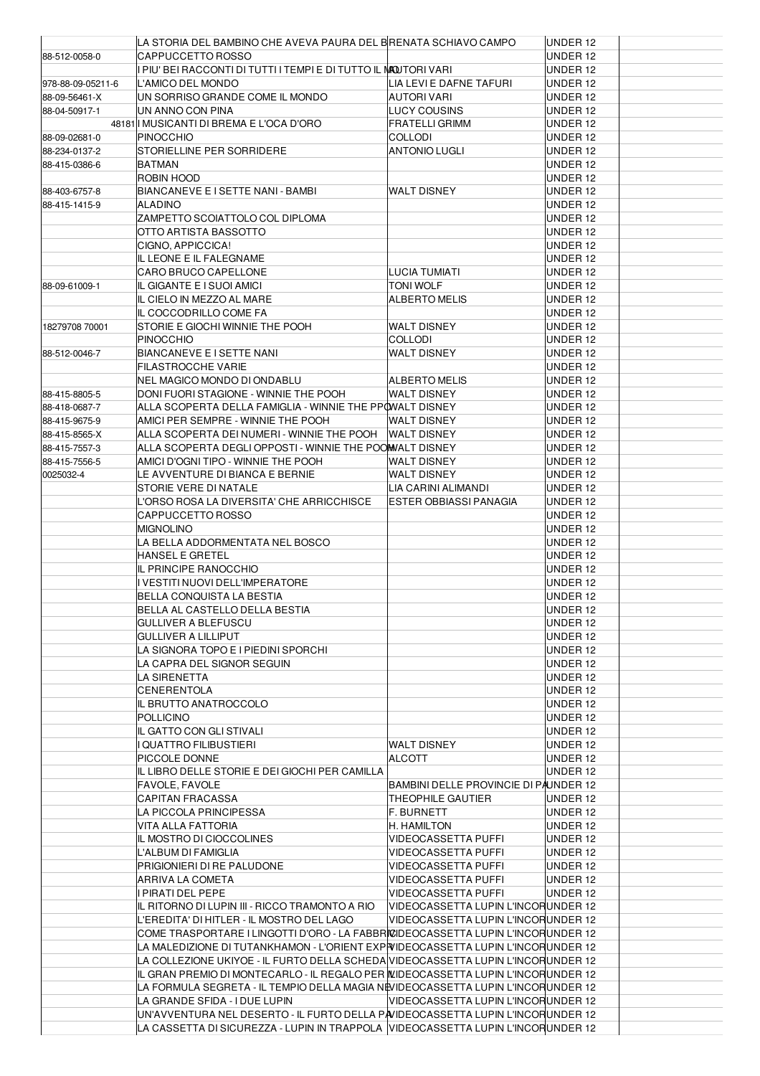|                   | LA STORIA DEL BAMBINO CHE AVEVA PAURA DEL BRENATA SCHIAVO CAMPO                   |                                         | UNDER 12 |  |
|-------------------|-----------------------------------------------------------------------------------|-----------------------------------------|----------|--|
| 88-512-0058-0     | CAPPUCCETTO ROSSO                                                                 |                                         | UNDER 12 |  |
|                   | I PIU' BEI RACCONTI DI TUTTI I TEMPI E DI TUTTO IL <b>MA</b> OUTORI VARI          |                                         | UNDER 12 |  |
| 978-88-09-05211-6 | L'AMICO DEL MONDO                                                                 | LIA LEVI E DAFNE TAFURI                 | UNDER 12 |  |
| 88-09-56461-X     | UN SORRISO GRANDE COME IL MONDO                                                   | <b>AUTORI VARI</b>                      | UNDER 12 |  |
| 88-04-50917-1     | UN ANNO CON PINA                                                                  | <b>LUCY COUSINS</b>                     | UNDER 12 |  |
|                   | 48181 MUSICANTI DI BREMA E L'OCA D'ORO                                            | <b>FRATELLI GRIMM</b>                   | UNDER 12 |  |
| 88-09-02681-0     | <b>PINOCCHIO</b>                                                                  | <b>COLLODI</b>                          | UNDER 12 |  |
| 88-234-0137-2     | STORIELLINE PER SORRIDERE                                                         | <b>ANTONIO LUGLI</b>                    | UNDER 12 |  |
| 88-415-0386-6     | <b>BATMAN</b>                                                                     |                                         | UNDER 12 |  |
|                   | ROBIN HOOD                                                                        |                                         | UNDER 12 |  |
| 88-403-6757-8     | BIANCANEVE E I SETTE NANI - BAMBI                                                 | <b>WALT DISNEY</b>                      | UNDER 12 |  |
| 88-415-1415-9     | ALADINO                                                                           |                                         | UNDER 12 |  |
|                   | ZAMPETTO SCOIATTOLO COL DIPLOMA                                                   |                                         | UNDER 12 |  |
|                   | OTTO ARTISTA BASSOTTO                                                             |                                         | UNDER 12 |  |
|                   | CIGNO, APPICCICA!                                                                 |                                         | UNDER 12 |  |
|                   | IL LEONE E IL FALEGNAME                                                           |                                         | UNDER 12 |  |
|                   | CARO BRUCO CAPELLONE                                                              | LUCIA TUMIATI                           | UNDER 12 |  |
| 88-09-61009-1     | IL GIGANTE E I SUOI AMICI                                                         | TONI WOLF                               | UNDER 12 |  |
|                   | IL CIELO IN MEZZO AL MARE                                                         | <b>ALBERTO MELIS</b>                    | UNDER 12 |  |
|                   | IL COCCODRILLO COME FA                                                            |                                         | UNDER 12 |  |
| 18279708 70001    | STORIE E GIOCHI WINNIE THE POOH                                                   | <b>WALT DISNEY</b>                      | UNDER 12 |  |
|                   | PINOCCHIO                                                                         | <b>COLLODI</b>                          | UNDER 12 |  |
| 88-512-0046-7     | BIANCANEVE E I SETTE NANI                                                         | <b>WALT DISNEY</b>                      | UNDER 12 |  |
|                   | FILASTROCCHE VARIE                                                                |                                         | UNDER 12 |  |
|                   | NEL MAGICO MONDO DI ONDABLU                                                       | <b>ALBERTO MELIS</b>                    | UNDER 12 |  |
| 88-415-8805-5     | DONI FUORI STAGIONE - WINNIE THE POOH                                             | <b>WALT DISNEY</b>                      | UNDER 12 |  |
| 88-418-0687-7     | ALLA SCOPERTA DELLA FAMIGLIA - WINNIE THE PPOWALT DISNEY                          |                                         | UNDER 12 |  |
| 88-415-9675-9     | AMICI PER SEMPRE - WINNIE THE POOH                                                | <b>WALT DISNEY</b>                      | UNDER 12 |  |
| 88-415-8565-X     | ALLA SCOPERTA DEI NUMERI - WINNIE THE POOH                                        | <b>WALT DISNEY</b>                      | UNDER 12 |  |
| 88-415-7557-3     | ALLA SCOPERTA DEGLI OPPOSTI - WINNIE THE POOMALT DISNEY                           |                                         | UNDER 12 |  |
| 88-415-7556-5     | AMICI D'OGNI TIPO - WINNIE THE POOH                                               | <b>WALT DISNEY</b>                      | UNDER 12 |  |
| 0025032-4         | LE AVVENTURE DI BIANCA E BERNIE                                                   | <b>WALT DISNEY</b>                      | UNDER 12 |  |
|                   | STORIE VERE DI NATALE                                                             | LIA CARINI ALIMANDI                     | UNDER 12 |  |
|                   | L'ORSO ROSA LA DIVERSITA' CHE ARRICCHISCE                                         | <b>ESTER OBBIASSI PANAGIA</b>           | UNDER 12 |  |
|                   | CAPPUCCETTO ROSSO                                                                 |                                         | UNDER 12 |  |
|                   | MIGNOLINO                                                                         |                                         | UNDER 12 |  |
|                   | LA BELLA ADDORMENTATA NEL BOSCO                                                   |                                         | UNDER 12 |  |
|                   | HANSEL E GRETEL                                                                   |                                         | UNDER 12 |  |
|                   | IL PRINCIPE RANOCCHIO                                                             |                                         | UNDER 12 |  |
|                   | VESTITI NUOVI DELL'IMPERATORE                                                     |                                         | UNDER 12 |  |
|                   | <b>BELLA CONQUISTA LA BESTIA</b>                                                  |                                         | UNDER 12 |  |
|                   | BELLA AL CASTELLO DELLA BESTIA                                                    |                                         | UNDER 12 |  |
|                   | GULLIVER A BLEFUSCU                                                               |                                         | UNDER 12 |  |
|                   | <b>GULLIVER A LILLIPUT</b>                                                        |                                         | UNDER 12 |  |
|                   | LA SIGNORA TOPO E I PIEDINI SPORCHI                                               |                                         | UNDER 12 |  |
|                   | LA CAPRA DEL SIGNOR SEGUIN                                                        |                                         | UNDER 12 |  |
|                   | LA SIRENETTA                                                                      |                                         | UNDER 12 |  |
|                   | CENERENTOLA                                                                       |                                         | UNDER 12 |  |
|                   | IL BRUTTO ANATROCCOLO                                                             |                                         | UNDER 12 |  |
|                   | POLLICINO                                                                         |                                         | UNDER 12 |  |
|                   | IL GATTO CON GLI STIVALI                                                          |                                         | UNDER 12 |  |
|                   | <b>QUATTRO FILIBUSTIERI</b>                                                       | <b>WALT DISNEY</b>                      | UNDER 12 |  |
|                   | PICCOLE DONNE                                                                     | <b>ALCOTT</b>                           | UNDER 12 |  |
|                   | IL LIBRO DELLE STORIE E DEI GIOCHI PER CAMILLA                                    |                                         | UNDER 12 |  |
|                   | FAVOLE, FAVOLE                                                                    | BAMBINI DELLE PROVINCIE DI PAUNDER 12   |          |  |
|                   | <b>CAPITAN FRACASSA</b>                                                           | THEOPHILE GAUTIER                       | UNDER 12 |  |
|                   | LA PICCOLA PRINCIPESSA                                                            |                                         | UNDER 12 |  |
|                   | VITA ALLA FATTORIA                                                                | <b>F. BURNETT</b><br><b>H. HAMILTON</b> | UNDER 12 |  |
|                   |                                                                                   |                                         |          |  |
|                   | IL MOSTRO DI CIOCCOLINES                                                          | <b>VIDEOCASSETTA PUFFI</b>              | UNDER 12 |  |
|                   | L'ALBUM DI FAMIGLIA                                                               | <b>VIDEOCASSETTA PUFFI</b>              | UNDER 12 |  |
|                   | PRIGIONIERI DI RE PALUDONE                                                        | <b>VIDEOCASSETTA PUFFI</b>              | UNDER 12 |  |
|                   | ARRIVA LA COMETA                                                                  | <b>VIDEOCASSETTA PUFFI</b>              | UNDER 12 |  |
|                   | PIRATI DEL PEPE                                                                   | <b>VIDEOCASSETTA PUFFI</b>              | UNDER 12 |  |
|                   | IL RITORNO DI LUPIN III - RICCO TRAMONTO A RIO                                    | VIDEOCASSETTA LUPIN L'INCORUNDER 12     |          |  |
|                   | L'EREDITA' DI HITLER - IL MOSTRO DEL LAGO                                         | VIDEOCASSETTA LUPIN L'INCORUNDER 12     |          |  |
|                   | COME TRASPORTARE I LINGOTTI D'ORO - LA FABBRICIDEOCASSETTA LUPIN L'INCORUNDER 12  |                                         |          |  |
|                   | LA MALEDIZIONE DI TUTANKHAMON - L'ORIENT EXPIVIDEOCASSETTA LUPIN L'INCORUNDER 12  |                                         |          |  |
|                   | LA COLLEZIONE UKIYOE - IL FURTO DELLA SCHEDA VIDEOCASSETTA LUPIN L'INCORUNDER 12  |                                         |          |  |
|                   | IL GRAN PREMIO DI MONTECARLO - IL REGALO PER ILIDEOCASSETTA LUPIN L'INCORUNDER 12 |                                         |          |  |
|                   | LA FORMULA SEGRETA - IL TEMPIO DELLA MAGIA NEVIDEOCASSETTA LUPIN L'INCORUNDER 12  |                                         |          |  |
|                   | LA GRANDE SFIDA - I DUE LUPIN                                                     | VIDEOCASSETTA LUPIN L'INCORUNDER 12     |          |  |
|                   | UN'AVVENTURA NEL DESERTO - IL FURTO DELLA PAVIDEOCASSETTA LUPIN L'INCORUNDER 12   |                                         |          |  |
|                   | LA CASSETTA DI SICUREZZA - LUPIN IN TRAPPOLA VIDEOCASSETTA LUPIN L'INCORUNDER 12  |                                         |          |  |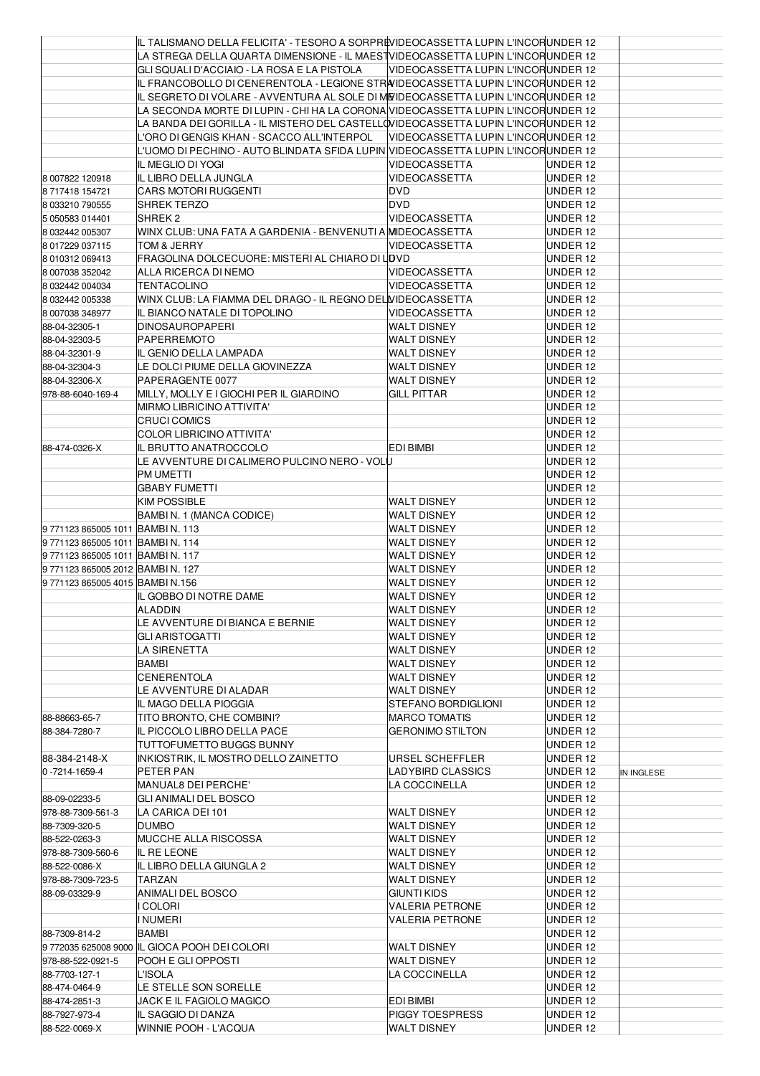|                               | IIL TALISMANO DELLA FELICITA' - TESORO A SORPREVIDEOCASSETTA LUPIN L'INCORUNDER 12 |                                     |          |            |
|-------------------------------|------------------------------------------------------------------------------------|-------------------------------------|----------|------------|
|                               | LA STREGA DELLA QUARTA DIMENSIONE - IL MAESTVIDEOCASSETTA LUPIN L'INCORUNDER 12    |                                     |          |            |
|                               | GLI SQUALI D'ACCIAIO - LA ROSA E LA PISTOLA                                        | VIDEOCASSETTA LUPIN L'INCORUNDER 12 |          |            |
|                               | IL FRANCOBOLLO DI CENERENTOLA - LEGIONE STRAIDEOCASSETTA LUPIN L'INCORUNDER 12     |                                     |          |            |
|                               | IL SEGRETO DI VOLARE - AVVENTURA AL SOLE DI MEIDEOCASSETTA LUPIN L'INCORUNDER 12   |                                     |          |            |
|                               | LA SECONDA MORTE DI LUPIN - CHI HA LA CORONA VIDEOCASSETTA LUPIN L'INCORUNDER 12   |                                     |          |            |
|                               | LA BANDA DEI GORILLA - IL MISTERO DEL CASTELLOVIDEOCASSETTA LUPIN L'INCORUNDER 12  |                                     |          |            |
|                               | L'ORO DI GENGIS KHAN - SCACCO ALL'INTERPOL                                         | VIDEOCASSETTA LUPIN L'INCORUNDER 12 |          |            |
|                               | L'UOMO DI PECHINO - AUTO BLINDATA SFIDA LUPIN  VIDEOCASSETTA LUPIN L'INCORUNDER 12 |                                     |          |            |
|                               | <b>IL MEGLIO DI YOGI</b>                                                           | <b>VIDEOCASSETTA</b>                | UNDER 12 |            |
| 8 007822 120918               | IL LIBRO DELLA JUNGLA                                                              | <b>VIDEOCASSETTA</b>                | UNDER 12 |            |
| 8717418154721                 | <b>CARS MOTORI RUGGENTI</b>                                                        | DVD                                 | UNDER 12 |            |
| 8 033210 790555               | SHREK TERZO                                                                        | DVD                                 | UNDER 12 |            |
| 5 050583 014401               | SHREK <sub>2</sub>                                                                 | VIDEOCASSETTA                       | UNDER 12 |            |
| 8 032442 005307               | WINX CLUB: UNA FATA A GARDENIA - BENVENUTI A MIDEOCASSETTA                         |                                     | UNDER 12 |            |
| 8 017229 037115               | TOM & JERRY                                                                        | <b>VIDEOCASSETTA</b>                | UNDER 12 |            |
| 8 010312 069413               | FRAGOLINA DOLCECUORE: MISTERI AL CHIARO DI LOVD                                    |                                     | UNDER 12 |            |
| 8 007038 352042               | ALLA RICERCA DI NEMO                                                               | <b>VIDEOCASSETTA</b>                | UNDER 12 |            |
| 8 032442 004034               | <b>TENTACOLINO</b>                                                                 | <b>VIDEOCASSETTA</b>                | UNDER 12 |            |
| 8 032442 005338               | WINX CLUB: LA FIAMMA DEL DRAGO - IL REGNO DEL VIDEOCASSETTA                        |                                     | UNDER 12 |            |
| 8 007038 348977               | IIL BIANCO NATALE DI TOPOLINO                                                      | <b>VIDEOCASSETTA</b>                | UNDER 12 |            |
| 88-04-32305-1                 | <b>DINOSAUROPAPERI</b>                                                             | <b>WALT DISNEY</b>                  | UNDER 12 |            |
| 88-04-32303-5                 | <b>PAPERREMOTO</b>                                                                 | <b>WALT DISNEY</b>                  | UNDER 12 |            |
| 88-04-32301-9                 | IL GENIO DELLA LAMPADA                                                             | <b>WALT DISNEY</b>                  | UNDER 12 |            |
| 88-04-32304-3                 | LE DOLCI PIUME DELLA GIOVINEZZA                                                    | WALT DISNEY                         | UNDER 12 |            |
| 88-04-32306-X                 | PAPERAGENTE 0077                                                                   | <b>WALT DISNEY</b>                  | UNDER 12 |            |
| 978-88-6040-169-4             | MILLY, MOLLY E I GIOCHI PER IL GIARDINO                                            | GILL PITTAR                         | UNDER 12 |            |
|                               | <b>MIRMO LIBRICINO ATTIVITA'</b>                                                   |                                     | UNDER 12 |            |
|                               | <b>CRUCI COMICS</b>                                                                |                                     | UNDER 12 |            |
|                               | <b>COLOR LIBRICINO ATTIVITA'</b>                                                   |                                     | UNDER 12 |            |
| 88-474-0326-X                 | IL BRUTTO ANATROCCOLO                                                              | EDI BIMBI                           | UNDER 12 |            |
|                               | LE AVVENTURE DI CALIMERO PULCINO NERO - VOLU                                       |                                     | UNDER 12 |            |
|                               | PM UMETTI                                                                          |                                     | UNDER 12 |            |
|                               | <b>GBABY FUMETTI</b>                                                               |                                     | UNDER 12 |            |
|                               | <b>KIM POSSIBLE</b>                                                                | <b>WALT DISNEY</b>                  | UNDER 12 |            |
|                               | BAMBIN. 1 (MANCA CODICE)                                                           | <b>WALT DISNEY</b>                  | UNDER 12 |            |
| 97711238650051011 BAMBIN.113  |                                                                                    | WALT DISNEY                         | UNDER 12 |            |
| 97711238650051011 BAMBIN.114  |                                                                                    | WALT DISNEY                         | UNDER 12 |            |
| 97711238650051011 BAMBIN.117  |                                                                                    | <b>WALT DISNEY</b>                  | UNDER 12 |            |
| 97711238650052012 BAMBIN. 127 |                                                                                    | <b>WALT DISNEY</b>                  | UNDER 12 |            |
| 97711238650054015 BAMBIN.156  |                                                                                    | WALT DISNEY                         | UNDER 12 |            |
|                               | IL GOBBO DI NOTRE DAME                                                             | <b>WALT DISNEY</b>                  | UNDER 12 |            |
|                               | <b>ALADDIN</b>                                                                     | WALT DISNEY                         | UNDER 12 |            |
|                               |                                                                                    |                                     | UNDER 12 |            |
|                               | LE AVVENTURE DI BIANCA E BERNIE                                                    | WALT DISNEY<br><b>WALT DISNEY</b>   |          |            |
|                               | <b>GLI ARISTOGATTI</b>                                                             |                                     | UNDER 12 |            |
|                               | LA SIRENETTA                                                                       | <b>WALT DISNEY</b>                  | UNDER 12 |            |
|                               | <b>BAMBI</b><br><b>CENERENTOLA</b>                                                 | WALT DISNEY                         | UNDER 12 |            |
|                               |                                                                                    | <b>WALT DISNEY</b>                  | UNDER 12 |            |
|                               | LE AVVENTURE DI ALADAR                                                             | <b>WALT DISNEY</b>                  | UNDER 12 |            |
|                               | IL MAGO DELLA PIOGGIA                                                              | STEFANO BORDIGLIONI                 | UNDER 12 |            |
| 88-88663-65-7                 | TITO BRONTO, CHE COMBINI?                                                          | <b>MARCO TOMATIS</b>                | UNDER 12 |            |
| 88-384-7280-7                 | IIL PICCOLO LIBRO DELLA PACE                                                       | <b>GERONIMO STILTON</b>             | UNDER 12 |            |
| 88-384-2148-X                 | TUTTOFUMETTO BUGGS BUNNY                                                           |                                     | UNDER 12 |            |
|                               | INKIOSTRIK, IL MOSTRO DELLO ZAINETTO                                               | URSEL SCHEFFLER                     | UNDER 12 |            |
| 0-7214-1659-4                 | PETER PAN                                                                          | LADYBIRD CLASSICS                   | UNDER 12 | IN INGLESE |
|                               | MANUAL8 DEI PERCHE'                                                                | LA COCCINELLA                       | UNDER 12 |            |
| 88-09-02233-5                 | GLI ANIMALI DEL BOSCO                                                              |                                     | UNDER 12 |            |
| 978-88-7309-561-3             | LA CARICA DEI 101                                                                  | WALT DISNEY                         | UNDER 12 |            |
| 88-7309-320-5                 | <b>DUMBO</b>                                                                       | WALT DISNEY                         | UNDER 12 |            |
| 88-522-0263-3                 | <b>MUCCHE ALLA RISCOSSA</b>                                                        | WALT DISNEY                         | UNDER 12 |            |
| 978-88-7309-560-6             | IL RE LEONE                                                                        | <b>WALT DISNEY</b>                  | UNDER 12 |            |
| 88-522-0086-X                 | IIL LIBRO DELLA GIUNGLA 2                                                          | WALT DISNEY                         | UNDER 12 |            |
| 978-88-7309-723-5             | TARZAN                                                                             | WALT DISNEY                         | UNDER 12 |            |
| 88-09-03329-9                 | ANIMALI DEL BOSCO                                                                  | GIUNTI KIDS                         | UNDER 12 |            |
|                               | I COLORI                                                                           | <b>VALERIA PETRONE</b>              | UNDER 12 |            |
|                               | <b>INUMERI</b>                                                                     | <b>VALERIA PETRONE</b>              | UNDER 12 |            |
| 88-7309-814-2                 | BAMBI                                                                              |                                     | UNDER 12 |            |
|                               | 9 772035 625008 9000 IIL GIOCA POOH DEI COLORI                                     | WALT DISNEY                         | UNDER 12 |            |
| 978-88-522-0921-5             | POOH E GLI OPPOSTI                                                                 | <b>WALT DISNEY</b>                  | UNDER 12 |            |
| 88-7703-127-1                 | L'ISOLA                                                                            | LA COCCINELLA                       | UNDER 12 |            |
| 88-474-0464-9                 | LE STELLE SON SORELLE                                                              |                                     | UNDER 12 |            |
| 88-474-2851-3                 | JACK E IL FAGIOLO MAGICO                                                           | EDI BIMBI                           | UNDER 12 |            |
| 88-7927-973-4                 | IL SAGGIO DI DANZA                                                                 | PIGGY TOESPRESS                     | UNDER 12 |            |
| 88-522-0069-X                 | WINNIE POOH - L'ACQUA                                                              | <b>WALT DISNEY</b>                  | UNDER 12 |            |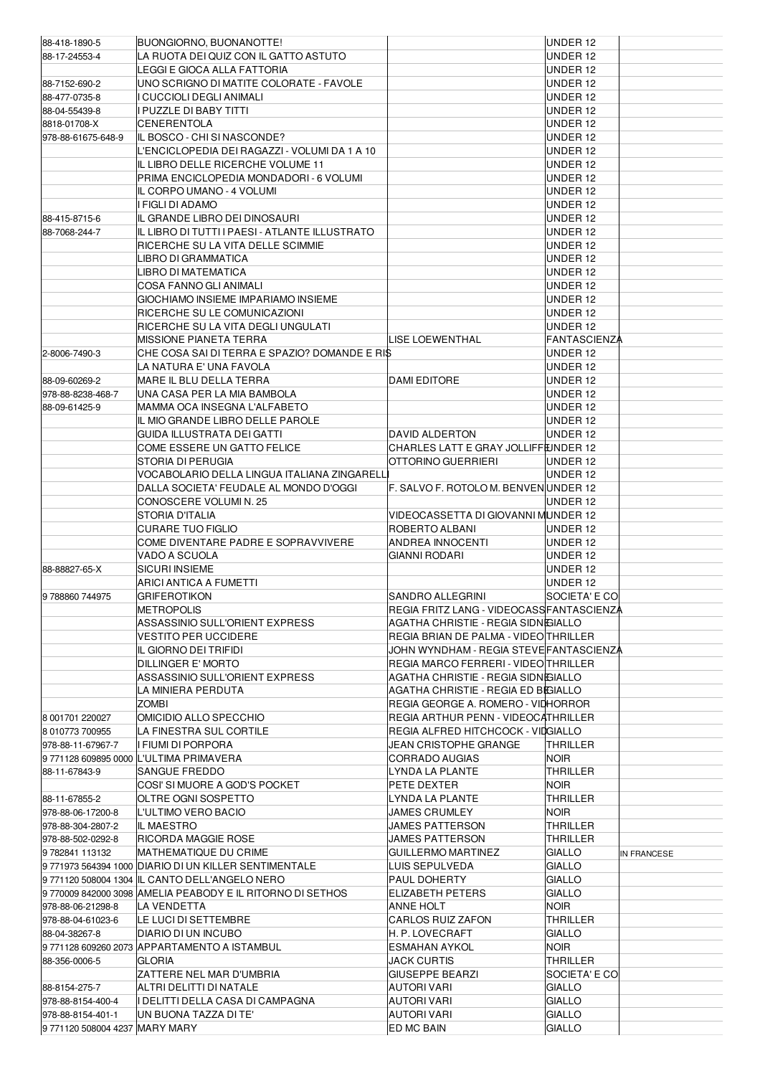| 88-418-1890-5                 | BUONGIORNO, BUONANOTTE!                                            |                                           | UNDER 12             |             |
|-------------------------------|--------------------------------------------------------------------|-------------------------------------------|----------------------|-------------|
| 88-17-24553-4                 | LA RUOTA DEI QUIZ CON IL GATTO ASTUTO                              |                                           | UNDER 12             |             |
|                               | LEGGI E GIOCA ALLA FATTORIA                                        |                                           | UNDER 12             |             |
| 88-7152-690-2                 | UNO SCRIGNO DI MATITE COLORATE - FAVOLE                            |                                           | UNDER 12             |             |
| 88-477-0735-8                 | <b>CUCCIOLI DEGLI ANIMALI</b>                                      |                                           | UNDER 12             |             |
| 88-04-55439-8                 | PUZZLE DI BABY TITTI                                               |                                           | UNDER 12             |             |
| 8818-01708-X                  | <b>CENERENTOLA</b>                                                 |                                           | UNDER 12             |             |
| 978-88-61675-648-9            | IL BOSCO - CHI SI NASCONDE?                                        |                                           | UNDER 12             |             |
|                               | L'ENCICLOPEDIA DEI RAGAZZI - VOLUMI DA 1 A 10                      |                                           | UNDER 12             |             |
|                               | IL LIBRO DELLE RICERCHE VOLUME 11                                  |                                           | UNDER 12             |             |
|                               | PRIMA ENCICLOPEDIA MONDADORI - 6 VOLUMI                            |                                           | UNDER 12             |             |
|                               | IL CORPO UMANO - 4 VOLUMI                                          |                                           | UNDER 12             |             |
|                               | FIGLI DI ADAMO                                                     |                                           | UNDER 12             |             |
| 88-415-8715-6                 | IL GRANDE LIBRO DEI DINOSAURI                                      |                                           | UNDER 12             |             |
| 88-7068-244-7                 | IL LIBRO DI TUTTI I PAESI - ATLANTE ILLUSTRATO                     |                                           | UNDER 12             |             |
|                               | RICERCHE SU LA VITA DELLE SCIMMIE                                  |                                           | UNDER 12             |             |
|                               | LIBRO DI GRAMMATICA                                                |                                           | UNDER 12             |             |
|                               | LIBRO DI MATEMATICA                                                |                                           | UNDER 12             |             |
|                               | COSA FANNO GLI ANIMALI                                             |                                           | UNDER 12             |             |
|                               | GIOCHIAMO INSIEME IMPARIAMO INSIEME                                |                                           | UNDER 12             |             |
|                               | RICERCHE SU LE COMUNICAZIONI<br>RICERCHE SU LA VITA DEGLI UNGULATI |                                           | UNDER 12<br>UNDER 12 |             |
|                               | MISSIONE PIANETA TERRA                                             | LISE LOEWENTHAL                           | <b>FANTASCIENZA</b>  |             |
| 2-8006-7490-3                 | CHE COSA SAI DI TERRA E SPAZIO? DOMANDE E RI\$                     |                                           | UNDER 12             |             |
|                               | LA NATURA E' UNA FAVOLA                                            |                                           | UNDER 12             |             |
| 88-09-60269-2                 | MARE IL BLU DELLA TERRA                                            | <b>DAMI EDITORE</b>                       | UNDER 12             |             |
| 978-88-8238-468-7             | UNA CASA PER LA MIA BAMBOLA                                        |                                           | UNDER 12             |             |
| 88-09-61425-9                 | MAMMA OCA INSEGNA L'ALFABETO                                       |                                           | UNDER 12             |             |
|                               | IL MIO GRANDE LIBRO DELLE PAROLE                                   |                                           | UNDER 12             |             |
|                               | GUIDA ILLUSTRATA DEI GATTI                                         | DAVID ALDERTON                            | UNDER 12             |             |
|                               | COME ESSERE UN GATTO FELICE                                        | CHARLES LATT E GRAY JOLLIFFEJNDER 12      |                      |             |
|                               | STORIA DI PERUGIA                                                  | OTTORINO GUERRIERI                        | UNDER 12             |             |
|                               | VOCABOLARIO DELLA LINGUA ITALIANA ZINGARELL                        |                                           | UNDER 12             |             |
|                               | DALLA SOCIETA' FEUDALE AL MONDO D'OGGI                             | F. SALVO F. ROTOLO M. BENVENUNDER 12      |                      |             |
|                               | CONOSCERE VOLUMI N. 25                                             |                                           | UNDER 12             |             |
|                               | STORIA D'ITALIA                                                    | VIDEOCASSETTA DI GIOVANNI MUNDER 12       |                      |             |
|                               | CURARE TUO FIGLIO                                                  | ROBERTO ALBANI                            | UNDER 12             |             |
|                               | COME DIVENTARE PADRE E SOPRAVVIVERE                                | ANDREA INNOCENTI                          | UNDER 12             |             |
|                               | VADO A SCUOLA                                                      | <b>GIANNI RODARI</b>                      | UNDER 12             |             |
| 88-88827-65-X                 | <b>SICURI INSIEME</b>                                              |                                           | UNDER 12             |             |
|                               | ARICI ANTICA A FUMETTI                                             |                                           | UNDER 12             |             |
| 9788860744975                 | GRIFEROTIKON                                                       | SANDRO ALLEGRINI                          | SOCIETA' E CO        |             |
|                               | <b>METROPOLIS</b>                                                  | REGIA FRITZ LANG - VIDEOCASS FANTASCIENZA |                      |             |
|                               | ASSASSINIO SULL'ORIENT EXPRESS                                     | AGATHA CHRISTIE - REGIA SIDNEGIALLO       |                      |             |
|                               | VESTITO PER UCCIDERE                                               | REGIA BRIAN DE PALMA - VIDEO THRILLER     |                      |             |
|                               | IL GIORNO DEI TRIFIDI                                              | JOHN WYNDHAM - REGIA STEVE FANTASCIENZA   |                      |             |
|                               | DILLINGER E' MORTO                                                 | REGIA MARCO FERRERI - VIDEO THRILLER      |                      |             |
|                               | ASSASSINIO SULL'ORIENT EXPRESS                                     | AGATHA CHRISTIE - REGIA SIDNEGIALLO       |                      |             |
|                               | LA MINIERA PERDUTA                                                 | AGATHA CHRISTIE - REGIA ED BIGIALLO       |                      |             |
|                               | Zombi                                                              | REGIA GEORGE A. ROMERO - VIDHORROR        |                      |             |
| 8 001701 220027               | OMICIDIO ALLO SPECCHIO                                             | REGIA ARTHUR PENN - VIDEOCATHRILLER       |                      |             |
| 8 010773 700955               | LA FINESTRA SUL CORTILE                                            | REGIA ALFRED HITCHCOCK - VIDGIALLO        |                      |             |
| 978-88-11-67967-7             | I FIUMI DI PORPORA                                                 | JEAN CRISTOPHE GRANGE                     | THRILLER<br>Noir     |             |
| 88-11-67843-9                 | 9 771128 609895 0000 L'ULTIMA PRIMAVERA<br>SANGUE FREDDO           | <b>CORRADO AUGIAS</b><br>LYNDA LA PLANTE  | THRILLER             |             |
|                               | COSI' SI MUORE A GOD'S POCKET                                      | PETE DEXTER                               | <b>NOIR</b>          |             |
| 88-11-67855-2                 | OLTRE OGNI SOSPETTO                                                | LYNDA LA PLANTE                           | THRILLER             |             |
| 978-88-06-17200-8             | L'ULTIMO VERO BACIO                                                | JAMES CRUMLEY                             | NOIR                 |             |
| 978-88-304-2807-2             | IL MAESTRO                                                         | JAMES PATTERSON                           | THRILLER             |             |
| 978-88-502-0292-8             | RICORDA MAGGIE ROSE                                                | JAMES PATTERSON                           | THRILLER             |             |
| 9782841 113132                | MATHEMATIQUE DU CRIME                                              | GUILLERMO MARTINEZ                        | <b>GIALLO</b>        | IN FRANCESE |
|                               | 9771973 564394 1000 DIARIO DI UN KILLER SENTIMENTALE               | LUIS SEPULVEDA                            | <b>GIALLO</b>        |             |
|                               | 9 771120 508004 1304 IL CANTO DELL'ANGELO NERO                     | PAUL DOHERTY                              | <b>GIALLO</b>        |             |
|                               | 9 770009 842000 3098 AMELIA PEABODY E IL RITORNO DI SETHOS         | ELIZABETH PETERS                          | <b>GIALLO</b>        |             |
| 978-88-06-21298-8             | LA VENDETTA                                                        | <b>ANNE HOLT</b>                          | <b>NOIR</b>          |             |
| 978-88-04-61023-6             | LE LUCI DI SETTEMBRE                                               | <b>CARLOS RUIZ ZAFON</b>                  | THRILLER             |             |
| 88-04-38267-8                 | DIARIO DI UN INCUBO                                                | H. P. LOVECRAFT                           | <b>GIALLO</b>        |             |
|                               | 9 771128 609260 2073 APPARTAMENTO A ISTAMBUL                       | <b>ESMAHAN AYKOL</b>                      | NOIR                 |             |
| 88-356-0006-5                 | <b>GLORIA</b>                                                      | <b>JACK CURTIS</b>                        | THRILLER             |             |
|                               | ZATTERE NEL MAR D'UMBRIA                                           | <b>GIUSEPPE BEARZI</b>                    | SOCIETA' E CO        |             |
| 88-8154-275-7                 | ALTRI DELITTI DI NATALE                                            | AUTORI VARI                               | <b>GIALLO</b>        |             |
| 978-88-8154-400-4             | I DELITTI DELLA CASA DI CAMPAGNA                                   | <b>AUTORI VARI</b>                        | <b>GIALLO</b>        |             |
| 978-88-8154-401-1             | UN BUONA TAZZA DI TE'                                              | <b>AUTORI VARI</b>                        | <b>GIALLO</b>        |             |
| 9771120 508004 4237 MARY MARY |                                                                    | ED MC BAIN                                | <b>GIALLO</b>        |             |